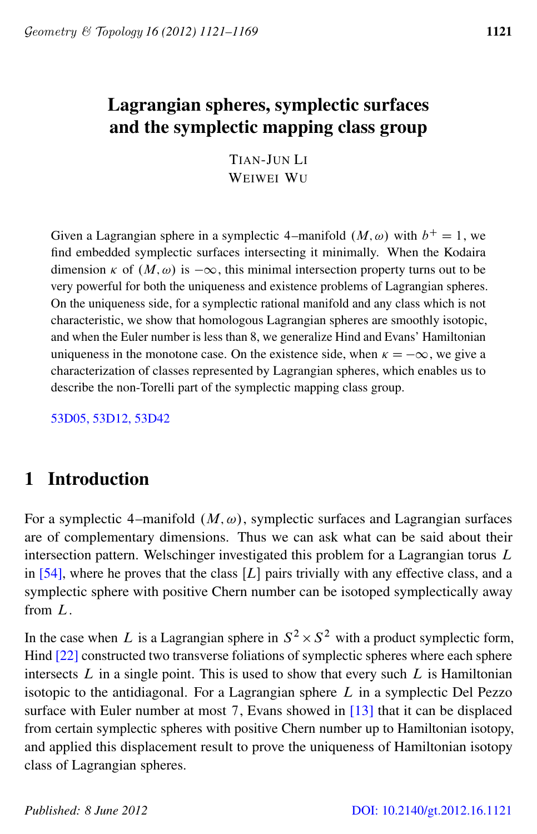# <span id="page-0-0"></span>Lagrangian spheres, symplectic surfaces and the symplectic mapping class group

TIAN-JUN LI WEIWEI WU

Given a Lagrangian sphere in a symplectic 4–manifold  $(M, \omega)$  with  $b^+ = 1$ , we find embedded symplectic surfaces intersecting it minimally. When the Kodaira dimension  $\kappa$  of  $(M, \omega)$  is  $-\infty$ , this minimal intersection property turns out to be very powerful for both the uniqueness and existence problems of Lagrangian spheres. On the uniqueness side, for a symplectic rational manifold and any class which is not characteristic, we show that homologous Lagrangian spheres are smoothly isotopic, and when the Euler number is less than 8, we generalize Hind and Evans' Hamiltonian uniqueness in the monotone case. On the existence side, when  $\kappa = -\infty$ , we give a characterization of classes represented by Lagrangian spheres, which enables us to describe the non-Torelli part of the symplectic mapping class group.

[53D05, 53D12, 53D42](http://www.ams.org/mathscinet/search/mscdoc.html?code=53D05, 53D12, 53D42)

# 1 Introduction

For a symplectic 4–manifold  $(M, \omega)$ , symplectic surfaces and Lagrangian surfaces are of complementary dimensions. Thus we can ask what can be said about their intersection pattern. Welschinger investigated this problem for a Lagrangian torus L in  $[54]$ , where he proves that the class  $[L]$  pairs trivially with any effective class, and a symplectic sphere with positive Chern number can be isotoped symplectically away from L.

In the case when L is a Lagrangian sphere in  $S^2 \times S^2$  with a product symplectic form, Hind [\[22\]](#page-46-0) constructed two transverse foliations of symplectic spheres where each sphere intersects  $L$  in a single point. This is used to show that every such  $L$  is Hamiltonian isotopic to the antidiagonal. For a Lagrangian sphere  $L$  in a symplectic Del Pezzo surface with Euler number at most 7, Evans showed in [\[13\]](#page-46-1) that it can be displaced from certain symplectic spheres with positive Chern number up to Hamiltonian isotopy, and applied this displacement result to prove the uniqueness of Hamiltonian isotopy class of Lagrangian spheres.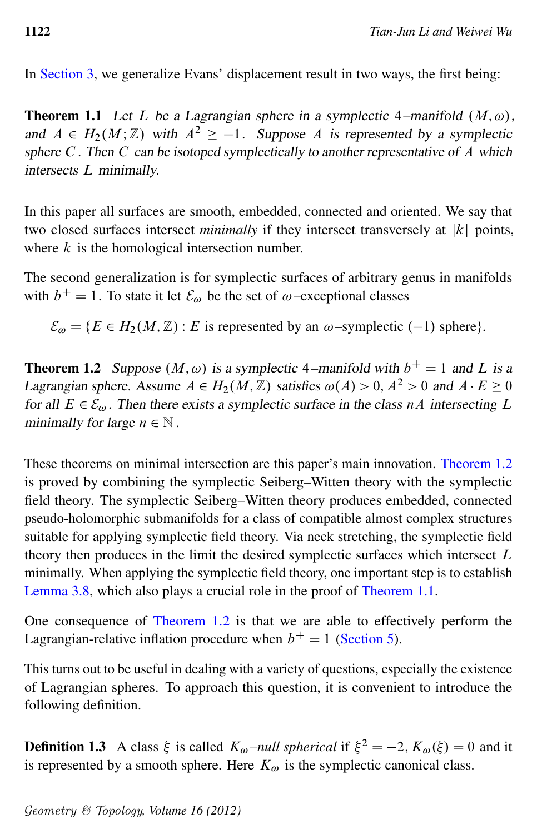<span id="page-1-1"></span>In [Section 3,](#page-12-0) we generalize Evans' displacement result in two ways, the first being:

**Theorem 1.1** Let L be a Lagrangian sphere in a symplectic 4–manifold  $(M, \omega)$ , and  $A \in H_2(M; \mathbb{Z})$  with  $A^2 \ge -1$ . Suppose A is represented by a symplectic sphere  $C$ . Then  $C$  can be isotoped symplectically to another representative of  $\overline{A}$  which intersects L minimally.

In this paper all surfaces are smooth, embedded, connected and oriented. We say that two closed surfaces intersect *minimally* if they intersect transversely at  $|k|$  points, where  $k$  is the homological intersection number.

The second generalization is for symplectic surfaces of arbitrary genus in manifolds with  $b^+ = 1$ . To state it let  $\mathcal{E}_{\omega}$  be the set of  $\omega$ -exceptional classes

 $\mathcal{E}_{\omega} = \{ E \in H_2(M, \mathbb{Z}) : E \text{ is represented by an } \omega \text{-symplectic } (-1) \text{ sphere} \}.$ 

<span id="page-1-0"></span>**Theorem 1.2** Suppose  $(M, \omega)$  is a symplectic 4–manifold with  $b^+ = 1$  and L is a Lagrangian sphere. Assume  $A \in H_2(M, \mathbb{Z})$  satisfies  $\omega(A) > 0$ ,  $A^2 > 0$  and  $A \cdot E \ge 0$ for all  $E \in \mathcal{E}_{\omega}$ . Then there exists a symplectic surface in the class nA intersecting L minimally for large  $n \in \mathbb{N}$ .

These theorems on minimal intersection are this paper's main innovation. [Theorem 1.2](#page-1-0) is proved by combining the symplectic Seiberg–Witten theory with the symplectic field theory. The symplectic Seiberg–Witten theory produces embedded, connected pseudo-holomorphic submanifolds for a class of compatible almost complex structures suitable for applying symplectic field theory. Via neck stretching, the symplectic field theory then produces in the limit the desired symplectic surfaces which intersect L minimally. When applying the symplectic field theory, one important step is to establish [Lemma 3.8,](#page-18-0) which also plays a crucial role in the proof of [Theorem 1.1.](#page-1-1)

One consequence of [Theorem 1.2](#page-1-0) is that we are able to effectively perform the Lagrangian-relative inflation procedure when  $b^+ = 1$  [\(Section 5\)](#page-30-0).

This turns out to be useful in dealing with a variety of questions, especially the existence of Lagrangian spheres. To approach this question, it is convenient to introduce the following definition.

<span id="page-1-2"></span>**Definition 1.3** A class  $\xi$  is called  $K_{\omega}$  *–null spherical* if  $\xi^2 = -2$ ,  $K_{\omega}(\xi) = 0$  and it is represented by a smooth sphere. Here  $K_{\omega}$  is the symplectic canonical class.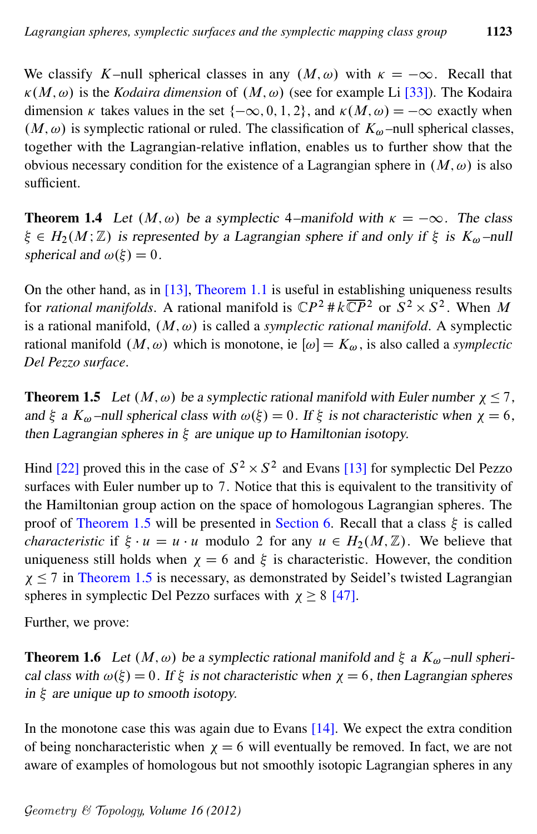We classify K–null spherical classes in any  $(M, \omega)$  with  $\kappa = -\infty$ . Recall that  $\kappa(M, \omega)$  is the *Kodaira dimension* of  $(M, \omega)$  (see for example Li [\[33\]](#page-47-0)). The Kodaira dimension  $\kappa$  takes values in the set  $\{-\infty, 0, 1, 2\}$ , and  $\kappa(M, \omega) = -\infty$  exactly when  $(M, \omega)$  is symplectic rational or ruled. The classification of  $K_{\omega}$  –null spherical classes, together with the Lagrangian-relative inflation, enables us to further show that the obvious necessary condition for the existence of a Lagrangian sphere in  $(M, \omega)$  is also sufficient.

<span id="page-2-1"></span>**Theorem 1.4** Let  $(M, \omega)$  be a symplectic 4–manifold with  $\kappa = -\infty$ . The class  $\xi \in H_2(M;\mathbb{Z})$  is represented by a Lagrangian sphere if and only if  $\xi$  is  $K_{\omega}$  –null spherical and  $\omega(\xi) = 0$ .

On the other hand, as in [\[13\]](#page-46-1), [Theorem 1.1](#page-1-1) is useful in establishing uniqueness results for *rational manifolds*. A rational manifold is  $\mathbb{C}P^2 \# k \overline{\mathbb{C}P}^2$  or  $S^2 \times S^2$ . When M is a rational manifold,  $(M, \omega)$  is called a *symplectic rational manifold*. A symplectic rational manifold  $(M, \omega)$  which is monotone, ie  $[\omega] = K_{\omega}$ , is also called a *symplectic Del Pezzo surface*.

<span id="page-2-0"></span>**Theorem 1.5** Let  $(M, \omega)$  be a symplectic rational manifold with Euler number  $\chi \le 7$ , and  $\xi$  a  $K_{\omega}$  –null spherical class with  $\omega(\xi) = 0$ . If  $\xi$  is not characteristic when  $\chi = 6$ , then Lagrangian spheres in  $\xi$  are unique up to Hamiltonian isotopy.

Hind [\[22\]](#page-46-0) proved this in the case of  $S^2 \times S^2$  and Evans [\[13\]](#page-46-1) for symplectic Del Pezzo surfaces with Euler number up to 7. Notice that this is equivalent to the transitivity of the Hamiltonian group action on the space of homologous Lagrangian spheres. The proof of [Theorem 1.5](#page-2-0) will be presented in [Section 6.](#page-37-0) Recall that a class  $\xi$  is called *characteristic* if  $\xi \cdot u = u \cdot u$  modulo 2 for any  $u \in H_2(M, \mathbb{Z})$ . We believe that uniqueness still holds when  $\chi = 6$  and  $\xi$  is characteristic. However, the condition  $\chi \leq 7$  in [Theorem 1.5](#page-2-0) is necessary, as demonstrated by Seidel's twisted Lagrangian spheres in symplectic Del Pezzo surfaces with  $\chi \geq 8$  [\[47\]](#page-48-1).

<span id="page-2-2"></span>Further, we prove:

**Theorem 1.6** Let  $(M, \omega)$  be a symplectic rational manifold and  $\xi$  a  $K_{\omega}$ -null spherical class with  $\omega(\xi) = 0$ . If  $\xi$  is not characteristic when  $\chi = 6$ , then Lagrangian spheres in  $\xi$  are unique up to smooth isotopy.

In the monotone case this was again due to Evans  $[14]$ . We expect the extra condition of being noncharacteristic when  $\chi = 6$  will eventually be removed. In fact, we are not aware of examples of homologous but not smoothly isotopic Lagrangian spheres in any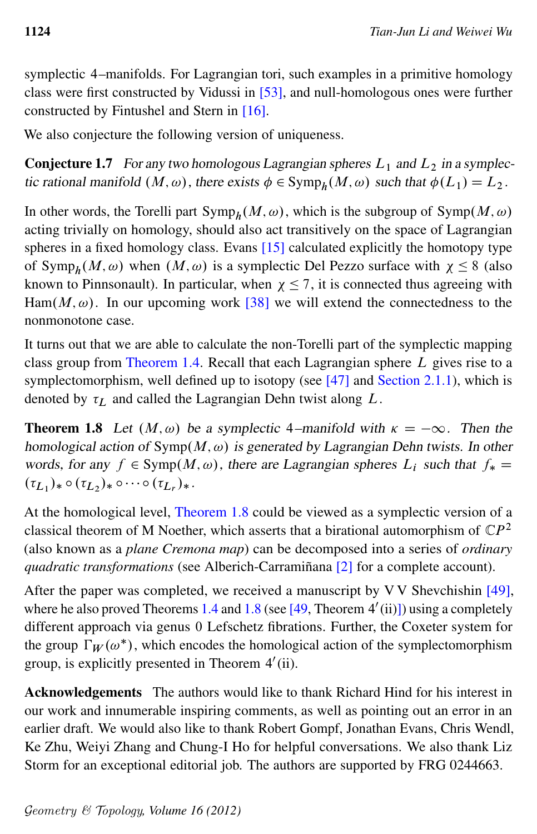symplectic 4–manifolds. For Lagrangian tori, such examples in a primitive homology class were first constructed by Vidussi in [\[53\]](#page-48-2), and null-homologous ones were further constructed by Fintushel and Stern in [\[16\]](#page-46-3).

We also conjecture the following version of uniqueness.

<span id="page-3-1"></span>**Conjecture 1.7** For any two homologous Lagrangian spheres  $L_1$  and  $L_2$  in a symplectic rational manifold  $(M, \omega)$ , there exists  $\phi \in \text{Symp}_h(M, \omega)$  such that  $\phi(L_1) = L_2$ .

In other words, the Torelli part  $\text{Symp}_h(M, \omega)$ , which is the subgroup of  $\text{Symp}(M, \omega)$ acting trivially on homology, should also act transitively on the space of Lagrangian spheres in a fixed homology class. Evans [\[15\]](#page-46-4) calculated explicitly the homotopy type of Symp<sub>h</sub> $(M, \omega)$  when  $(M, \omega)$  is a symplectic Del Pezzo surface with  $\chi \leq 8$  (also known to Pinnsonault). In particular, when  $\chi \le 7$ , it is connected thus agreeing with Ham $(M, \omega)$ . In our upcoming work [\[38\]](#page-47-1) we will extend the connectedness to the nonmonotone case.

It turns out that we are able to calculate the non-Torelli part of the symplectic mapping class group from [Theorem 1.4.](#page-2-1) Recall that each Lagrangian sphere L gives rise to a symplectomorphism, well defined up to isotopy (see [\[47\]](#page-48-1) and [Section 2.1.1\)](#page-4-0), which is denoted by  $\tau_L$  and called the Lagrangian Dehn twist along L.

<span id="page-3-0"></span>**Theorem 1.8** Let  $(M, \omega)$  be a symplectic 4–manifold with  $\kappa = -\infty$ . Then the homological action of  $Symp(M, \omega)$  is generated by Lagrangian Dehn twists. In other words, for any  $f \in \text{Symp}(M, \omega)$ , there are Lagrangian spheres  $L_i$  such that  $f_* =$  $(\tau_{L_1})_* \circ (\tau_{L_2})_* \circ \cdots \circ (\tau_{L_r})_*$ .

At the homological level, [Theorem 1.8](#page-3-0) could be viewed as a symplectic version of a classical theorem of M Noether, which asserts that a birational automorphism of  $\mathbb{C}P^2$ (also known as a *plane Cremona map*) can be decomposed into a series of *ordinary quadratic transformations* (see Alberich-Carramiñana [\[2\]](#page-45-0) for a complete account).

After the paper was completed, we received a manuscript by V V Shevchishin [\[49\]](#page-48-3), where he also proved Theorems [1.4](#page-2-1) and [1.8](#page-3-0) (see  $[49,$  Theorem  $4'$ (ii)]) using a completely different approach via genus 0 Lefschetz fibrations. Further, the Coxeter system for the group  $\Gamma_W(\omega^*)$ , which encodes the homological action of the symplectomorphism group, is explicitly presented in Theorem 4'(ii).

Acknowledgements The authors would like to thank Richard Hind for his interest in our work and innumerable inspiring comments, as well as pointing out an error in an earlier draft. We would also like to thank Robert Gompf, Jonathan Evans, Chris Wendl, Ke Zhu, Weiyi Zhang and Chung-I Ho for helpful conversations. We also thank Liz Storm for an exceptional editorial job. The authors are supported by FRG 0244663.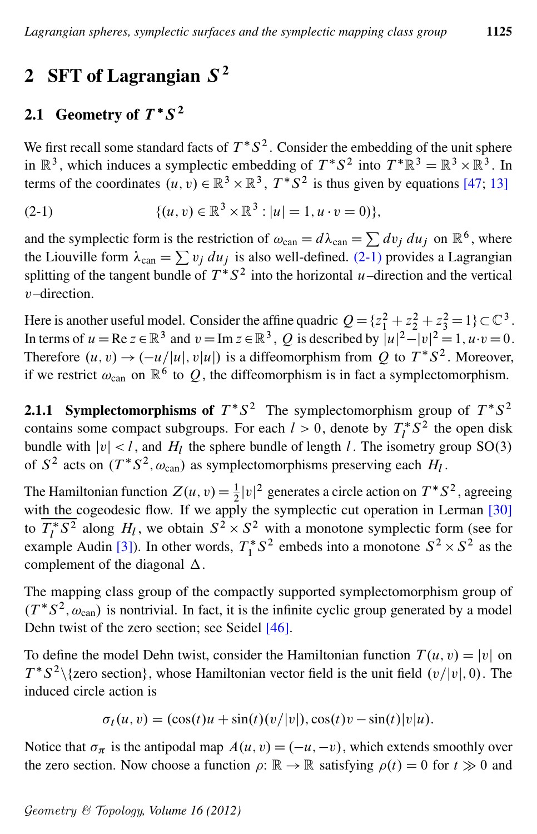# 2 SFT of Lagrangian  $S^2$

# 2.1 Geometry of  $T^*S^2$

<span id="page-4-1"></span>We first recall some standard facts of  $T^*S^2$ . Consider the embedding of the unit sphere in  $\mathbb{R}^3$ , which induces a symplectic embedding of  $T^*S^2$  into  $T^*\mathbb{R}^3 = \mathbb{R}^3 \times \mathbb{R}^3$ . In terms of the coordinates  $(u, v) \in \mathbb{R}^3 \times \mathbb{R}^3$ ,  $T^*S^2$  is thus given by equations [\[47;](#page-48-1) [13\]](#page-46-1)

(2-1) 
$$
\{(u,v) \in \mathbb{R}^3 \times \mathbb{R}^3 : |u| = 1, u \cdot v = 0)\},\
$$

and the symplectic form is the restriction of  $\omega_{\text{can}} = d\lambda_{\text{can}} = \sum dv_j du_j$  on  $\mathbb{R}^6$ , where the Liouville form  $\lambda_{\text{can}} = \sum v_j du_j$  is also well-defined. [\(2-1\)](#page-4-1) provides a Lagrangian splitting of the tangent bundle of  $T^*S^2$  into the horizontal u–direction and the vertical v–direction.

Here is another useful model. Consider the affine quadric  $Q = \{z_1^2 + z_2^2 + z_3^2 = 1\} \subset \mathbb{C}^3$ . In terms of  $u = \text{Re } z \in \mathbb{R}^3$  and  $v = \text{Im } z \in \mathbb{R}^3$ , Q is described by  $|u|^2 - |v|^2 = 1$ ,  $u \cdot v = 0$ . Therefore  $(u, v) \rightarrow (-u/|u|, v|u|)$  is a diffeomorphism from Q to  $T^*S^2$ . Moreover, if we restrict  $\omega_{\text{can}}$  on  $\mathbb{R}^6$  to  $Q$ , the diffeomorphism is in fact a symplectomorphism.

<span id="page-4-0"></span>**2.1.1 Symplectomorphisms of**  $T^*S^2$  The symplectomorphism group of  $T^*S^2$ contains some compact subgroups. For each  $l > 0$ , denote by  $T_l^*$  $l<sup>*</sup> S<sup>2</sup>$  the open disk bundle with  $|v| < l$ , and  $H_l$  the sphere bundle of length l. The isometry group SO(3) of  $S^2$  acts on  $(T^*S^2, \omega_{\text{can}})$  as symplectomorphisms preserving each  $H_l$ .

The Hamiltonian function  $Z(u, v) = \frac{1}{2} |v|^2$  generates a circle action on  $T^*S^2$ , agreeing with the cogeodesic flow. If we apply the symplectic cut operation in Lerman [\[30\]](#page-47-2) to  $\overline{T_I^*}$  $\frac{1}{l}$  S<sup>2</sup> along H<sub>l</sub>, we obtain  $S^2 \times S^2$  with a monotone symplectic form (see for example Audin [\[3\]](#page-45-1)). In other words,  $T_1^*$  $1^*S^2$  embeds into a monotone  $S^2 \times S^2$  as the complement of the diagonal  $\Delta$ .

The mapping class group of the compactly supported symplectomorphism group of  $(T^*S^2, \omega_{\text{can}})$  is nontrivial. In fact, it is the infinite cyclic group generated by a model Dehn twist of the zero section; see Seidel [\[46\]](#page-48-4).

To define the model Dehn twist, consider the Hamiltonian function  $T(u, v) = |v|$  on  $T^*S^2 \setminus \{$ zero section $\}$ , whose Hamiltonian vector field is the unit field  $(v/|v|, 0)$ . The induced circle action is

$$
\sigma_t(u, v) = (\cos(t)u + \sin(t)(v/|v|), \cos(t)v - \sin(t)|v|u).
$$

Notice that  $\sigma_{\pi}$  is the antipodal map  $A(u, v) = (-u, -v)$ , which extends smoothly over the zero section. Now choose a function  $\rho: \mathbb{R} \to \mathbb{R}$  satisfying  $\rho(t) = 0$  for  $t \gg 0$  and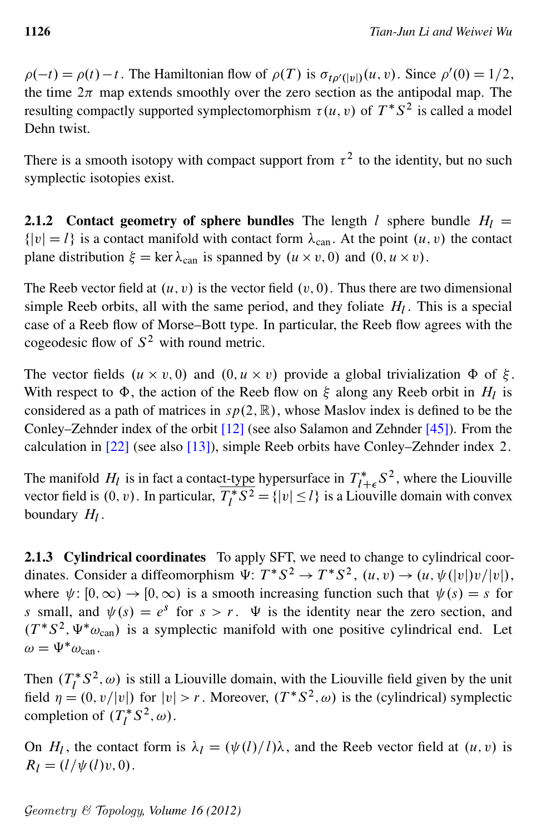$\rho(-t) = \rho(t) - t$ . The Hamiltonian flow of  $\rho(T)$  is  $\sigma_{t\rho'(|v|)}(u, v)$ . Since  $\rho'(0) = 1/2$ , the time  $2\pi$  map extends smoothly over the zero section as the antipodal map. The resulting compactly supported symplectomorphism  $\tau(u, v)$  of  $T^*S^2$  is called a model Dehn twist.

There is a smooth isotopy with compact support from  $\tau^2$  to the identity, but no such symplectic isotopies exist.

2.1.2 Contact geometry of sphere bundles The length l sphere bundle  $H_l =$  $\{|v| = l\}$  is a contact manifold with contact form  $\lambda_{can}$ . At the point  $(u, v)$  the contact plane distribution  $\xi = \ker \lambda_{\text{can}}$  is spanned by  $(u \times v, 0)$  and  $(0, u \times v)$ .

The Reeb vector field at  $(u, v)$  is the vector field  $(v, 0)$ . Thus there are two dimensional simple Reeb orbits, all with the same period, and they foliate  $H_l$ . This is a special case of a Reeb flow of Morse–Bott type. In particular, the Reeb flow agrees with the cogeodesic flow of  $S^2$  with round metric.

The vector fields  $(u \times v, 0)$  and  $(0, u \times v)$  provide a global trivialization  $\Phi$  of  $\xi$ . With respect to  $\Phi$ , the action of the Reeb flow on  $\xi$  along any Reeb orbit in  $H_l$  is considered as a path of matrices in  $sp(2, \mathbb{R})$ , whose Maslov index is defined to be the Conley–Zehnder index of the orbit [\[12\]](#page-46-5) (see also Salamon and Zehnder [\[45\]](#page-48-5)). From the calculation in [\[22\]](#page-46-0) (see also [\[13\]](#page-46-1)), simple Reeb orbits have Conley–Zehnder index 2.

The manifold  $H_l$  is in fact a contact-type hypersurface in  $T_{l-1}^*$  $l^*_{\mathcal{I}+\epsilon} S^2$ , where the Liouville vector field is  $(0, v)$ . In particular,  $\overline{T_i^*}$  $\overline{l}^*S^2 = { |v| \le l }$  is a Liouville domain with convex boundary  $H_l$ .

2.1.3 Cylindrical coordinates To apply SFT, we need to change to cylindrical coordinates. Consider a diffeomorphism  $\Psi: T^*S^2 \to T^*S^2$ ,  $(u, v) \to (u, \psi(|v|)v/|v|)$ , where  $\psi: [0, \infty) \to [0, \infty)$  is a smooth increasing function such that  $\psi(s) = s$  for s small, and  $\psi(s) = e^s$  for  $s > r$ .  $\Psi$  is the identity near the zero section, and  $(T^*S^2, \Psi^* \omega_{\text{can}})$  is a symplectic manifold with one positive cylindrical end. Let  $\omega = \Psi^* \omega_{\text{can}}$ .

Then  $(T_I^*)$  $\int_l^* S^2$ ,  $\omega$ ) is still a Liouville domain, with the Liouville field given by the unit field  $\eta = (0, v/|v|)$  for  $|v| > r$ . Moreover,  $(T^*S^2, \omega)$  is the (cylindrical) symplectic completion of  $(T_t^*)$  $i^*S^2, \omega$ .

On  $H_l$ , the contact form is  $\lambda_l = (\psi(l)/l)\lambda$ , and the Reeb vector field at  $(u, v)$  is  $R_l = (l/\psi(l)v, 0).$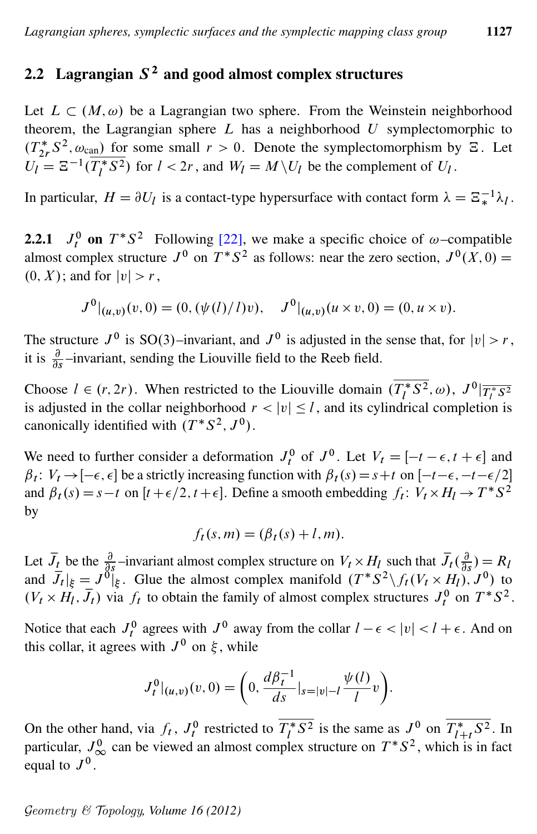## <span id="page-6-0"></span>2.2 Lagrangian  $S^2$  and good almost complex structures

Let  $L \subset (M, \omega)$  be a Lagrangian two sphere. From the Weinstein neighborhood theorem, the Lagrangian sphere  $L$  has a neighborhood  $U$  symplectomorphic to  $(T_{2r}^*S^2, \omega_{\text{can}})$  for some small  $r > 0$ . Denote the symplectomorphism by  $\Xi$ . Let  $U_l = \Xi^{-1}(\overline{T_l^*})$  $\overline{U_l^*S^2}$ ) for  $l < 2r$ , and  $W_l = M \setminus U_l$  be the complement of  $U_l$ .

In particular,  $H = \partial U_l$  is a contact-type hypersurface with contact form  $\lambda = \Xi_*^{-1} \lambda_l$ .

**2.2.1**  $J_t^0$  on  $T^*S^2$  Following [\[22\]](#page-46-0), we make a specific choice of  $\omega$ -compatible almost complex structure  $J^0$  on  $T^*S^2$  as follows: near the zero section,  $J^0(X,0)$  =  $(0, X)$ ; and for  $|v| > r$ ,

$$
J^{0}|_{(u,v)}(v,0) = (0, (\psi(l)/l)v), \quad J^{0}|_{(u,v)}(u \times v, 0) = (0, u \times v).
$$

The structure  $J^0$  is SO(3)-invariant, and  $J^0$  is adjusted in the sense that, for  $|v| > r$ , it is  $\frac{\partial}{\partial s}$ -invariant, sending the Liouville field to the Reeb field.

Choose  $l \in (r, 2r)$ . When restricted to the Liouville domain  $\overline{(T_l^*)}$  $\frac{J^*S^2}{l}, \omega), \; J^0|\overline{T^*_lS^2}$ is adjusted in the collar neighborhood  $r < |v| \leq l$ , and its cylindrical completion is canonically identified with  $(T^*S^2, J^0)$ .

We need to further consider a deformation  $J_t^0$  of  $J^0$ . Let  $V_t = [-t - \epsilon, t + \epsilon]$  and  $\beta_t$ :  $V_t \rightarrow [-\epsilon, \epsilon]$  be a strictly increasing function with  $\beta_t(s) = s+t$  on  $[-t-\epsilon, -t-\epsilon/2]$ and  $\beta_t(s) = s - t$  on  $[t + \epsilon/2, t + \epsilon]$ . Define a smooth embedding  $f_t: V_t \times H_l \to T^*S^2$ by

$$
f_t(s,m) = (\beta_t(s) + l, m).
$$

Let  $\bar{J}_t$  be the  $\frac{\partial}{\partial s}$ -invariant almost complex structure on  $V_t \times H_l$  such that  $\bar{J}_t(\frac{\partial}{\partial s})$  $\frac{\partial}{\partial s}$ ) = R<sub>l</sub> and  $\dot{\bar{J}}_t|_{\xi} = J^{\delta}$  Glue the almost complex manifold  $(T^*S^2 \setminus f_t(V_t \times H_t), J^0)$  to  $(V_t \times H_l, \bar{J}_t)$  via  $f_t$  to obtain the family of almost complex structures  $J_t^0$  on  $T^*S^2$ .

Notice that each  $J_t^0$  agrees with  $J^0$  away from the collar  $l - \epsilon < |v| < l + \epsilon$ . And on this collar, it agrees with  $J^0$  on  $\xi$ , while

$$
J_t^0|_{(u,v)}(v,0) = \bigg(0, \frac{d\beta_t^{-1}}{ds}|_{s=|v|-l}\frac{\psi(l)}{l}v\bigg).
$$

On the other hand, via  $f_t$ ,  $J_t^0$  restricted to  $\overline{T_t^*}$  $\sqrt{\frac{s}{l}}$  is the same as  $J^0$  on  $\overline{T_{l+1}^*}$  $\int_{l+t}^{*} S^2$ . In particular,  $J_{\infty}^0$  can be viewed an almost complex structure on  $T^*S^2$ , which is in fact equal to  $J^0$ .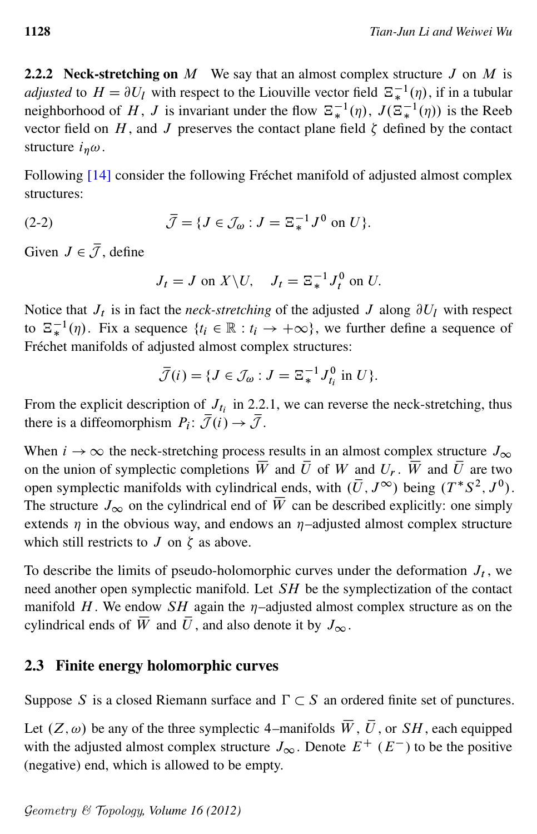<span id="page-7-0"></span>2.2.2 Neck-stretching on  $M$  We say that an almost complex structure  $J$  on  $M$  is *adjusted* to  $H = \partial U_l$  with respect to the Liouville vector field  $\mathbb{E}_*^{-1}(\eta)$ , if in a tubular neighborhood of H, J is invariant under the flow  $\Xi_*^{-1}(\eta)$ ,  $J(\Xi_*^{-1}(\eta))$  is the Reeb vector field on H, and J preserves the contact plane field  $\zeta$  defined by the contact structure  $i_n \omega$ .

Following [\[14\]](#page-46-2) consider the following Fréchet manifold of adjusted almost complex structures:

(2-2) 
$$
\overline{\mathcal{J}} = \{J \in \mathcal{J}_{\omega} : J = \Xi_*^{-1} J^0 \text{ on } U\}.
$$

Given  $J \in \overline{\mathcal{J}}$ , define

$$
J_t = J \text{ on } X \backslash U, \quad J_t = \Xi_*^{-1} J_t^0 \text{ on } U.
$$

Notice that  $J_t$  is in fact the *neck-stretching* of the adjusted  $J$  along  $\partial U_l$  with respect to  $\Xi_*^{-1}(\eta)$ . Fix a sequence  $\{t_i \in \mathbb{R} : t_i \to +\infty\}$ , we further define a sequence of Fréchet manifolds of adjusted almost complex structures:

$$
\overline{\mathcal{J}}(i) = \{ J \in \mathcal{J}_{\omega} : J = \Xi_*^{-1} J_{t_i}^0 \text{ in } U \}.
$$

From the explicit description of  $J_{t_i}$  in 2.2.1, we can reverse the neck-stretching, thus there is a diffeomorphism  $P_i: \overline{\mathcal{J}}(i) \rightarrow \overline{\mathcal{J}}$ .

When  $i \to \infty$  the neck-stretching process results in an almost complex structure  $J_{\infty}$ on the union of symplectic completions  $\overline{W}$  and  $\overline{U}$  of W and  $U_r$ .  $\overline{W}$  and  $\overline{U}$  are two open symplectic manifolds with cylindrical ends, with  $(\overline{U}, J^{\infty})$  being  $(T^*S^2, J^0)$ . The structure  $J_{\infty}$  on the cylindrical end of  $\overline{W}$  can be described explicitly: one simply extends  $\eta$  in the obvious way, and endows an  $\eta$ -adjusted almost complex structure which still restricts to  $J$  on  $\zeta$  as above.

To describe the limits of pseudo-holomorphic curves under the deformation  $J_t$ , we need another open symplectic manifold. Let SH be the symplectization of the contact manifold H. We endow  $SH$  again the  $\eta$ -adjusted almost complex structure as on the cylindrical ends of  $\overline{W}$  and  $\overline{U}$ , and also denote it by  $J_{\infty}$ .

## 2.3 Finite energy holomorphic curves

Suppose S is a closed Riemann surface and  $\Gamma \subset S$  an ordered finite set of punctures.

Let  $(Z, \omega)$  be any of the three symplectic 4–manifolds  $\overline{W}$ ,  $\overline{U}$ , or SH, each equipped with the adjusted almost complex structure  $J_{\infty}$ . Denote  $E^+(E^-)$  to be the positive (negative) end, which is allowed to be empty.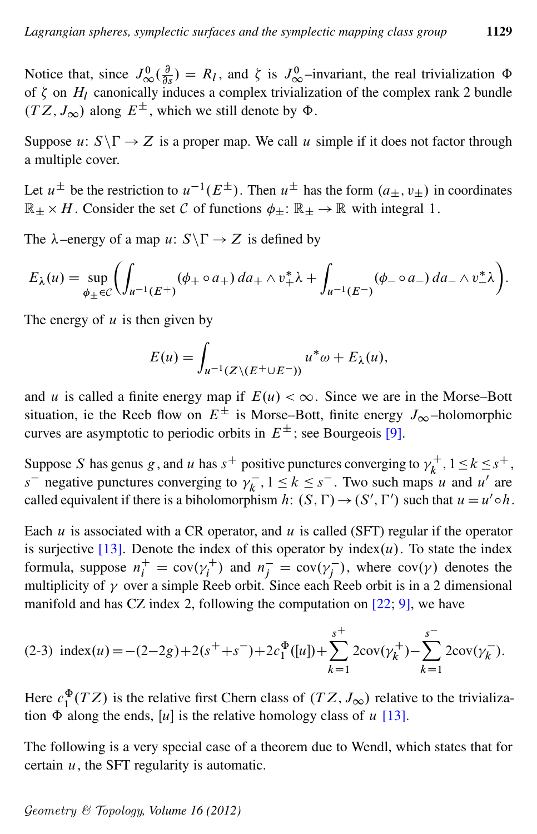Notice that, since  $J^0_{\infty}(\frac{\partial}{\partial \theta})$  $\frac{\partial}{\partial s}$ ) =  $R_l$ , and  $\zeta$  is  $J^0_{\infty}$ -invariant, the real trivialization  $\Phi$ of  $\zeta$  on  $H_1$  canonically induces a complex trivialization of the complex rank 2 bundle  $(TZ, J_{\infty})$  along  $E^{\pm}$ , which we still denote by  $\Phi$ .

Suppose  $u: S\Gamma \rightarrow Z$  is a proper map. We call u simple if it does not factor through a multiple cover.

Let  $u^{\pm}$  be the restriction to  $u^{-1}(E^{\pm})$ . Then  $u^{\pm}$  has the form  $(a_{\pm}, v_{\pm})$  in coordinates  $\mathbb{R}_{\pm} \times H$ . Consider the set C of functions  $\phi_{\pm} : \mathbb{R}_{\pm} \to \mathbb{R}$  with integral 1.

The  $\lambda$ -energy of a map u:  $S \backslash \Gamma \rightarrow Z$  is defined by

$$
E_{\lambda}(u) = \sup_{\phi_{\pm} \in \mathcal{C}} \left( \int_{u^{-1}(E^+)} (\phi_+ \circ a_+) \, da_+ \wedge v_+^* \lambda + \int_{u^{-1}(E^-)} (\phi_- \circ a_-) \, da_- \wedge v_-^* \lambda \right).
$$

The energy of  $u$  is then given by

<span id="page-8-0"></span>
$$
E(u) = \int_{u^{-1}(Z \setminus (E^+ \cup E^-))} u^* \omega + E_{\lambda}(u),
$$

and u is called a finite energy map if  $E(u) < \infty$ . Since we are in the Morse–Bott situation, ie the Reeb flow on  $E^{\pm}$  is Morse–Bott, finite energy  $J_{\infty}$ –holomorphic curves are asymptotic to periodic orbits in  $E^{\pm}$ ; see Bourgeois [\[9\]](#page-45-2).

Suppose S has genus g, and u has  $s^+$  positive punctures converging to  $\gamma_k^+$  $k^+, 1 \leq k \leq s^+,$  $s^{-}$  negative punctures converging to  $v_k^{-}$  $k \leq k \leq s^{-}$ . Two such maps u and u' are called equivalent if there is a biholomorphism h:  $(S, \Gamma) \rightarrow (S', \Gamma')$  such that  $u = u' \circ h$ .

Each  $u$  is associated with a CR operator, and  $u$  is called (SFT) regular if the operator is surjective [\[13\]](#page-46-1). Denote the index of this operator by index $(u)$ . To state the index formula, suppose  $n_i^+ = \text{cov}(\gamma_i^+)$  and  $n_j^- = \text{cov}(\gamma_j^-)$ , where  $\text{cov}(\gamma)$  denotes the multiplicity of  $\gamma$  over a simple Reeb orbit. Since each Reeb orbit is in a 2 dimensional manifold and has CZ index 2, following the computation on  $[22; 9]$  $[22; 9]$  $[22; 9]$ , we have

(2-3) index(u) = -(2-2g) + 2(s<sup>+</sup> + s<sup>-</sup>) + 2c<sub>1</sub><sup>Φ</sup>([u]) + 
$$
\sum_{k=1}^{s^{+}}
$$
 2cov( $\gamma_{k}^{+}$ ) -  $\sum_{k=1}^{s^{-}}$  2cov( $\gamma_{k}^{-}$ ).

Here  $c_1^{\Phi}(TZ)$  is the relative first Chern class of  $(TZ, J_{\infty})$  relative to the trivialization  $\Phi$  along the ends, [u] is the relative homology class of u [\[13\]](#page-46-1).

The following is a very special case of a theorem due to Wendl, which states that for certain  $u$ , the SFT regularity is automatic.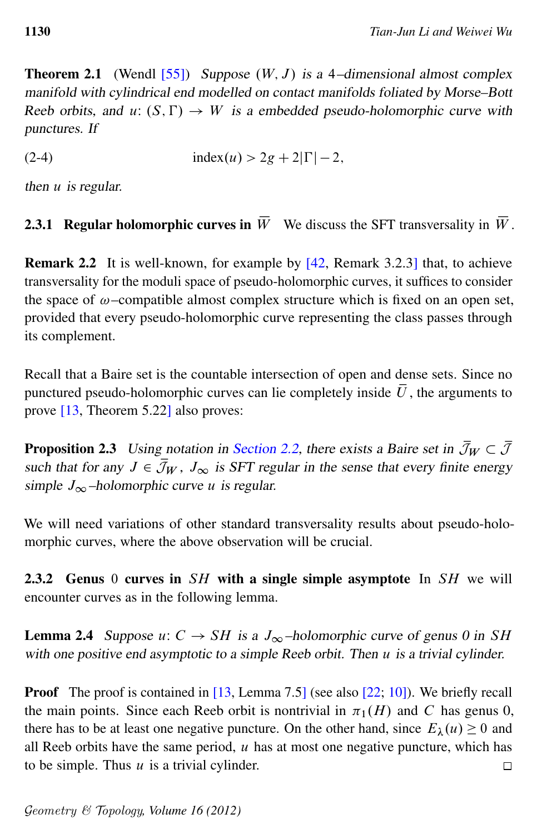<span id="page-9-0"></span>manifold with cylindrical end modelled on contact manifolds foliated by Morse–Bott Reeb orbits, and u:  $(S, \Gamma) \rightarrow W$  is a embedded pseudo-holomorphic curve with punctures. If

(2-4) 
$$
index(u) > 2g + 2|\Gamma| - 2
$$
,

then  $u$  is regular.

<span id="page-9-1"></span>**2.3.1 Regular holomorphic curves in**  $\overline{W}$  We discuss the SFT transversality in  $\overline{W}$ .

Remark 2.2 It is well-known, for example by [\[42,](#page-47-3) Remark 3.2.3] that, to achieve transversality for the moduli space of pseudo-holomorphic curves, it suffices to consider the space of  $\omega$ –compatible almost complex structure which is fixed on an open set, provided that every pseudo-holomorphic curve representing the class passes through its complement.

Recall that a Baire set is the countable intersection of open and dense sets. Since no punctured pseudo-holomorphic curves can lie completely inside  $\overline{U}$ , the arguments to prove [\[13,](#page-46-1) Theorem 5.22] also proves:

<span id="page-9-2"></span>**Proposition 2.3** Using notation in [Section 2.2,](#page-6-0) there exists a Baire set in  $\bar{\mathcal{J}}_W \subset \bar{\mathcal{J}}$ such that for any  $J \in \overline{\mathcal{J}}_W$ ,  $J_\infty$  is SFT regular in the sense that every finite energy simple  $J_{\infty}$ -holomorphic curve u is regular.

We will need variations of other standard transversality results about pseudo-holomorphic curves, where the above observation will be crucial.

2.3.2 Genus 0 curves in  $SH$  with a single simple asymptote In  $SH$  we will encounter curves as in the following lemma.

<span id="page-9-3"></span>**Lemma 2.4** Suppose  $u: C \to SH$  is a  $J_{\infty}$ -holomorphic curve of genus 0 in SH with one positive end asymptotic to a simple Reeb orbit. Then  $u$  is a trivial cylinder.

Proof The proof is contained in [\[13,](#page-46-1) Lemma 7.5] (see also [\[22;](#page-46-0) [10\]](#page-45-3)). We briefly recall the main points. Since each Reeb orbit is nontrivial in  $\pi_1(H)$  and C has genus 0, there has to be at least one negative puncture. On the other hand, since  $E_{\lambda}(u) \ge 0$  and all Reeb orbits have the same period,  $u$  has at most one negative puncture, which has to be simple. Thus  $u$  is a trivial cylinder.  $\Box$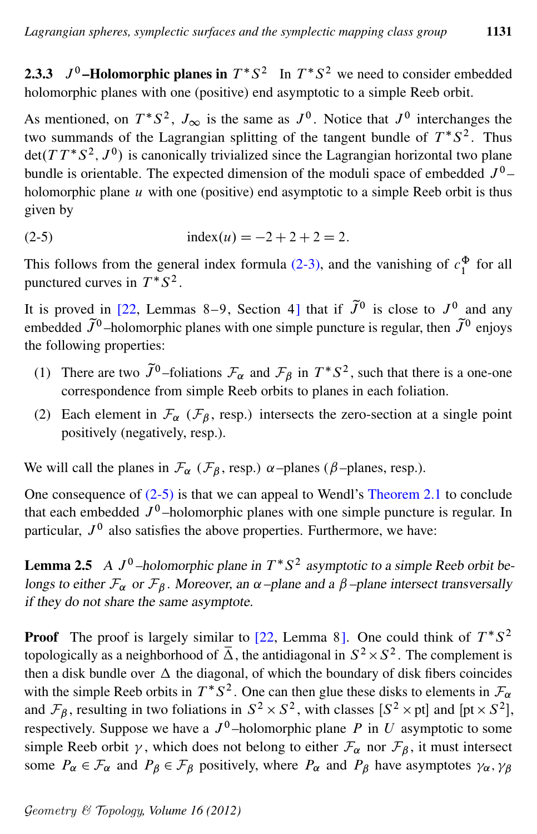**2.3.3**  $J^0$ -Holomorphic planes in  $T^*S^2$  In  $T^*S^2$  we need to consider embedded holomorphic planes with one (positive) end asymptotic to a simple Reeb orbit.

As mentioned, on  $T^*S^2$ ,  $J_{\infty}$  is the same as  $J^0$ . Notice that  $J^0$  interchanges the two summands of the Lagrangian splitting of the tangent bundle of  $T^*S^2$ . Thus  $\det(T T^* S^2, J^0)$  is canonically trivialized since the Lagrangian horizontal two plane bundle is orientable. The expected dimension of the moduli space of embedded  $J^0$  – holomorphic plane  $u$  with one (positive) end asymptotic to a simple Reeb orbit is thus given by

<span id="page-10-0"></span>(2-5) index.u/ D 2 C 2 C 2 D 2:

This follows from the general index formula [\(2-3\),](#page-8-0) and the vanishing of  $c_1^{\Phi}$  for all punctured curves in  $T^*S^2$ .

It is proved in [\[22,](#page-46-0) Lemmas 8–9, Section 4] that if  $\tilde{J}^0$  is close to  $J^0$  and any embedded  $\tilde{J}^0$ -holomorphic planes with one simple puncture is regular, then  $\tilde{J}^0$  enjoys the following properties:

- (1) There are two  $\tilde{J}^0$ -foliations  $\mathcal{F}_{\alpha}$  and  $\mathcal{F}_{\beta}$  in  $T^*S^2$ , such that there is a one-one correspondence from simple Reeb orbits to planes in each foliation.
- (2) Each element in  $\mathcal{F}_{\alpha}$  ( $\mathcal{F}_{\beta}$ , resp.) intersects the zero-section at a single point positively (negatively, resp.).

We will call the planes in  $\mathcal{F}_{\alpha}$  ( $\mathcal{F}_{\beta}$ , resp.)  $\alpha$ -planes ( $\beta$ -planes, resp.).

One consequence of [\(2-5\)](#page-10-0) is that we can appeal to Wendl's [Theorem 2.1](#page-9-0) to conclude that each embedded  $J^0$ -holomorphic planes with one simple puncture is regular. In particular,  $J^0$  also satisfies the above properties. Furthermore, we have:

<span id="page-10-1"></span>**Lemma 2.5** A  $J^0$ -holomorphic plane in  $T^*S^2$  asymptotic to a simple Reeb orbit belongs to either  $\mathcal{F}_{\alpha}$  or  $\mathcal{F}_{\beta}$ . Moreover, an  $\alpha$ –plane and a  $\beta$ –plane intersect transversally if they do not share the same asymptote.

**Proof** The proof is largely similar to [\[22,](#page-46-0) Lemma 8]. One could think of  $T^*S^2$ topologically as a neighborhood of  $\overline{\Delta}$ , the antidiagonal in  $S^2 \times S^2$ . The complement is then a disk bundle over  $\Delta$  the diagonal, of which the boundary of disk fibers coincides with the simple Reeb orbits in  $T^*S^2$ . One can then glue these disks to elements in  $\mathcal{F}_{\alpha}$ and  $\mathcal{F}_{\beta}$ , resulting in two foliations in  $S^2 \times S^2$ , with classes  $[S^2 \times pt]$  and  $[pt \times S^2]$ , respectively. Suppose we have a  $J^0$ -holomorphic plane P in U asymptotic to some simple Reeb orbit  $\gamma$ , which does not belong to either  $\mathcal{F}_{\alpha}$  nor  $\mathcal{F}_{\beta}$ , it must intersect some  $P_{\alpha} \in \mathcal{F}_{\alpha}$  and  $P_{\beta} \in \mathcal{F}_{\beta}$  positively, where  $P_{\alpha}$  and  $P_{\beta}$  have asymptotes  $\gamma_{\alpha}, \gamma_{\beta}$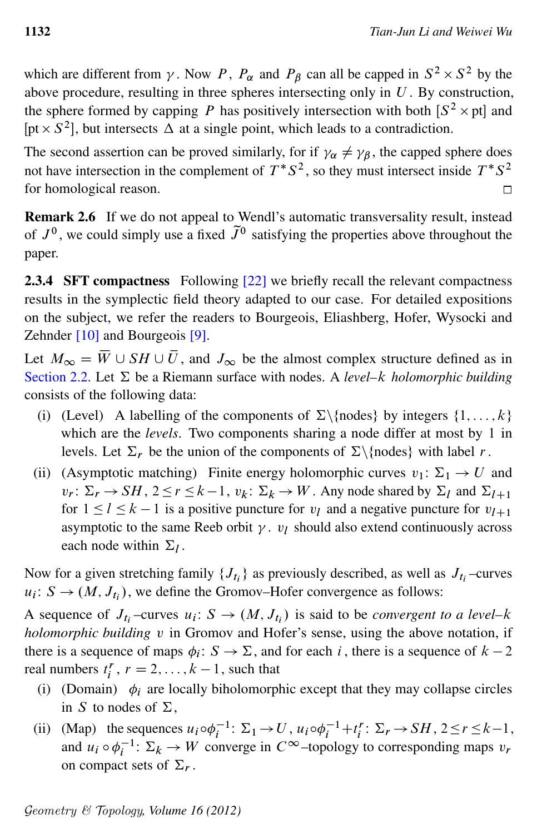which are different from  $\gamma$ . Now P,  $P_{\alpha}$  and  $P_{\beta}$  can all be capped in  $S^2 \times S^2$  by the above procedure, resulting in three spheres intersecting only in  $U$ . By construction, the sphere formed by capping P has positively intersection with both  $[S^2 \times pt]$  and [pt  $\times S^2$ ], but intersects  $\Delta$  at a single point, which leads to a contradiction.

The second assertion can be proved similarly, for if  $\gamma_{\alpha} \neq \gamma_{\beta}$ , the capped sphere does not have intersection in the complement of  $T^*S^2$ , so they must intersect inside  $T^*S^2$ for homological reason.  $\Box$ 

Remark 2.6 If we do not appeal to Wendl's automatic transversality result, instead of  $J^0$ , we could simply use a fixed  $\tilde{J}^0$  satisfying the properties above throughout the paper.

<span id="page-11-0"></span>2.3.4 SFT compactness Following [\[22\]](#page-46-0) we briefly recall the relevant compactness results in the symplectic field theory adapted to our case. For detailed expositions on the subject, we refer the readers to Bourgeois, Eliashberg, Hofer, Wysocki and Zehnder [\[10\]](#page-45-3) and Bourgeois [\[9\]](#page-45-2).

Let  $M_{\infty} = \overline{W} \cup SH \cup \overline{U}$ , and  $J_{\infty}$  be the almost complex structure defined as in [Section 2.2.](#page-6-0) Let  $\Sigma$  be a Riemann surface with nodes. A *level–k holomorphic building* consists of the following data:

- (i) (Level) A labelling of the components of  $\Sigma\{\text{nodes}\}$  by integers  $\{1, \ldots, k\}$ which are the *levels*. Two components sharing a node differ at most by 1 in levels. Let  $\Sigma_r$  be the union of the components of  $\Sigma \setminus \{nodes\}$  with label r.
- (ii) (Asymptotic matching) Finite energy holomorphic curves  $v_1: \Sigma_1 \rightarrow U$  and  $v_r: \Sigma_r \to SH$ ,  $2 \le r \le k-1$ ,  $v_k: \Sigma_k \to W$ . Any node shared by  $\Sigma_l$  and  $\Sigma_{l+1}$ for  $1 \leq l \leq k - 1$  is a positive puncture for  $v_l$  and a negative puncture for  $v_{l+1}$ asymptotic to the same Reeb orbit  $\gamma$ .  $v_l$  should also extend continuously across each node within  $\Sigma_l$ .

Now for a given stretching family  $\{J_{t_i}\}\$ as previously described, as well as  $J_{t_i}$ -curves  $u_i: S \to (M, J_{t_i})$ , we define the Gromov–Hofer convergence as follows:

A sequence of  $J_{t_i}$ -curves  $u_i: S \to (M, J_{t_i})$  is said to be *convergent to a level*-k *holomorphic building* v in Gromov and Hofer's sense, using the above notation, if there is a sequence of maps  $\phi_i : S \to \Sigma$ , and for each i, there is a sequence of  $k - 2$ real numbers  $t_i^r$ ,  $r = 2, ..., k - 1$ , such that

- (i) (Domain)  $\phi_i$  are locally biholomorphic except that they may collapse circles in S to nodes of  $\Sigma$ ,
- (ii) (Map) the sequences  $u_i \circ \phi_i^{-1} \colon \Sigma_1 \to U$ ,  $u_i \circ \phi_i^{-1} + t_i^r \colon \Sigma_r \to SH$ ,  $2 \le r \le k-1$ , and  $u_i \circ \phi_i^{-1}$ :  $\Sigma_k \to W$  converge in  $C^\infty$ -topology to corresponding maps  $v_r$ on compact sets of  $\Sigma_r$ .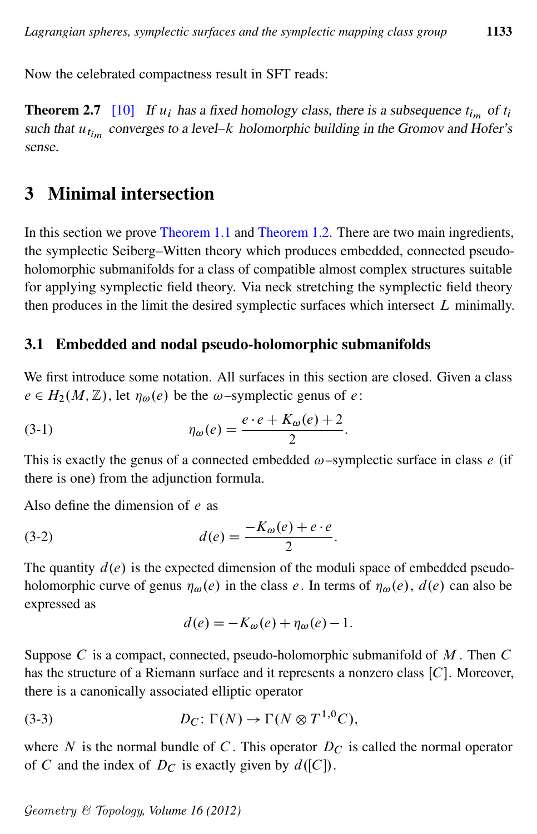<span id="page-12-4"></span>Now the celebrated compactness result in SFT reads:

**Theorem 2.7** [\[10\]](#page-45-3) If  $u_i$  has a fixed homology class, there is a subsequence  $t_{i_m}$  of  $t_i$ such that  $u_{t_{im}}$  converges to a level- $k$  holomorphic building in the Gromov and Hofer's sense.

# <span id="page-12-0"></span>3 Minimal intersection

In this section we prove [Theorem 1.1](#page-1-1) and [Theorem 1.2.](#page-1-0) There are two main ingredients, the symplectic Seiberg–Witten theory which produces embedded, connected pseudoholomorphic submanifolds for a class of compatible almost complex structures suitable for applying symplectic field theory. Via neck stretching the symplectic field theory then produces in the limit the desired symplectic surfaces which intersect  $L$  minimally.

#### 3.1 Embedded and nodal pseudo-holomorphic submanifolds

We first introduce some notation. All surfaces in this section are closed. Given a class  $e \in H_2(M, \mathbb{Z})$ , let  $\eta_\omega(e)$  be the  $\omega$ –symplectic genus of e:

(3-1) 
$$
\eta_{\omega}(e) = \frac{e \cdot e + K_{\omega}(e) + 2}{2}.
$$

This is exactly the genus of a connected embedded  $\omega$ –symplectic surface in class e (if there is one) from the adjunction formula.

Also define the dimension of e as

$$
(3-2) \t d(e) = \frac{-K_{\omega}(e) + e \cdot e}{2}
$$

The quantity  $d(e)$  is the expected dimension of the moduli space of embedded pseudoholomorphic curve of genus  $\eta_{\omega}(e)$  in the class e. In terms of  $\eta_{\omega}(e)$ ,  $d(e)$  can also be expressed as

<span id="page-12-3"></span><span id="page-12-2"></span>:

<span id="page-12-1"></span>
$$
d(e) = -K_{\omega}(e) + \eta_{\omega}(e) - 1.
$$

Suppose  $C$  is a compact, connected, pseudo-holomorphic submanifold of  $M$ . Then  $C$ has the structure of a Riemann surface and it represents a nonzero class  $[C]$ . Moreover, there is a canonically associated elliptic operator

(3-3) 
$$
D_C: \Gamma(N) \to \Gamma(N \otimes T^{1,0}C),
$$

where N is the normal bundle of C. This operator  $D<sub>C</sub>$  is called the normal operator of C and the index of  $D<sub>C</sub>$  is exactly given by  $d([C])$ .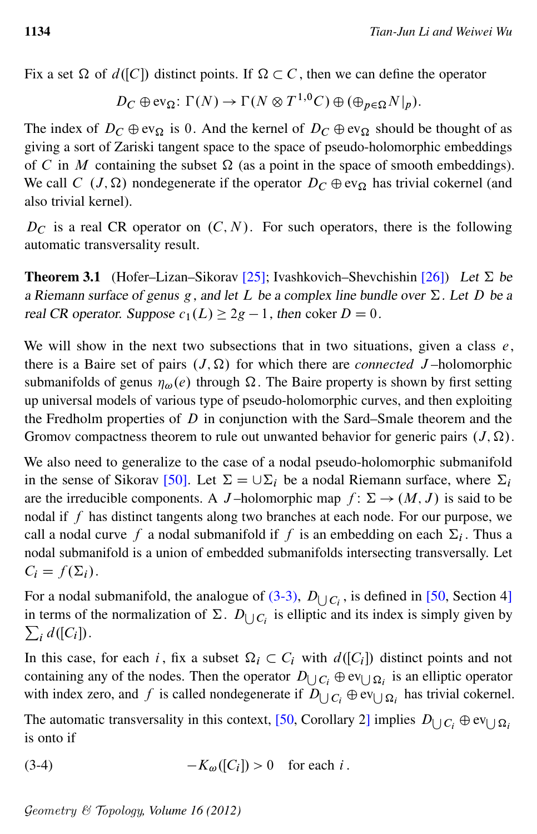Fix a set  $\Omega$  of  $d([C])$  distinct points. If  $\Omega \subset C$ , then we can define the operator

$$
D_C \oplus \text{ev}_{\Omega}: \Gamma(N) \to \Gamma(N \otimes T^{1,0}C) \oplus (\oplus_{p \in \Omega} N|_{p}).
$$

The index of  $D_C \oplus \text{ev}_{\Omega}$  is 0. And the kernel of  $D_C \oplus \text{ev}_{\Omega}$  should be thought of as giving a sort of Zariski tangent space to the space of pseudo-holomorphic embeddings of C in M containing the subset  $\Omega$  (as a point in the space of smooth embeddings). We call C  $(J, \Omega)$  nondegenerate if the operator  $D_C \oplus \text{ev}_\Omega$  has trivial cokernel (and also trivial kernel).

 $D<sub>C</sub>$  is a real CR operator on  $(C, N)$ . For such operators, there is the following automatic transversality result.

<span id="page-13-0"></span>**Theorem 3.1** (Hofer–Lizan–Sikorav [\[25\]](#page-46-6); Ivashkovich–Shevchishin [\[26\]](#page-46-7)) Let  $\Sigma$  be a Riemann surface of genus g, and let L be a complex line bundle over  $\Sigma$ . Let D be a real CR operator. Suppose  $c_1(L) \geq 2g - 1$ , then coker  $D = 0$ .

We will show in the next two subsections that in two situations, given a class  $e$ , there is a Baire set of pairs  $(J, \Omega)$  for which there are *connected* J-holomorphic submanifolds of genus  $\eta_{\omega}(e)$  through  $\Omega$ . The Baire property is shown by first setting up universal models of various type of pseudo-holomorphic curves, and then exploiting the Fredholm properties of  $D$  in conjunction with the Sard–Smale theorem and the Gromov compactness theorem to rule out unwanted behavior for generic pairs  $(J, \Omega)$ .

We also need to generalize to the case of a nodal pseudo-holomorphic submanifold in the sense of Sikorav [\[50\]](#page-48-7). Let  $\Sigma = \cup \Sigma_i$  be a nodal Riemann surface, where  $\Sigma_i$ are the irreducible components. A J-holomorphic map  $f: \Sigma \to (M, J)$  is said to be nodal if f has distinct tangents along two branches at each node. For our purpose, we call a nodal curve f a nodal submanifold if f is an embedding on each  $\Sigma_i$ . Thus a nodal submanifold is a union of embedded submanifolds intersecting transversally. Let  $C_i = f(\Sigma_i).$ 

For a nodal submanifold, the analogue of  $(3-3)$ ,  $D_{\bigcup C_i}$ , is defined in [\[50,](#page-48-7) Section 4] in terms of the normalization of  $\Sigma$ .  $D_{\bigcup C_i}$  is elliptic and its index is simply given by  $\sum_i d([C_i]).$ 

In this case, for each i, fix a subset  $\Omega_i \subset C_i$  with  $d([C_i])$  distinct points and not containing any of the nodes. Then the operator  $D_{\bigcup C_i} \oplus \text{ev}_{\bigcup \Omega_i}$  is an elliptic operator with index zero, and f is called nondegenerate if  $D_{\bigcup C_i} \oplus \text{ev}_{\bigcup \Omega_i}$  has trivial cokernel.

<span id="page-13-1"></span>The automatic transversality in this context, [\[50,](#page-48-7) Corollary 2] implies  $D_{\bigcup C_i} \oplus \text{ev}_{\bigcup \Omega_i}$ is onto if

(3-4) 
$$
-K_{\omega}([C_i]) > 0 \text{ for each } i.
$$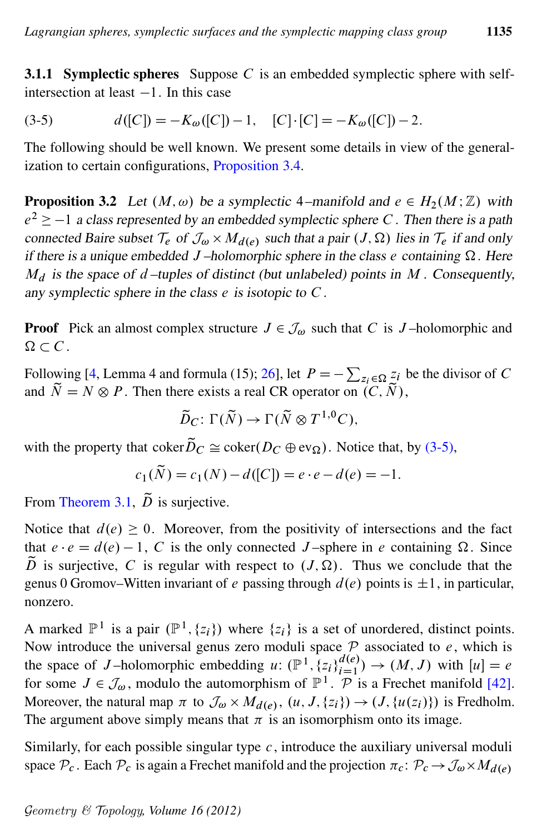<span id="page-14-0"></span>**3.1.1 Symplectic spheres** Suppose  $C$  is an embedded symplectic sphere with selfintersection at least  $-1$ . In this case

(3-5) 
$$
d([C]) = -K_{\omega}([C]) - 1, \quad [C] \cdot [C] = -K_{\omega}([C]) - 2.
$$

The following should be well known. We present some details in view of the generalization to certain configurations, [Proposition 3.4.](#page-15-0)

<span id="page-14-1"></span>**Proposition 3.2** Let  $(M, \omega)$  be a symplectic 4–manifold and  $e \in H_2(M; \mathbb{Z})$  with  $e^2 \ge -1$  a class represented by an embedded symplectic sphere C. Then there is a path connected Baire subset  $\mathcal{T}_e$  of  $\mathcal{J}_\omega \times M_{d(e)}$  such that a pair  $(J, \Omega)$  lies in  $\mathcal{T}_e$  if and only if there is a unique embedded J-holomorphic sphere in the class e containing  $\Omega$ . Here  $M_d$  is the space of d–tuples of distinct (but unlabeled) points in M. Consequently, any symplectic sphere in the class  $e$  is isotopic to  $C$ .

**Proof** Pick an almost complex structure  $J \in \mathcal{J}_{\omega}$  such that C is J-holomorphic and  $\Omega \subset C$ .

Following [\[4,](#page-45-4) Lemma 4 and formula (15); [26\]](#page-46-7), let  $P = -\sum_{z_i \in \Omega} z_i$  be the divisor of C and  $\widetilde{N} = N \otimes P$ . Then there exists a real CR operator on  $(C, \widetilde{N})$ ,

$$
\widetilde{D}_C\colon \Gamma(\widetilde{N})\to \Gamma(\widetilde{N}\otimes T^{1,0}C),
$$

with the property that coker $\tilde{D}_C \cong \text{coker}(D_C \oplus \text{ev}_{\Omega})$ . Notice that, by [\(3-5\),](#page-14-0)

$$
c_1(\widetilde{N}) = c_1(N) - d([C]) = e \cdot e - d(e) = -1.
$$

From [Theorem 3.1,](#page-13-0)  $\tilde{D}$  is surjective.

Notice that  $d(e) \geq 0$ . Moreover, from the positivity of intersections and the fact that  $e \cdot e = d(e) - 1$ , C is the only connected J-sphere in e containing  $\Omega$ . Since  $\tilde{D}$  is surjective, C is regular with respect to  $(J, \Omega)$ . Thus we conclude that the genus 0 Gromov–Witten invariant of e passing through  $d(e)$  points is  $\pm 1$ , in particular, nonzero.

A marked  $\mathbb{P}^1$  is a pair  $(\mathbb{P}^1, \{z_i\})$  where  $\{z_i\}$  is a set of unordered, distinct points. Now introduce the universal genus zero moduli space  $P$  associated to  $e$ , which is the space of J-holomorphic embedding u:  $(\mathbb{P}^1, \{z_i\}_{i=1}^{d(e)}) \to (M, J)$  with  $[u] = e$ for some  $J \in \mathcal{J}_{\omega}$ , modulo the automorphism of  $\mathbb{P}^1$ .  $\mathcal{P}$  is a Frechet manifold [\[42\]](#page-47-3). Moreover, the natural map  $\pi$  to  $\mathcal{J}_{\omega} \times M_{d(e)}$ ,  $(u, J, \{z_i\}) \to (J, \{u(z_i)\})$  is Fredholm. The argument above simply means that  $\pi$  is an isomorphism onto its image.

Similarly, for each possible singular type  $c$ , introduce the auxiliary universal moduli space  $\mathcal{P}_c$ . Each  $\mathcal{P}_c$  is again a Frechet manifold and the projection  $\pi_c \colon \mathcal{P}_c \to \mathcal{J}_{\omega} \times M_{d(e)}$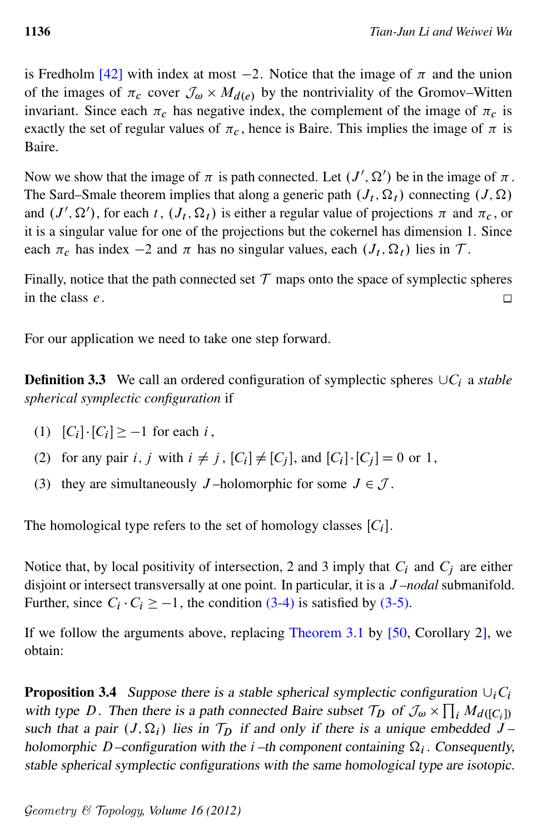is Fredholm [\[42\]](#page-47-3) with index at most  $-2$ . Notice that the image of  $\pi$  and the union of the images of  $\pi_c$  cover  $\mathcal{J}_{\omega} \times M_{d(e)}$  by the nontriviality of the Gromov–Witten invariant. Since each  $\pi_c$  has negative index, the complement of the image of  $\pi_c$  is exactly the set of regular values of  $\pi_c$ , hence is Baire. This implies the image of  $\pi$  is Baire.

Now we show that the image of  $\pi$  is path connected. Let  $(J', \Omega')$  be in the image of  $\pi$ . The Sard–Smale theorem implies that along a generic path  $(J_t, \Omega_t)$  connecting  $(J, \Omega)$ and  $(J', \Omega')$ , for each t,  $(J_t, \Omega_t)$  is either a regular value of projections  $\pi$  and  $\pi_c$ , or it is a singular value for one of the projections but the cokernel has dimension 1. Since each  $\pi_c$  has index  $-2$  and  $\pi$  has no singular values, each  $(J_t, \Omega_t)$  lies in T.

Finally, notice that the path connected set  $\mathcal T$  maps onto the space of symplectic spheres in the class e.  $\Box$ 

<span id="page-15-1"></span>For our application we need to take one step forward.

**Definition 3.3** We call an ordered configuration of symplectic spheres  $\cup C_i$  a *stable spherical symplectic configuration* if

- (1)  $[C_i] \cdot [C_i] \ge -1$  for each i,
- (2) for any pair i, j with  $i \neq j$ ,  $[C_i] \neq [C_j]$ , and  $[C_i] \cdot [C_j] = 0$  or 1,
- (3) they are simultaneously J-holomorphic for some  $J \in \mathcal{J}$ .

The homological type refers to the set of homology classes  $[C_i]$ .

Notice that, by local positivity of intersection, 2 and 3 imply that  $C_i$  and  $C_j$  are either disjoint or intersect transversally at one point. In particular, it is a J *–nodal* submanifold. Further, since  $C_i \cdot C_i \ge -1$ , the condition [\(3-4\)](#page-13-1) is satisfied by [\(3-5\).](#page-14-0)

<span id="page-15-0"></span>If we follow the arguments above, replacing [Theorem 3.1](#page-13-0) by [\[50,](#page-48-7) Corollary 2], we obtain:

**Proposition 3.4** Suppose there is a stable spherical symplectic configuration  $\cup_i C_i$ with type D. Then there is a path connected Baire subset  $\mathcal{T}_D$  of  $\mathcal{J}_{\omega} \times \prod_i M_{d([C_i])}$ such that a pair  $(J, \Omega_i)$  lies in  $\mathcal{T}_D$  if and only if there is a unique embedded  $J$  – holomorphic D-configuration with the  $i$ -th component containing  $\Omega_i$ . Consequently, stable spherical symplectic configurations with the same homological type are isotopic.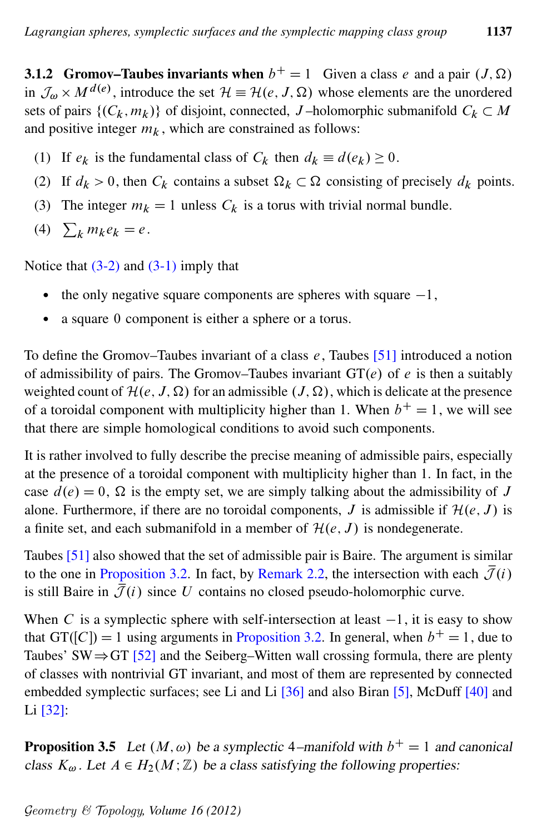<span id="page-16-0"></span>**3.1.2 Gromov–Taubes invariants when**  $b^+ = 1$  Given a class e and a pair  $(J, \Omega)$ in  $\mathcal{J}_{\omega} \times M^{d(e)}$ , introduce the set  $\mathcal{H} \equiv \mathcal{H}(e, J, \Omega)$  whose elements are the unordered sets of pairs  $\{(C_k, m_k)\}\$  of disjoint, connected, J-holomorphic submanifold  $C_k \subset M$ and positive integer  $m_k$ , which are constrained as follows:

- (1) If  $e_k$  is the fundamental class of  $C_k$  then  $d_k \equiv d(e_k) \ge 0$ .
- (2) If  $d_k > 0$ , then  $C_k$  contains a subset  $\Omega_k \subset \Omega$  consisting of precisely  $d_k$  points.
- (3) The integer  $m_k = 1$  unless  $C_k$  is a torus with trivial normal bundle.
- (4)  $\sum_{k} m_{k} e_{k} = e$ .

Notice that  $(3-2)$  and  $(3-1)$  imply that

- the only negative square components are spheres with square  $-1$ ,
- a square 0 component is either a sphere or a torus.

To define the Gromov–Taubes invariant of a class  $e$ , Taubes [\[51\]](#page-48-8) introduced a notion of admissibility of pairs. The Gromov–Taubes invariant  $GT(e)$  of e is then a suitably weighted count of  $\mathcal{H}(e, J, \Omega)$  for an admissible  $(J, \Omega)$ , which is delicate at the presence of a toroidal component with multiplicity higher than 1. When  $b^+ = 1$ , we will see that there are simple homological conditions to avoid such components.

It is rather involved to fully describe the precise meaning of admissible pairs, especially at the presence of a toroidal component with multiplicity higher than 1. In fact, in the case  $d(e) = 0$ ,  $\Omega$  is the empty set, we are simply talking about the admissibility of J alone. Furthermore, if there are no toroidal components, J is admissible if  $\mathcal{H}(e, J)$  is a finite set, and each submanifold in a member of  $\mathcal{H}(e, J)$  is nondegenerate.

Taubes [\[51\]](#page-48-8) also showed that the set of admissible pair is Baire. The argument is similar to the one in [Proposition 3.2.](#page-14-1) In fact, by [Remark 2.2,](#page-9-1) the intersection with each  $\bar{J}(i)$ . is still Baire in  $\overline{\mathcal{J}}(i)$  since U contains no closed pseudo-holomorphic curve.

When C is a symplectic sphere with self-intersection at least  $-1$ , it is easy to show that GT([C]) = 1 using arguments in [Proposition 3.2.](#page-14-1) In general, when  $b<sup>+</sup> = 1$ , due to Taubes' SW $\Rightarrow$  GT [\[52\]](#page-48-9) and the Seiberg–Witten wall crossing formula, there are plenty of classes with nontrivial GT invariant, and most of them are represented by connected embedded symplectic surfaces; see Li and Li [\[36\]](#page-47-4) and also Biran [\[5\]](#page-45-5), McDuff [\[40\]](#page-47-5) and Li [\[32\]](#page-47-6):

**Proposition 3.5** Let  $(M, \omega)$  be a symplectic 4–manifold with  $b^+ = 1$  and canonical class  $K_{\omega}$ . Let  $A \in H_2(M; \mathbb{Z})$  be a class satisfying the following properties: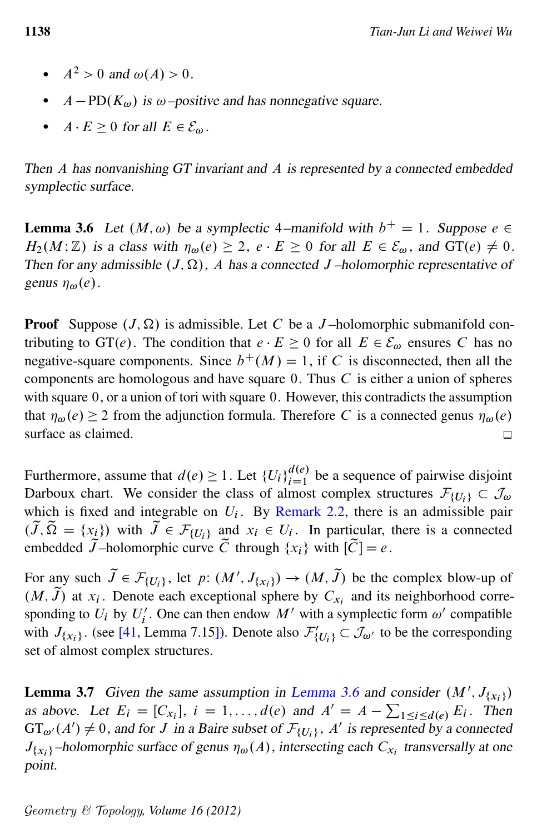- $A<sup>2</sup> > 0$  and  $\omega(A) > 0$ .
- $A PD(K_{\omega})$  is  $\omega$ -positive and has nonnegative square.
- $A \cdot E \ge 0$  for all  $E \in \mathcal{E}_{\omega}$ .

Then A has nonvanishing GT invariant and A is represented by a connected embedded symplectic surface.

<span id="page-17-0"></span>**Lemma 3.6** Let  $(M, \omega)$  be a symplectic 4–manifold with  $b^+ = 1$ . Suppose  $e \in$  $H_2(M; \mathbb{Z})$  is a class with  $\eta_{\omega}(e) \geq 2$ ,  $e \cdot E \geq 0$  for all  $E \in \mathcal{E}_{\omega}$ , and  $GT(e) \neq 0$ . Then for any admissible  $(J, \Omega)$ , A has a connected J-holomorphic representative of genus  $\eta_{\omega}(e)$ .

**Proof** Suppose  $(J, \Omega)$  is admissible. Let C be a J-holomorphic submanifold contributing to GT(e). The condition that  $e \cdot E \ge 0$  for all  $E \in \mathcal{E}_{\omega}$  ensures C has no negative-square components. Since  $b^+(M) = 1$ , if C is disconnected, then all the components are homologous and have square 0. Thus C is either a union of spheres with square 0, or a union of tori with square 0. However, this contradicts the assumption that  $\eta_{\omega}(e) \geq 2$  from the adjunction formula. Therefore C is a connected genus  $\eta_{\omega}(e)$ surface as claimed. П

Furthermore, assume that  $d(e) \ge 1$ . Let  $\{U_i\}_{i=1}^{d(e)}$  be a sequence of pairwise disjoint Darboux chart. We consider the class of almost complex structures  $\mathcal{F}_{\{U_i\}} \subset \mathcal{J}_{\omega}$ which is fixed and integrable on  $U_i$ . By [Remark 2.2,](#page-9-1) there is an admissible pair  $(\tilde{J}, \tilde{\Omega} = \{x_i\})$  with  $\tilde{J} \in \mathcal{F}_{\{U_i\}}$  and  $x_i \in U_i$ . In particular, there is a connected embedded  $\widetilde{J}$ –holomorphic curve  $\widetilde{C}$  through  $\{x_i\}$  with  $|\widetilde{C}| = e$ .

For any such  $\tilde{J} \in \mathcal{F}_{\{U_i\}}$ , let  $p: (M', J_{\{x_i\}}) \to (M, \tilde{J})$  be the complex blow-up of  $(M, \tilde{J})$  at  $x_i$ . Denote each exceptional sphere by  $C_{x_i}$  and its neighborhood corresponding to  $U_i$  by  $U'_i$  $i'$ . One can then endow M' with a symplectic form  $\omega'$  compatible with  $J_{\{x_i\}}$ . (see [\[41,](#page-47-7) Lemma 7.15]). Denote also  $\mathcal{F}'_{\{U_i\}} \subset \mathcal{J}_{\omega'}$  to be the corresponding set of almost complex structures.

<span id="page-17-1"></span>**Lemma 3.7** Given the same assumption in [Lemma 3.6](#page-17-0) and consider  $(M', J_{\{x_i\}})$ as above. Let  $E_i = [C_{x_i}], i = 1, \ldots, d(e)$  and  $A' = A - \sum_{1 \le i \le d(e)} E_i$ . Then  $GT_{\omega'}(A') \neq 0$ , and for J in a Baire subset of  $\mathcal{F}_{\{U_i\}}$ , A' is represented by a connected  $J_{\{x_i\}}$ –holomorphic surface of genus  $\eta_\omega(A)$ , intersecting each  $C_{x_i}$  transversally at one point.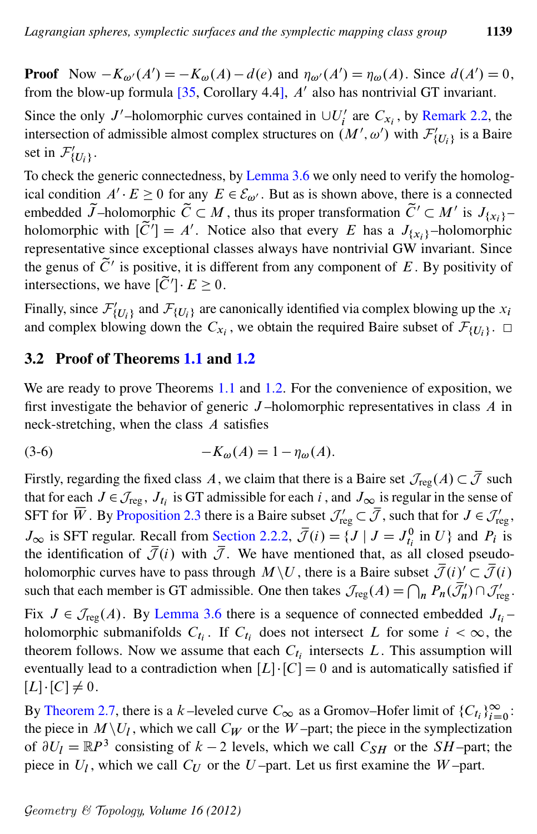**Proof** Now  $-K_{\omega}(A') = -K_{\omega}(A) - d(e)$  and  $\eta_{\omega}(A') = \eta_{\omega}(A)$ . Since  $d(A') = 0$ , from the blow-up formula  $[35,$  Corollary 4.4],  $A'$  also has nontrivial GT invariant.

Since the only J'-holomorphic curves contained in  $\cup U_i'$  $C_{x_i}$ , by [Remark 2.2,](#page-9-1) the intersection of admissible almost complex structures on  $(M', \omega')$  with  $\mathcal{F}'_{\{U_i\}}$  is a Baire set in  $\mathcal{F}'_{\{U_i\}}$ .

To check the generic connectedness, by [Lemma 3.6](#page-17-0) we only need to verify the homological condition  $A' \cdot E \ge 0$  for any  $E \in \mathcal{E}_{\omega'}$ . But as is shown above, there is a connected embedded  $\widetilde{J}$ -holomorphic  $\widetilde{C} \subset M$ , thus its proper transformation  $\widetilde{C}' \subset M'$  is  $J_{\{x_i\}}$ holomorphic with  $[\tilde{C}'] = A'$ . Notice also that every E has a  $J_{\{x_i\}}$ -holomorphic representative since exceptional classes always have nontrivial GW invariant. Since the genus of  $\tilde{C}'$  is positive, it is different from any component of E. By positivity of intersections, we have  $[\tilde{C}'] \cdot E \ge 0$ .

Finally, since  $\mathcal{F}_{\{U_i\}}$  and  $\mathcal{F}_{\{U_i\}}$  are canonically identified via complex blowing up the  $x_i$ and complex blowing down the  $C_{x_i}$ , we obtain the required Baire subset of  $\mathcal{F}_{\{U_i\}}$ .

## 3.2 Proof of Theorems [1.1](#page-1-1) and [1.2](#page-1-0)

We are ready to prove Theorems [1.1](#page-1-1) and [1.2.](#page-1-0) For the convenience of exposition, we first investigate the behavior of generic  $J$ -holomorphic representatives in class  $A$  in neck-stretching, when the class A satisfies

<span id="page-18-1"></span>
$$
(3-6) \qquad \qquad -K_{\omega}(A) = 1 - \eta_{\omega}(A).
$$

Firstly, regarding the fixed class A, we claim that there is a Baire set  $\mathcal{J}_{reg}(A) \subset \overline{\mathcal{J}}$  such that for each  $J \in \mathcal{J}_{reg}$ ,  $J_{t_i}$  is GT admissible for each i, and  $J_{\infty}$  is regular in the sense of SFT for  $\overline{W}$ . By [Proposition 2.3](#page-9-2) there is a Baire subset  $\mathcal{J}'_{reg} \subset \overline{\mathcal{J}}$ , such that for  $J \in \mathcal{J}'_{reg}$ ,  $J_{\infty}$  is SFT regular. Recall from [Section 2.2.2,](#page-7-0)  $\overline{\mathcal{J}}(i) = \{J \mid J = J_{t_i}^0 \text{ in } U\}$  and  $P_i$  is the identification of  $\bar{\mathcal{J}}(i)$  with  $\bar{\mathcal{J}}$ . We have mentioned that, as all closed pseudoholomorphic curves have to pass through  $M\setminus U$ , there is a Baire subset  $\overline{\mathcal{J}}(i)'\subset \overline{\mathcal{J}}(i)$ such that each member is GT admissible. One then takes  $\mathcal{J}_{reg}(A) = \bigcap_n P_n(\overline{\mathcal{J}'_n}) \cap \mathcal{J}'_{reg}$ .

Fix  $J \in \mathcal{J}_{reg}(A)$ . By [Lemma 3.6](#page-17-0) there is a sequence of connected embedded  $J_{t_i}$ holomorphic submanifolds  $C_{t_i}$ . If  $C_{t_i}$  does not intersect L for some  $i < \infty$ , the theorem follows. Now we assume that each  $C_{t_i}$  intersects L. This assumption will eventually lead to a contradiction when  $[L] \cdot [C] = 0$  and is automatically satisfied if  $[L] \cdot [C] \neq 0.$ 

<span id="page-18-0"></span>By [Theorem 2.7,](#page-12-4) there is a k-leveled curve  $C_{\infty}$  as a Gromov–Hofer limit of  $\{C_{t_i}\}_{i=0}^{\infty}$ : the piece in  $M\setminus U_l$ , which we call  $C_W$  or the W-part; the piece in the symplectization of  $\partial U_l = \mathbb{R}P^3$  consisting of  $k - 2$  levels, which we call  $C_{SH}$  or the SH-part; the piece in  $U_l$ , which we call  $C_U$  or the  $U$ -part. Let us first examine the  $W$ -part.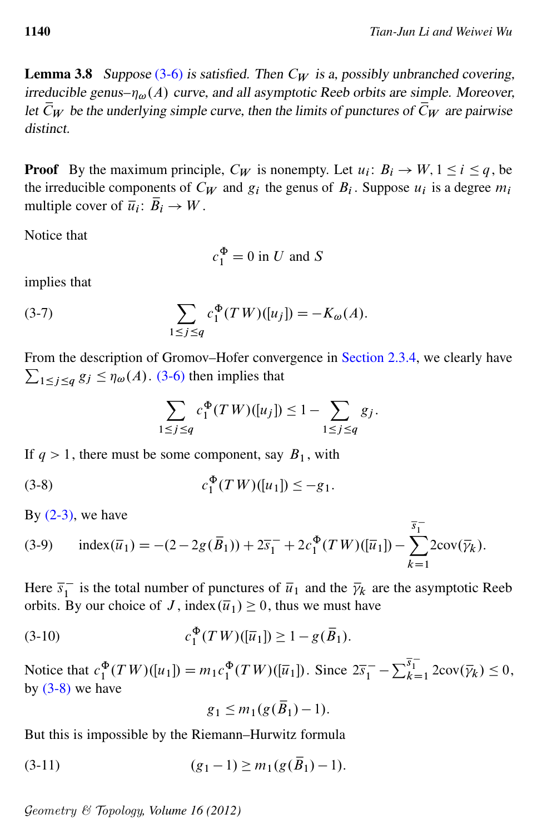**Lemma 3.8** Suppose  $(3-6)$  is satisfied. Then  $C_W$  is a, possibly unbranched covering, irreducible genus– $\eta_{\omega}(A)$  curve, and all asymptotic Reeb orbits are simple. Moreover, let  $\bar{C}_W$  be the underlying simple curve, then the limits of punctures of  $\bar{C}_W$  are pairwise distinct.

**Proof** By the maximum principle,  $C_W$  is nonempty. Let  $u_i: B_i \to W$ ,  $1 \le i \le q$ , be the irreducible components of  $C_W$  and  $g_i$  the genus of  $B_i$ . Suppose  $u_i$  is a degree  $m_i$ multiple cover of  $\overline{u_i}$ :  $\overline{B_i} \to W$ .

Notice that

$$
c_1^{\Phi} = 0
$$
 in U and S

<span id="page-19-2"></span>implies that

(3-7) 
$$
\sum_{1 \le j \le q} c_1^{\Phi}(TW)([u_j]) = -K_{\omega}(A).
$$

From the description of Gromov–Hofer convergence in [Section 2.3.4,](#page-11-0) we clearly have  $\sum_{1 \leq j \leq q} g_j \leq \eta_\omega(A)$ . [\(3-6\)](#page-18-1) then implies that

<span id="page-19-0"></span>
$$
\sum_{1 \le j \le q} c_1^{\Phi}(TW)([u_j]) \le 1 - \sum_{1 \le j \le q} g_j.
$$

If  $q > 1$ , there must be some component, say  $B_1$ , with

(3-8) 
$$
c_1^{\Phi}(TW)([u_1]) \leq -g_1.
$$

<span id="page-19-4"></span>By  $(2-3)$ , we have

(3-9) index(
$$
\bar{u}_1
$$
) = -(2-2g( $\bar{B}_1$ )) + 2 $\bar{s}_1$ <sup>-</sup> + 2 $c_1^{\Phi}$ (TW)( $[\bar{u}_1$ ]) -  $\sum_{k=1}^{\bar{s}_1}$ 2cov( $\bar{\gamma}_k$ ).

Here  $\overline{s}_1^ \overline{i}_1$  is the total number of punctures of  $\overline{i}_1$  and the  $\overline{\gamma}_k$  are the asymptotic Reeb orbits. By our choice of J, index $(\overline{u}_1) \geq 0$ , thus we must have

(3-10) 
$$
c_1^{\Phi}(TW)([\overline{u}_1]) \geq 1 - g(\overline{B}_1).
$$

Notice that  $c_1^{\Phi}(TW)([u_1]) = m_1 c_1^{\Phi}(TW)([\overline{u}_1])$ . Since  $2\overline{s}_1^- - \sum_{k=1}^{\overline{s}_1^-} 2\text{cov}(\overline{\gamma}_k) \le 0$ , by  $(3-8)$  we have

<span id="page-19-3"></span><span id="page-19-1"></span>
$$
g_1 \leq m_1(g(\overline{B}_1)-1).
$$

But this is impossible by the Riemann–Hurwitz formula

$$
(3-11) \t\t (g_1-1) \ge m_1(g(\overline{B}_1)-1).
$$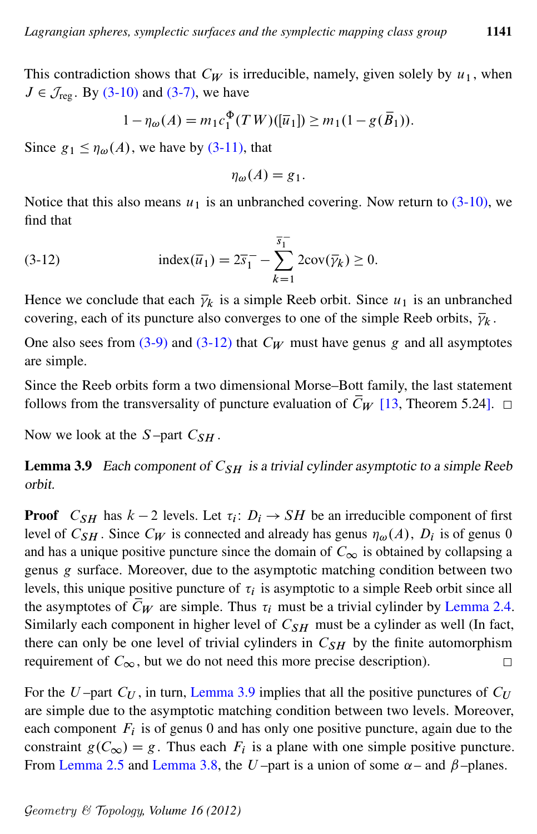This contradiction shows that  $C_W$  is irreducible, namely, given solely by  $u_1$ , when  $J \in \mathcal{J}_{\text{reg}}$ . By [\(3-10\)](#page-19-1) and [\(3-7\),](#page-19-2) we have

$$
1 - \eta_{\omega}(A) = m_1 c_1^{\Phi}(TW)(\overline{u}_1) \ge m_1 (1 - g(\overline{B}_1)).
$$

Since  $g_1 \leq \eta_{\omega}(A)$ , we have by [\(3-11\),](#page-19-3) that

$$
\eta_{\omega}(A) = g_1.
$$

<span id="page-20-0"></span>Notice that this also means  $u_1$  is an unbranched covering. Now return to  $(3-10)$ , we find that

(3-12) 
$$
\text{index}(\overline{u}_1) = 2\overline{s}_1 - \sum_{k=1}^{\overline{s}_1} 2\text{cov}(\overline{\gamma}_k) \ge 0.
$$

Hence we conclude that each  $\bar{\gamma}_k$  is a simple Reeb orbit. Since  $u_1$  is an unbranched covering, each of its puncture also converges to one of the simple Reeb orbits,  $\bar{\gamma}_k$ .

One also sees from [\(3-9\)](#page-19-4) and [\(3-12\)](#page-20-0) that  $C_W$  must have genus g and all asymptotes are simple.

Since the Reeb orbits form a two dimensional Morse–Bott family, the last statement follows from the transversality of puncture evaluation of  $\overline{C}_W$  [\[13,](#page-46-1) Theorem 5.24].  $\Box$ 

<span id="page-20-1"></span>Now we look at the  $S$ -part  $C_{SH}$ .

**Lemma 3.9** Each component of  $C_{SH}$  is a trivial cylinder asymptotic to a simple Reeb orbit.

**Proof**  $C_{SH}$  has  $k-2$  levels. Let  $\tau_i: D_i \to SH$  be an irreducible component of first level of  $C_{SH}$ . Since  $C_W$  is connected and already has genus  $\eta_\omega(A)$ ,  $D_i$  is of genus 0 and has a unique positive puncture since the domain of  $C_{\infty}$  is obtained by collapsing a genus g surface. Moreover, due to the asymptotic matching condition between two levels, this unique positive puncture of  $\tau_i$  is asymptotic to a simple Reeb orbit since all the asymptotes of  $\bar{C}_W$  are simple. Thus  $\tau_i$  must be a trivial cylinder by [Lemma 2.4.](#page-9-3) Similarly each component in higher level of  $C_{SH}$  must be a cylinder as well (In fact, there can only be one level of trivial cylinders in  $C_{SH}$  by the finite automorphism requirement of  $C_{\infty}$ , but we do not need this more precise description).  $\Box$ 

<span id="page-20-2"></span>For the U-part  $C_U$ , in turn, [Lemma 3.9](#page-20-1) implies that all the positive punctures of  $C_U$ are simple due to the asymptotic matching condition between two levels. Moreover, each component  $F_i$  is of genus 0 and has only one positive puncture, again due to the constraint  $g(C_\infty) = g$ . Thus each  $F_i$  is a plane with one simple positive puncture. From [Lemma 2.5](#page-10-1) and [Lemma 3.8,](#page-18-0) the U-part is a union of some  $\alpha$ – and  $\beta$ –planes.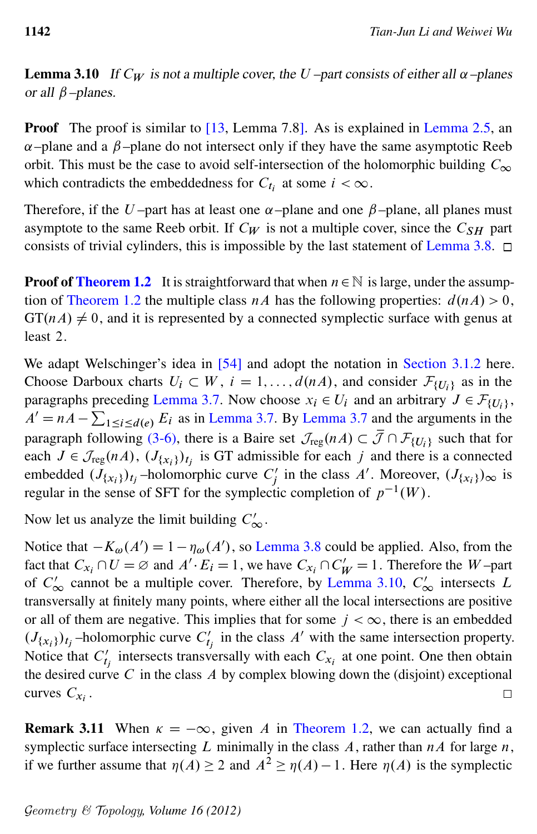**Lemma 3.10** If  $C_W$  is not a multiple cover, the U-part consists of either all  $\alpha$ -planes or all  $\beta$ –planes.

**Proof** The proof is similar to  $[13,$  Lemma 7.8]. As is explained in [Lemma 2.5,](#page-10-1) an  $\alpha$ –plane and a  $\beta$ –plane do not intersect only if they have the same asymptotic Reeb orbit. This must be the case to avoid self-intersection of the holomorphic building  $C_{\infty}$ which contradicts the embeddedness for  $C_{t_i}$  at some  $i < \infty$ .

Therefore, if the U-part has at least one  $\alpha$ -plane and one  $\beta$ -plane, all planes must asymptote to the same Reeb orbit. If  $C_W$  is not a multiple cover, since the  $C_{SH}$  part consists of trivial cylinders, this is impossible by the last statement of [Lemma 3.8.](#page-18-0)  $\Box$ 

**Proof of [Theorem 1.2](#page-1-0)** It is straightforward that when  $n \in \mathbb{N}$  is large, under the assump-tion of [Theorem 1.2](#page-1-0) the multiple class nA has the following properties:  $d(nA) > 0$ ,  $GT(nA) \neq 0$ , and it is represented by a connected symplectic surface with genus at least 2.

We adapt Welschinger's idea in [\[54\]](#page-48-0) and adopt the notation in [Section 3.1.2](#page-16-0) here. Choose Darboux charts  $U_i \subset W$ ,  $i = 1, ..., d(nA)$ , and consider  $\mathcal{F}_{\{U_i\}}$  as in the paragraphs preceding [Lemma 3.7.](#page-17-1) Now choose  $x_i \in U_i$  and an arbitrary  $J \in \mathcal{F}_{\{U_i\}}$ ,  $A' = nA - \sum_{1 \leq i \leq d(e)} E_i$  as in [Lemma 3.7.](#page-17-1) By [Lemma 3.7](#page-17-1) and the arguments in the paragraph following [\(3-6\),](#page-18-1) there is a Baire set  $\mathcal{J}_{reg}(nA) \subset \overline{\mathcal{J}} \cap \mathcal{F}_{\{U_i\}}$  such that for each  $J \in \mathcal{J}_{reg}(nA)$ ,  $(J_{\{x_i\}})_{t_j}$  is GT admissible for each j and there is a connected embedded  $(J_{\{x_i\}})_{t_j}$  –holomorphic curve  $C'_i$  $j'$  in the class A'. Moreover,  $(J_{\{x_i\}})_{\infty}$  is regular in the sense of SFT for the symplectic completion of  $p^{-1}(W)$ .

Now let us analyze the limit building  $C'_{\infty}$ .

Notice that  $-K_{\omega}(A') = 1 - \eta_{\omega}(A')$ , so [Lemma 3.8](#page-18-0) could be applied. Also, from the fact that  $C_{x_i} \cap U = \emptyset$  and  $A' \cdot E_i = 1$ , we have  $C_{x_i} \cap C'_{W} = 1$ . Therefore the W-part of  $C'_{\infty}$  cannot be a multiple cover. Therefore, by [Lemma 3.10,](#page-20-2)  $C'_{\infty}$  intersects L transversally at finitely many points, where either all the local intersections are positive or all of them are negative. This implies that for some  $j < \infty$ , there is an embedded  $(J_{\{x_i\}})_{t_j}$ -holomorphic curve  $C'_t$  $t'_{t}$  in the class A' with the same intersection property. Notice that  $C_t'$  $t'_{t}$  intersects transversally with each  $C_{x_i}$  at one point. One then obtain the desired curve  $C$  in the class  $A$  by complex blowing down the (disjoint) exceptional curves  $C_{x_i}$ .  $\Box$ 

**Remark 3.11** When  $\kappa = -\infty$ , given A in [Theorem 1.2,](#page-1-0) we can actually find a symplectic surface intersecting L minimally in the class A, rather than  $nA$  for large n, if we further assume that  $\eta(A) \geq 2$  and  $A^2 \geq \eta(A) - 1$ . Here  $\eta(A)$  is the symplectic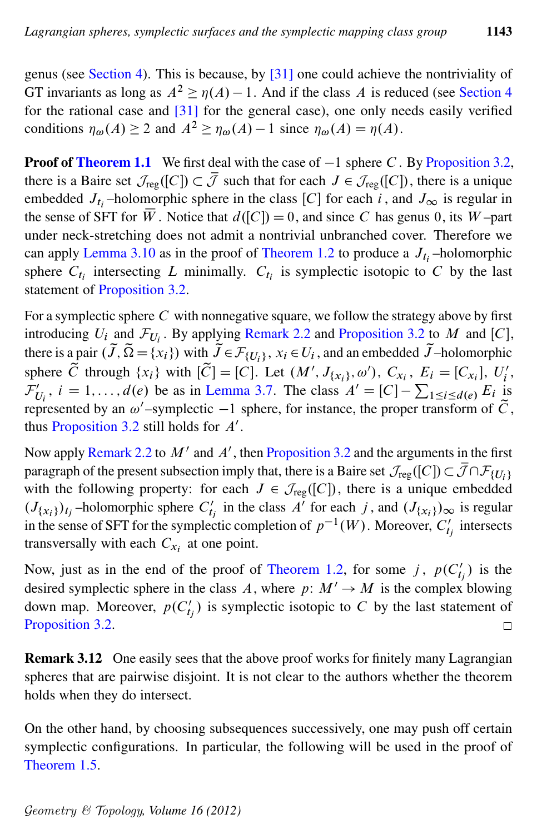genus (see [Section 4\)](#page-23-0). This is because, by [\[31\]](#page-47-9) one could achieve the nontriviality of GT invariants as long as  $A^2 \ge \eta(A) - 1$ . And if the class A is reduced (see [Section 4](#page-23-0)) for the rational case and  $\left[31\right]$  for the general case), one only needs easily verified conditions  $\eta_{\omega}(A) \geq 2$  and  $A^2 \geq \eta_{\omega}(A) - 1$  since  $\eta_{\omega}(A) = \eta(A)$ .

**Proof of [Theorem 1.1](#page-1-1)** We first deal with the case of  $-1$  sphere C. By [Proposition 3.2,](#page-14-1) there is a Baire set  $\mathcal{J}_{reg}([C]) \subset \overline{\mathcal{J}}$  such that for each  $J \in \mathcal{J}_{reg}([C])$ , there is a unique embedded  $J_{t_i}$ -holomorphic sphere in the class [C] for each i, and  $J_{\infty}$  is regular in the sense of SFT for  $\overline{W}$ . Notice that  $d([C]) = 0$ , and since C has genus 0, its W-part under neck-stretching does not admit a nontrivial unbranched cover. Therefore we can apply [Lemma 3.10](#page-20-2) as in the proof of [Theorem 1.2](#page-1-0) to produce a  $J_{t_i}$ -holomorphic sphere  $C_{t_i}$  intersecting L minimally.  $C_{t_i}$  is symplectic isotopic to C by the last statement of [Proposition 3.2.](#page-14-1)

For a symplectic sphere  $C$  with nonnegative square, we follow the strategy above by first introducing  $U_i$  and  $\mathcal{F}_{U_i}$ . By applying [Remark 2.2](#page-9-1) and [Proposition 3.2](#page-14-1) to M and [C], there is a pair  $(\tilde{J}, \tilde{\Omega} = \{x_i\})$  with  $\tilde{J} \in \mathcal{F}_{\{U_i\}}$ ,  $x_i \in U_i$ , and an embedded  $\tilde{J}$ –holomorphic sphere  $\tilde{C}$  through  $\{x_i\}$  with  $[\tilde{C}] = [C]$ . Let  $(M', J_{\{x_i\}}, \omega')$ ,  $C_{x_i}$ ,  $E_i = [C_{x_i}]$ ,  $U'_i$  $_i^{\prime}$ ,  $\tilde{\mathcal{F}}'_I$  $U_i$ ,  $i = 1, ..., d(e)$  be as in [Lemma 3.7.](#page-17-1) The class  $A' = [C] - \sum_{1 \le i \le d(e)} E_i$  is represented by an  $\omega'$ -symplectic -1 sphere, for instance, the proper transform of  $\tilde{C}$ , thus [Proposition 3.2](#page-14-1) still holds for  $A'$ .

Now apply [Remark 2.2](#page-9-1) to  $M'$  and  $A'$ , then [Proposition 3.2](#page-14-1) and the arguments in the first paragraph of the present subsection imply that, there is a Baire set  $\mathcal{J}_{reg}([C]) \subset \overline{\mathcal{J}} \cap \mathcal{F}_{\{U_i\}}$ with the following property: for each  $J \in \mathcal{J}_{reg}([C])$ , there is a unique embedded  $(J_{\{x_i\}})_{t_j}$ -holomorphic sphere  $C'_t$  $t'_{t_j}$  in the class A' for each j, and  $(J_{\{x_i\}})_{\infty}$  is regular in the sense of SFT for the symplectic completion of  $p^{-1}(W)$ . Moreover,  $C'$  $t_j$  intersects transversally with each  $C_{x_i}$  at one point.

Now, just as in the end of the proof of [Theorem 1.2,](#page-1-0) for some j,  $p(C_t)$  $t'_j$ ) is the desired symplectic sphere in the class A, where  $p: M' \to M$  is the complex blowing down map. Moreover,  $p(C_t)$  $t'_{tj}$ ) is symplectic isotopic to C by the last statement of [Proposition 3.2.](#page-14-1)  $\Box$ 

Remark 3.12 One easily sees that the above proof works for finitely many Lagrangian spheres that are pairwise disjoint. It is not clear to the authors whether the theorem holds when they do intersect.

<span id="page-22-0"></span>On the other hand, by choosing subsequences successively, one may push off certain symplectic configurations. In particular, the following will be used in the proof of [Theorem 1.5.](#page-2-0)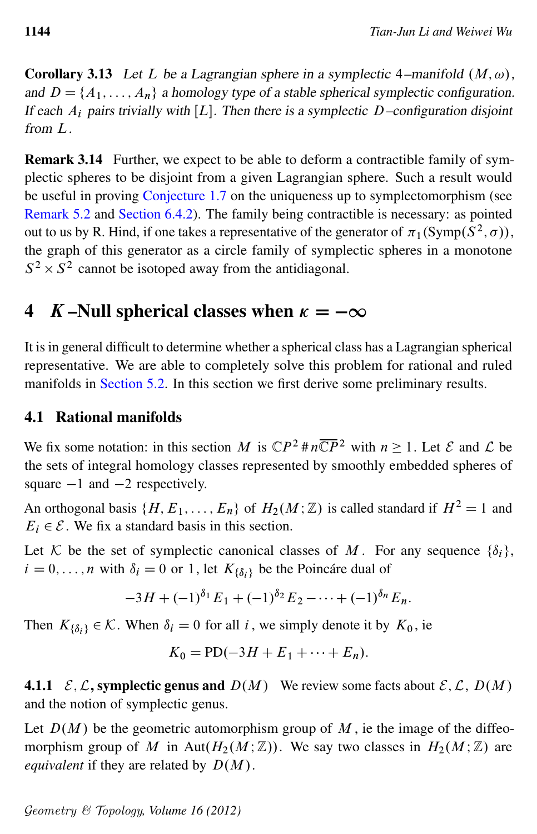Corollary 3.13 Let L be a Lagrangian sphere in a symplectic 4–manifold  $(M, \omega)$ , and  $D = \{A_1, \ldots, A_n\}$  a homology type of a stable spherical symplectic configuration. If each  $A_i$  pairs trivially with [L]. Then there is a symplectic D–configuration disjoint from L.

Remark 3.14 Further, we expect to be able to deform a contractible family of symplectic spheres to be disjoint from a given Lagrangian sphere. Such a result would be useful in proving [Conjecture 1.7](#page-3-1) on the uniqueness up to symplectomorphism (see [Remark 5.2](#page-31-0) and [Section 6.4.2\)](#page-44-0). The family being contractible is necessary: as pointed out to us by R. Hind, if one takes a representative of the generator of  $\pi_1(Symp(S^2, \sigma))$ , the graph of this generator as a circle family of symplectic spheres in a monotone  $S^2 \times S^2$  cannot be isotoped away from the antidiagonal.

# <span id="page-23-0"></span>4 K-Null spherical classes when  $\kappa = -\infty$

It is in general difficult to determine whether a spherical class has a Lagrangian spherical representative. We are able to completely solve this problem for rational and ruled manifolds in [Section 5.2.](#page-32-0) In this section we first derive some preliminary results.

## 4.1 Rational manifolds

We fix some notation: in this section M is  $\mathbb{C}P^2 \# n \overline{\mathbb{C}P}^2$  with  $n \geq 1$ . Let  $\mathcal E$  and  $\mathcal L$  be the sets of integral homology classes represented by smoothly embedded spheres of square  $-1$  and  $-2$  respectively.

An orthogonal basis  $\{H, E_1, \ldots, E_n\}$  of  $H_2(M; \mathbb{Z})$  is called standard if  $H^2 = 1$  and  $E_i \in \mathcal{E}$ . We fix a standard basis in this section.

Let K be the set of symplectic canonical classes of M. For any sequence  $\{\delta_i\}$ ,  $i = 0, \ldots, n$  with  $\delta_i = 0$  or 1, let  $K_{\{\delta_i\}}$  be the Poincáre dual of

$$
-3H + (-1)^{\delta_1} E_1 + (-1)^{\delta_2} E_2 - \cdots + (-1)^{\delta_n} E_n.
$$

Then  $K_{\{\delta_i\}} \in \mathcal{K}$ . When  $\delta_i = 0$  for all i, we simply denote it by  $K_0$ , ie

$$
K_0 = \text{PD}(-3H + E_1 + \cdots + E_n).
$$

**4.1.1**  $\mathcal{E}, \mathcal{L}$ , symplectic genus and  $D(M)$  We review some facts about  $\mathcal{E}, \mathcal{L}$ ,  $D(M)$ and the notion of symplectic genus.

Let  $D(M)$  be the geometric automorphism group of M, ie the image of the diffeomorphism group of M in Aut $(H_2(M;\mathbb{Z}))$ . We say two classes in  $H_2(M;\mathbb{Z})$  are *equivalent* if they are related by  $D(M)$ .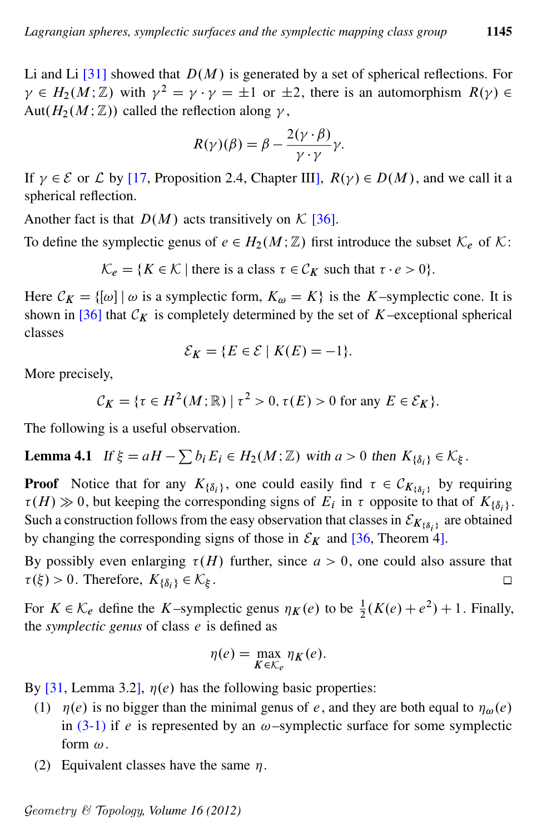Li and Li  $[31]$  showed that  $D(M)$  is generated by a set of spherical reflections. For  $\gamma \in H_2(M; \mathbb{Z})$  with  $\gamma^2 = \gamma \cdot \gamma = \pm 1$  or  $\pm 2$ , there is an automorphism  $R(\gamma) \in$ Aut $(H_2(M; \mathbb{Z}))$  called the reflection along  $\gamma$ ,

$$
R(\gamma)(\beta) = \beta - \frac{2(\gamma \cdot \beta)}{\gamma \cdot \gamma} \gamma.
$$

If  $\gamma \in \mathcal{E}$  or  $\mathcal{L}$  by [\[17,](#page-46-8) Proposition 2.4, Chapter III],  $R(\gamma) \in D(M)$ , and we call it a spherical reflection.

Another fact is that  $D(M)$  acts transitively on K [\[36\]](#page-47-4).

To define the symplectic genus of  $e \in H_2(M;\mathbb{Z})$  first introduce the subset  $\mathcal{K}_e$  of  $\mathcal{K}$ :

 $\mathcal{K}_{e} = \{ K \in \mathcal{K} \mid \text{there is a class } \tau \in \mathcal{C}_K \text{ such that } \tau \cdot e > 0 \}.$ 

Here  $C_K = \{ [\omega] \mid \omega \text{ is a symplectic form, } K_{\omega} = K \}$  is the K–symplectic cone. It is shown in [\[36\]](#page-47-4) that  $\mathcal{C}_K$  is completely determined by the set of K–exceptional spherical classes

$$
\mathcal{E}_K = \{ E \in \mathcal{E} \mid K(E) = -1 \}.
$$

More precisely,

 $\mathcal{C}_K = \{ \tau \in H^2(M; \mathbb{R}) \mid \tau^2 > 0, \tau(E) > 0 \text{ for any } E \in \mathcal{E}_K \}.$ 

The following is a useful observation.

<span id="page-24-0"></span>**Lemma 4.1** If  $\xi = aH - \sum b_i E_i \in H_2(M; \mathbb{Z})$  with  $a > 0$  then  $K_{\{\delta_i\}} \in \mathcal{K}_{\xi}$ .

**Proof** Notice that for any  $K_{\{\delta_i\}}$ , one could easily find  $\tau \in C_{K_{\{\delta_i\}}}\$  by requiring  $\tau(H) \gg 0$ , but keeping the corresponding signs of  $E_i$  in  $\tau$  opposite to that of  $K_{\{\delta_i\}}$ . Such a construction follows from the easy observation that classes in  $\mathcal{E}_{K_{\{\delta_i\}}}\,$  are obtained by changing the corresponding signs of those in  $\mathcal{E}_K$  and [\[36,](#page-47-4) Theorem 4].

By possibly even enlarging  $\tau(H)$  further, since  $a > 0$ , one could also assure that  $\tau(\xi) > 0$ . Therefore,  $K_{\{\delta_i\}} \in \mathcal{K}_{\xi}$ .  $\Box$ 

For  $K \in \mathcal{K}_e$  define the K–symplectic genus  $\eta_K(e)$  to be  $\frac{1}{2}(K(e) + e^2) + 1$ . Finally, the *symplectic genus* of class e is defined as

$$
\eta(e) = \max_{K \in \mathcal{K}_e} \eta_K(e).
$$

By [\[31,](#page-47-9) Lemma 3.2],  $\eta(e)$  has the following basic properties:

- (1)  $\eta(e)$  is no bigger than the minimal genus of e, and they are both equal to  $\eta_{\omega}(e)$ in  $(3-1)$  if e is represented by an  $\omega$ –symplectic surface for some symplectic form  $\omega$ .
- (2) Equivalent classes have the same  $\eta$ .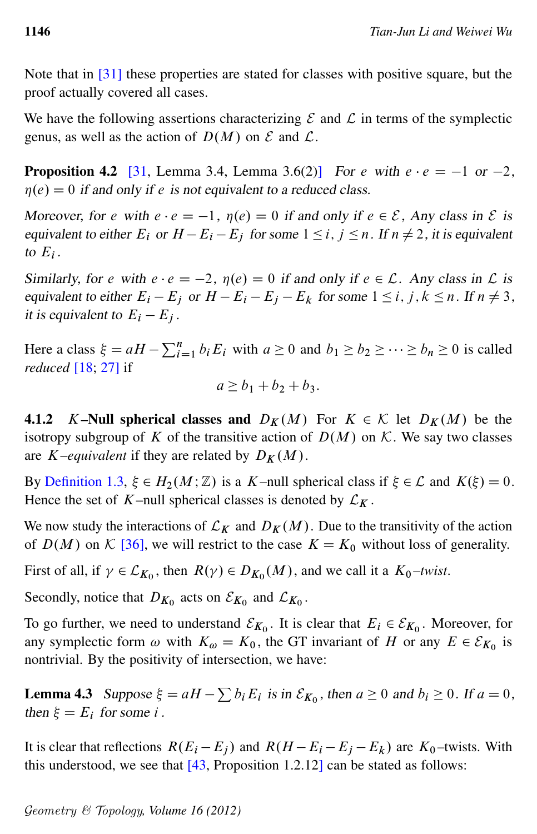Note that in [\[31\]](#page-47-9) these properties are stated for classes with positive square, but the proof actually covered all cases.

We have the following assertions characterizing  $\mathcal E$  and  $\mathcal L$  in terms of the symplectic genus, as well as the action of  $D(M)$  on  $\mathcal E$  and  $\mathcal L$ .

<span id="page-25-1"></span>**Proposition 4.2** [\[31,](#page-47-9) Lemma 3.4, Lemma 3.6(2)] For e with  $e \cdot e = -1$  or  $-2$ ,  $\eta(e) = 0$  if and only if e is not equivalent to a reduced class.

Moreover, for e with  $e \cdot e = -1$ ,  $\eta(e) = 0$  if and only if  $e \in \mathcal{E}$ , Any class in  $\mathcal E$  is equivalent to either  $E_i$  or  $H - E_i - E_j$  for some  $1 \le i, j \le n$ . If  $n \ne 2$ , it is equivalent to  $E_i$ .

Similarly, for e with  $e \cdot e = -2$ ,  $\eta(e) = 0$  if and only if  $e \in \mathcal{L}$ . Any class in  $\mathcal L$  is equivalent to either  $E_i - E_j$  or  $H - E_i - E_j - E_k$  for some  $1 \le i, j, k \le n$ . If  $n \ne 3$ , it is equivalent to  $E_i - E_j$ .

Here a class  $\xi = aH - \sum_{i=1}^{n} b_i E_i$  with  $a \ge 0$  and  $b_1 \ge b_2 \ge \cdots \ge b_n \ge 0$  is called *reduced* [\[18;](#page-46-9) [27\]](#page-46-10) if

$$
a \ge b_1 + b_2 + b_3.
$$

4.1.2 K–Null spherical classes and  $D_K(M)$  For  $K \in \mathcal{K}$  let  $D_K(M)$  be the isotropy subgroup of K of the transitive action of  $D(M)$  on K. We say two classes are K–equivalent if they are related by  $D_K(M)$ .

By [Definition 1.3,](#page-1-2)  $\xi \in H_2(M;\mathbb{Z})$  is a K–null spherical class if  $\xi \in \mathcal{L}$  and  $K(\xi) = 0$ . Hence the set of K–null spherical classes is denoted by  $\mathcal{L}_K$ .

We now study the interactions of  $\mathcal{L}_K$  and  $D_K(M)$ . Due to the transitivity of the action of  $D(M)$  on K [\[36\]](#page-47-4), we will restrict to the case  $K = K_0$  without loss of generality.

First of all, if  $\gamma \in \mathcal{L}_{K_0}$ , then  $R(\gamma) \in D_{K_0}(M)$ , and we call it a  $K_0$ -twist.

Secondly, notice that  $D_{K_0}$  acts on  $\mathcal{E}_{K_0}$  and  $\mathcal{L}_{K_0}$ .

To go further, we need to understand  $\mathcal{E}_{K_0}$ . It is clear that  $E_i \in \mathcal{E}_{K_0}$ . Moreover, for any symplectic form  $\omega$  with  $K_{\omega} = K_0$ , the GT invariant of H or any  $E \in \mathcal{E}_{K_0}$  is nontrivial. By the positivity of intersection, we have:

<span id="page-25-2"></span>**Lemma 4.3** Suppose  $\xi = aH - \sum b_i E_i$  is in  $\mathcal{E}_{K_0}$ , then  $a \ge 0$  and  $b_i \ge 0$ . If  $a = 0$ , then  $\xi = E_i$  for some i.

<span id="page-25-0"></span>It is clear that reflections  $R(E_i - E_j)$  and  $R(H - E_i - E_j - E_k)$  are  $K_0$ -twists. With this understood, we see that [\[43,](#page-47-10) Proposition 1.2.12] can be stated as follows: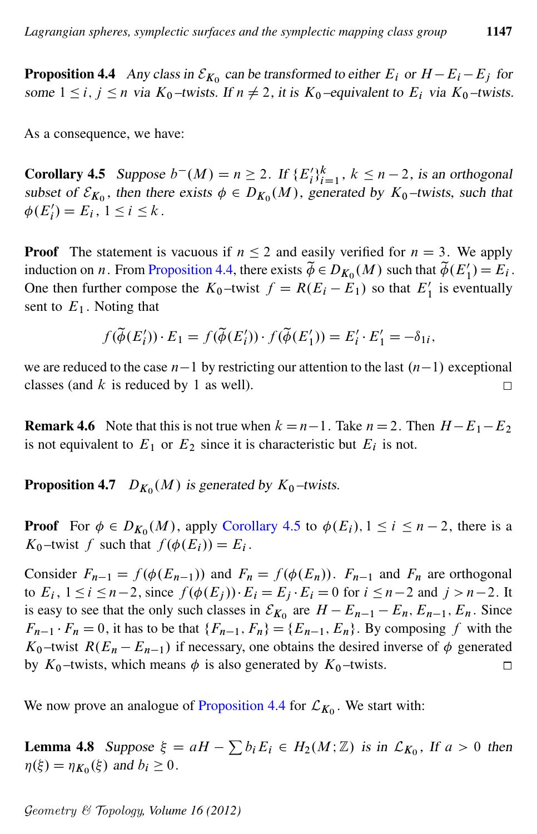**Proposition 4.4** Any class in  $\mathcal{E}_{K_0}$  can be transformed to either  $E_i$  or  $H - E_i - E_j$  for some  $1 \le i, j \le n$  via  $K_0$ -twists. If  $n \ne 2$ , it is  $K_0$ -equivalent to  $E_i$  via  $K_0$ -twists.

<span id="page-26-0"></span>As a consequence, we have:

**Corollary 4.5** Suppose  $b^-(M) = n \ge 2$ . If  $\{E_i'\}_{i=1}^k$ ,  $k \le n-2$ , is an orthogonal subset of  $\mathcal{E}_{K_0}$ , then there exists  $\phi \in D_{K_0}(M)$ , generated by  $K_0$ -twists, such that  $\phi(E'_i) = E_i, \ 1 \leq i \leq k$ .

**Proof** The statement is vacuous if  $n \leq 2$  and easily verified for  $n = 3$ . We apply induction on *n*. From [Proposition 4.4,](#page-25-0) there exists  $\widetilde{\phi} \in D_{K_0}(M)$  such that  $\widetilde{\phi}(E'_1) = E_i$ . One then further compose the  $K_0$ -twist  $f = R(E_i - E_1)$  so that  $E'_1$  is eventually sent to  $E_1$ . Noting that

$$
f(\widetilde{\phi}(E_i')) \cdot E_1 = f(\widetilde{\phi}(E_i')) \cdot f(\widetilde{\phi}(E_1')) = E_i' \cdot E_1' = -\delta_{1i},
$$

we are reduced to the case  $n-1$  by restricting our attention to the last  $(n-1)$  exceptional classes (and  $k$  is reduced by 1 as well).  $\Box$ 

**Remark 4.6** Note that this is not true when  $k = n-1$ . Take  $n = 2$ . Then  $H - E_1 - E_2$ is not equivalent to  $E_1$  or  $E_2$  since it is characteristic but  $E_i$  is not.

<span id="page-26-2"></span>**Proposition 4.7**  $D_{K_0}(M)$  is generated by  $K_0$ -twists.

**Proof** For  $\phi \in D_{K_0}(M)$ , apply [Corollary 4.5](#page-26-0) to  $\phi(E_i)$ ,  $1 \le i \le n-2$ , there is a  $K_0$ -twist f such that  $f(\phi(E_i)) = E_i$ .

Consider  $F_{n-1} = f(\phi(E_{n-1}))$  and  $F_n = f(\phi(E_n))$ .  $F_{n-1}$  and  $F_n$  are orthogonal to  $E_i$ ,  $1 \le i \le n-2$ , since  $f(\phi(E_j)) \cdot E_i = E_j \cdot E_i = 0$  for  $i \le n-2$  and  $j > n-2$ . It is easy to see that the only such classes in  $\mathcal{E}_{K_0}$  are  $H - E_{n-1} - E_n$ ,  $E_{n-1}$ ,  $E_n$ . Since  $F_{n-1} \cdot F_n = 0$ , it has to be that  $\{F_{n-1}, F_n\} = \{E_{n-1}, E_n\}$ . By composing f with the  $K_0$ -twist  $R(E_n - E_{n-1})$  if necessary, one obtains the desired inverse of  $\phi$  generated by  $K_0$ -twists, which means  $\phi$  is also generated by  $K_0$ -twists.  $\Box$ 

<span id="page-26-1"></span>We now prove an analogue of [Proposition 4.4](#page-25-0) for  $\mathcal{L}_{K_0}$ . We start with:

**Lemma 4.8** Suppose  $\xi = aH - \sum b_i E_i \in H_2(M; \mathbb{Z})$  is in  $\mathcal{L}_{K_0}$ , If  $a > 0$  then  $\eta(\xi) = \eta_{K_0}(\xi)$  and  $b_i \ge 0$ .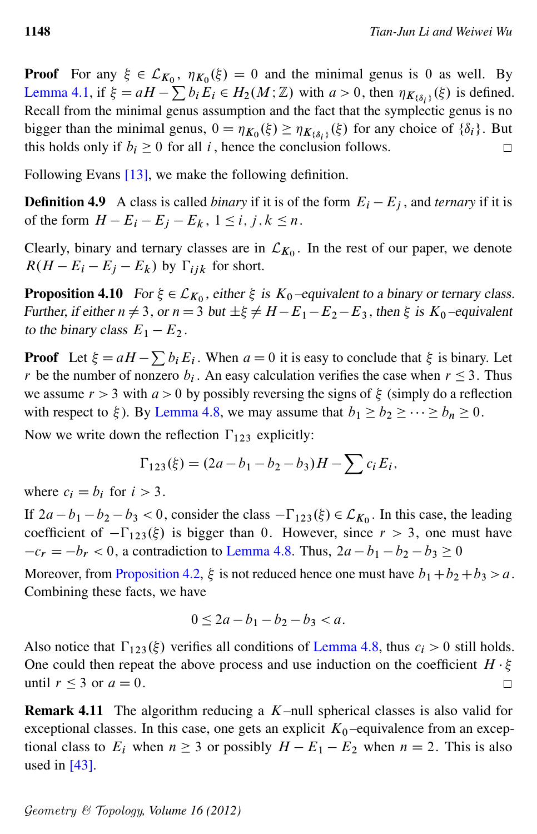**Proof** For any  $\xi \in \mathcal{L}_{K_0}$ ,  $\eta_{K_0}(\xi) = 0$  and the minimal genus is 0 as well. By [Lemma 4.1,](#page-24-0) if  $\xi = aH - \sum b_i E_i \in H_2(M; \mathbb{Z})$  with  $a > 0$ , then  $\eta_{K_{\{\delta_i\}}}(\xi)$  is defined. Recall from the minimal genus assumption and the fact that the symplectic genus is no bigger than the minimal genus,  $0 = \eta_{K_0}(\xi) \geq \eta_{K_{\{\delta_i\}}(\xi)}$  for any choice of  $\{\delta_i\}$ . But this holds only if  $b_i \geq 0$  for all i, hence the conclusion follows. □

Following Evans [\[13\]](#page-46-1), we make the following definition.

**Definition 4.9** A class is called *binary* if it is of the form  $E_i - E_j$ , and *ternary* if it is of the form  $H - E_i - E_j - E_k$ ,  $1 \le i, j, k \le n$ .

Clearly, binary and ternary classes are in  $\mathcal{L}_{K_0}$ . In the rest of our paper, we denote  $R(H - E_i - E_j - E_k)$  by  $\Gamma_{iik}$  for short.

<span id="page-27-1"></span>**Proposition 4.10** For  $\xi \in \mathcal{L}_{K_0}$ , either  $\xi$  is  $K_0$ -equivalent to a binary or ternary class. Further, if either  $n \neq 3$ , or  $n = 3$  but  $\pm \xi \neq H - E_1 - E_2 - E_3$ , then  $\xi$  is  $K_0$ -equivalent to the binary class  $E_1 - E_2$ .

**Proof** Let  $\xi = aH - \sum b_i E_i$ . When  $a = 0$  it is easy to conclude that  $\xi$  is binary. Let r be the number of nonzero  $b_i$ . An easy calculation verifies the case when  $r \leq 3$ . Thus we assume  $r > 3$  with  $a > 0$  by possibly reversing the signs of  $\xi$  (simply do a reflection with respect to  $\xi$ ). By [Lemma 4.8,](#page-26-1) we may assume that  $b_1 \geq b_2 \geq \cdots \geq b_n \geq 0$ .

Now we write down the reflection  $\Gamma_{123}$  explicitly:

$$
\Gamma_{123}(\xi) = (2a - b_1 - b_2 - b_3)H - \sum c_i E_i,
$$

where  $c_i = b_i$  for  $i > 3$ .

If  $2a - b_1 - b_2 - b_3 < 0$ , consider the class  $-\Gamma_{123}(\xi) \in \mathcal{L}_{K_0}$ . In this case, the leading coefficient of  $-\Gamma_{123}(\xi)$  is bigger than 0. However, since  $r > 3$ , one must have  $-c_r = -b_r < 0$ , a contradiction to [Lemma 4.8.](#page-26-1) Thus,  $2a - b_1 - b_2 - b_3 \ge 0$ 

Moreover, from [Proposition 4.2,](#page-25-1)  $\xi$  is not reduced hence one must have  $b_1+b_2+b_3 > a$ . Combining these facts, we have

$$
0 \le 2a - b_1 - b_2 - b_3 < a.
$$

Also notice that  $\Gamma_{123}(\xi)$  verifies all conditions of [Lemma 4.8,](#page-26-1) thus  $c_i > 0$  still holds. One could then repeat the above process and use induction on the coefficient  $H \cdot \xi$ until  $r \leq 3$  or  $a = 0$ .  $\Box$ 

<span id="page-27-0"></span>**Remark 4.11** The algorithm reducing a  $K$ -null spherical classes is also valid for exceptional classes. In this case, one gets an explicit  $K_0$  –equivalence from an exceptional class to  $E_i$  when  $n \ge 3$  or possibly  $H - E_1 - E_2$  when  $n = 2$ . This is also used in  $[43]$ .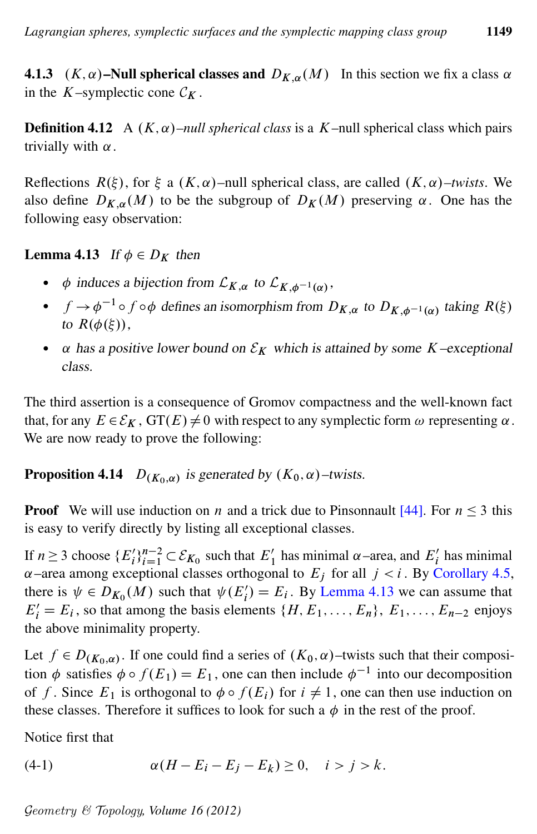4.1.3  $(K, \alpha)$ –Null spherical classes and  $D_{K,\alpha}(M)$  In this section we fix a class  $\alpha$ in the K–symplectic cone  $\mathcal{C}_K$ .

<span id="page-28-2"></span>**Definition 4.12** A  $(K, \alpha)$ –*null spherical class* is a K–null spherical class which pairs trivially with  $\alpha$ .

Reflections  $R(\xi)$ , for  $\xi$  a  $(K, \alpha)$ –null spherical class, are called  $(K, \alpha)$ –twists. We also define  $D_{K,\alpha}(M)$  to be the subgroup of  $D_K(M)$  preserving  $\alpha$ . One has the following easy observation:

<span id="page-28-0"></span>**Lemma 4.13** If  $\phi \in D_K$  then

- $\phi$  induces a bijection from  $\mathcal{L}_{K,\alpha}$  to  $\mathcal{L}_{K,\phi^{-1}(\alpha)}$ ,
- $f \to \phi^{-1} \circ f \circ \phi$  defines an isomorphism from  $D_{K,\alpha}$  to  $D_{K,\phi^{-1}(\alpha)}$  taking  $R(\xi)$ to  $R(\phi(\xi))$ ,
- $\alpha$  has a positive lower bound on  $\mathcal{E}_K$  which is attained by some K–exceptional class.

The third assertion is a consequence of Gromov compactness and the well-known fact that, for any  $E \in \mathcal{E}_K$ ,  $GT(E) \neq 0$  with respect to any symplectic form  $\omega$  representing  $\alpha$ . We are now ready to prove the following:

<span id="page-28-3"></span>**Proposition 4.14**  $D_{(K_0, \alpha)}$  is generated by  $(K_0, \alpha)$ –twists.

**Proof** We will use induction on *n* and a trick due to Pinsonnault [\[44\]](#page-48-10). For  $n \le 3$  this is easy to verify directly by listing all exceptional classes.

If  $n \ge 3$  choose  $\{E_i'\}_{i=1}^{n-2} \subset \mathcal{E}_{K_0}$  such that  $E'_1$  has minimal  $\alpha$ -area, and  $E'_i$  has minimal  $\alpha$ –area among exceptional classes orthogonal to  $E_i$  for all  $j < i$ . By [Corollary 4.5,](#page-26-0) there is  $\psi \in D_{K_0}(M)$  such that  $\psi(E'_i) = E_i$ . By [Lemma 4.13](#page-28-0) we can assume that  $E'_i = E_i$ , so that among the basis elements  $\{H, E_1, \ldots, E_n\}$ ,  $E_1, \ldots, E_{n-2}$  enjoys the above minimality property.

Let  $f \in D_{(K_0,\alpha)}$ . If one could find a series of  $(K_0,\alpha)$ –twists such that their composition  $\phi$  satisfies  $\phi \circ f(E_1) = E_1$ , one can then include  $\phi^{-1}$  into our decomposition of f. Since  $E_1$  is orthogonal to  $\phi \circ f(E_i)$  for  $i \neq 1$ , one can then use induction on these classes. Therefore it suffices to look for such a  $\phi$  in the rest of the proof.

<span id="page-28-1"></span>Notice first that

(4-1) 
$$
\alpha(H - E_i - E_j - E_k) \ge 0, \quad i > j > k.
$$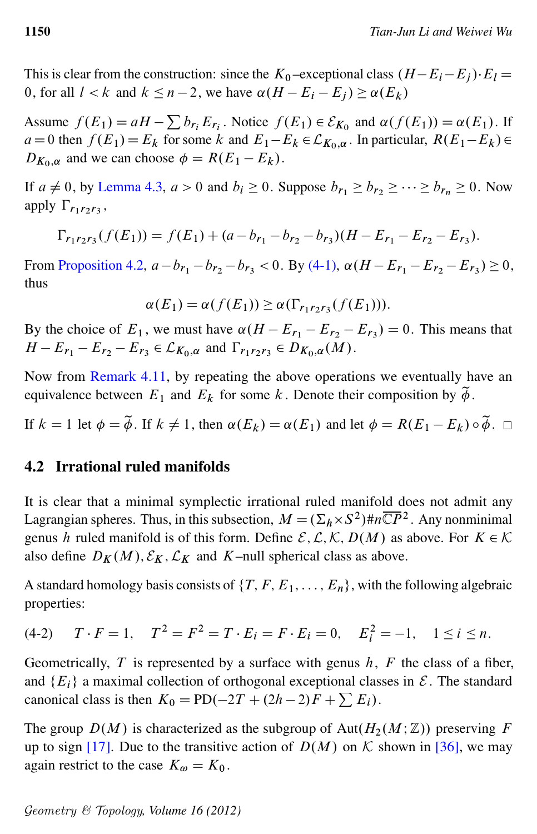This is clear from the construction: since the  $K_0$ -exceptional class  $(H - E_i - E_j) \cdot E_l =$ 0, for all  $l < k$  and  $k \leq n - 2$ , we have  $\alpha(H - E_i - E_i) \geq \alpha(E_k)$ 

Assume  $f(E_1) = aH - \sum b_{r_i} E_{r_i}$ . Notice  $f(E_1) \in \mathcal{E}_{K_0}$  and  $\alpha(f(E_1)) = \alpha(E_1)$ . If  $a=0$  then  $f(E_1)=E_k$  for some k and  $E_1-E_k \in \mathcal{L}_{K_0,\alpha}$ . In particular,  $R(E_1-E_k) \in$  $D_{K_0,\alpha}$  and we can choose  $\phi = R(E_1 - E_k)$ .

If  $a \neq 0$ , by [Lemma 4.3,](#page-25-2)  $a > 0$  and  $b_i \geq 0$ . Suppose  $b_{r_1} \geq b_{r_2} \geq \cdots \geq b_{r_n} \geq 0$ . Now apply  $\Gamma_{r_1r_2r_3}$ ,

$$
\Gamma_{r_1r_2r_3}(f(E_1)) = f(E_1) + (a - b_{r_1} - b_{r_2} - b_{r_3})(H - E_{r_1} - E_{r_2} - E_{r_3}).
$$

From [Proposition 4.2,](#page-25-1)  $a - b_{r_1} - b_{r_2} - b_{r_3} < 0$ . By [\(4-1\),](#page-28-1)  $\alpha (H - E_{r_1} - E_{r_2} - E_{r_3}) \ge 0$ , thus

$$
\alpha(E_1) = \alpha(f(E_1)) \geq \alpha(\Gamma_{r_1r_2r_3}(f(E_1))).
$$

By the choice of  $E_1$ , we must have  $\alpha(H - E_{r_1} - E_{r_2} - E_{r_3}) = 0$ . This means that  $H - E_{r_1} - E_{r_2} - E_{r_3} \in \mathcal{L}_{K_0, \alpha}$  and  $\Gamma_{r_1 r_2 r_3} \in D_{K_0, \alpha}(M)$ .

Now from [Remark 4.11,](#page-27-0) by repeating the above operations we eventually have an equivalence between  $E_1$  and  $E_k$  for some k. Denote their composition by  $\tilde{\phi}$ .

If  $k = 1$  let  $\phi = \tilde{\phi}$ . If  $k \neq 1$ , then  $\alpha(E_k) = \alpha(E_1)$  and let  $\phi = R(E_1 - E_k) \circ \tilde{\phi}$ .  $\Box$ 

#### 4.2 Irrational ruled manifolds

It is clear that a minimal symplectic irrational ruled manifold does not admit any Lagrangian spheres. Thus, in this subsection,  $M = (\Sigma_h \times S^2) \# n \overline{\mathbb{C}P}^2$ . Any nonminimal genus h ruled manifold is of this form. Define  $\mathcal{E}, \mathcal{L}, \mathcal{K}, D(M)$  as above. For  $K \in \mathcal{K}$ also define  $D_K(M), \mathcal{E}_K, \mathcal{L}_K$  and K–null spherical class as above.

<span id="page-29-0"></span>A standard homology basis consists of  $\{T, F, E_1, \ldots, E_n\}$ , with the following algebraic properties:

$$
(4-2) \t T \cdot F = 1, \t T^2 = F^2 = T \cdot E_i = F \cdot E_i = 0, \t E_i^2 = -1, \t 1 \le i \le n.
$$

Geometrically,  $T$  is represented by a surface with genus  $h$ ,  $F$  the class of a fiber, and  ${E_i}$  a maximal collection of orthogonal exceptional classes in  $\mathcal{E}$ . The standard canonical class is then  $K_0 = \text{PD}(-2T + (2h - 2)F + \sum E_i)$ .

<span id="page-29-1"></span>The group  $D(M)$  is characterized as the subgroup of Aut $(H_2(M;\mathbb{Z}))$  preserving F up to sign [\[17\]](#page-46-8). Due to the transitive action of  $D(M)$  on K shown in [\[36\]](#page-47-4), we may again restrict to the case  $K_{\omega} = K_0$ .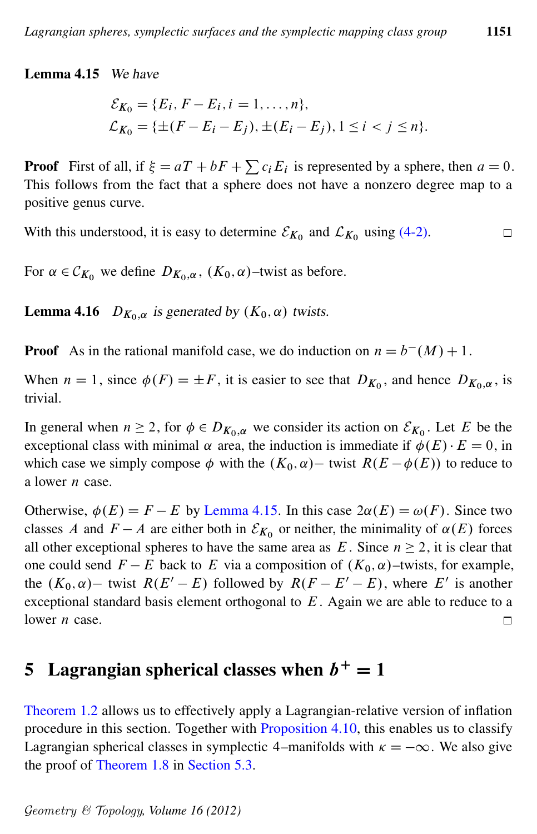#### Lemma 4.15 We have

$$
\mathcal{E}_{K_0} = \{E_i, F - E_i, i = 1, ..., n\},
$$
  
\n
$$
\mathcal{L}_{K_0} = \{\pm (F - E_i - E_j), \pm (E_i - E_j), 1 \le i < j \le n\}.
$$

**Proof** First of all, if  $\xi = aT + bF + \sum c_i E_i$  is represented by a sphere, then  $a = 0$ . This follows from the fact that a sphere does not have a nonzero degree map to a positive genus curve.

With this understood, it is easy to determine  $\mathcal{E}_{K_0}$  and  $\mathcal{L}_{K_0}$  using [\(4-2\).](#page-29-0)  $\Box$ 

<span id="page-30-1"></span>For  $\alpha \in \mathcal{C}_{K_0}$  we define  $D_{K_0,\alpha}$ ,  $(K_0,\alpha)$ -twist as before.

**Lemma 4.16**  $D_{K_0,\alpha}$  is generated by  $(K_0,\alpha)$  twists.

**Proof** As in the rational manifold case, we do induction on  $n = b^-(M) + 1$ .

When  $n = 1$ , since  $\phi(F) = \pm F$ , it is easier to see that  $D_{K_0}$ , and hence  $D_{K_0,\alpha}$ , is trivial.

In general when  $n \ge 2$ , for  $\phi \in D_{K_0,\alpha}$  we consider its action on  $\mathcal{E}_{K_0}$ . Let E be the exceptional class with minimal  $\alpha$  area, the induction is immediate if  $\phi(E) \cdot E = 0$ , in which case we simply compose  $\phi$  with the  $(K_0, \alpha)$  - twist  $R(E - \phi(E))$  to reduce to a lower *n* case.

Otherwise,  $\phi(E) = F - E$  by [Lemma 4.15.](#page-29-1) In this case  $2\alpha(E) = \omega(F)$ . Since two classes A and  $F - A$  are either both in  $\mathcal{E}_{K_0}$  or neither, the minimality of  $\alpha(E)$  forces all other exceptional spheres to have the same area as  $E$ . Since  $n \ge 2$ , it is clear that one could send  $F - E$  back to E via a composition of  $(K_0, \alpha)$ –twists, for example, the  $(K_0, \alpha)$  twist  $R(E'-E)$  followed by  $R(F-E'-E)$ , where E' is another exceptional standard basis element orthogonal to E. Again we are able to reduce to a lower *n* case.  $\Box$ 

# <span id="page-30-0"></span>5 Lagrangian spherical classes when  $b^+=1$

[Theorem 1.2](#page-1-0) allows us to effectively apply a Lagrangian-relative version of inflation procedure in this section. Together with [Proposition 4.10,](#page-27-1) this enables us to classify Lagrangian spherical classes in symplectic 4–manifolds with  $\kappa = -\infty$ . We also give the proof of [Theorem 1.8](#page-3-0) in [Section 5.3.](#page-36-0)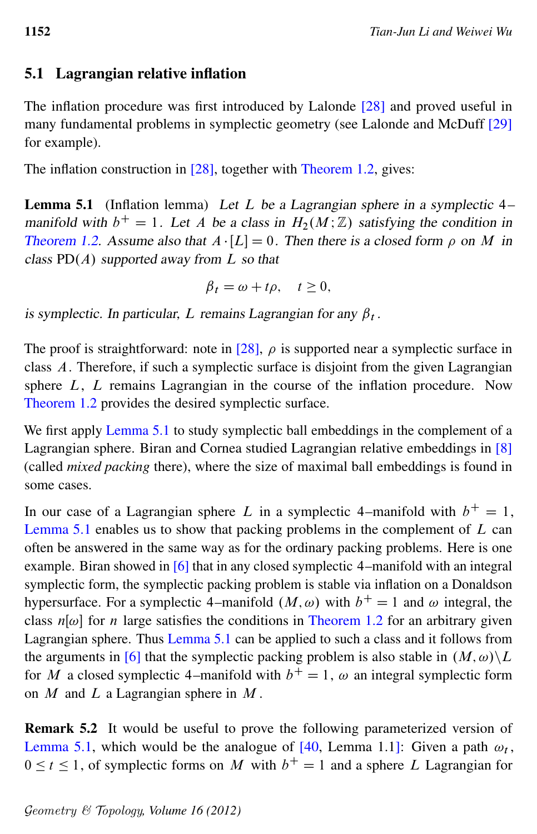## 5.1 Lagrangian relative inflation

The inflation procedure was first introduced by Lalonde [\[28\]](#page-46-11) and proved useful in many fundamental problems in symplectic geometry (see Lalonde and McDuff [\[29\]](#page-47-11) for example).

<span id="page-31-1"></span>The inflation construction in [\[28\]](#page-46-11), together with [Theorem 1.2,](#page-1-0) gives:

**Lemma 5.1** (Inflation lemma) Let L be a Lagrangian sphere in a symplectic  $4$ manifold with  $b^+ = 1$ . Let A be a class in  $H_2(M;\mathbb{Z})$  satisfying the condition in [Theorem 1.2.](#page-1-0) Assume also that  $A \cdot [L] = 0$ . Then there is a closed form  $\rho$  on M in class  $PD(A)$  supported away from L so that

$$
\beta_t = \omega + t\rho, \quad t \ge 0,
$$

is symplectic. In particular, L remains Lagrangian for any  $\beta_t$ .

The proof is straightforward: note in [\[28\]](#page-46-11),  $\rho$  is supported near a symplectic surface in class A. Therefore, if such a symplectic surface is disjoint from the given Lagrangian sphere L, L remains Lagrangian in the course of the inflation procedure. Now [Theorem 1.2](#page-1-0) provides the desired symplectic surface.

We first apply [Lemma 5.1](#page-31-1) to study symplectic ball embeddings in the complement of a Lagrangian sphere. Biran and Cornea studied Lagrangian relative embeddings in [\[8\]](#page-45-6) (called *mixed packing* there), where the size of maximal ball embeddings is found in some cases.

In our case of a Lagrangian sphere L in a symplectic 4–manifold with  $b^+ = 1$ , [Lemma 5.1](#page-31-1) enables us to show that packing problems in the complement of  $L$  can often be answered in the same way as for the ordinary packing problems. Here is one example. Biran showed in [\[6\]](#page-45-7) that in any closed symplectic 4–manifold with an integral symplectic form, the symplectic packing problem is stable via inflation on a Donaldson hypersurface. For a symplectic 4–manifold  $(M, \omega)$  with  $b^+ = 1$  and  $\omega$  integral, the class  $n[\omega]$  for *n* large satisfies the conditions in [Theorem 1.2](#page-1-0) for an arbitrary given Lagrangian sphere. Thus [Lemma 5.1](#page-31-1) can be applied to such a class and it follows from the arguments in [\[6\]](#page-45-7) that the symplectic packing problem is also stable in  $(M, \omega) \backslash L$ for M a closed symplectic 4–manifold with  $b^+=1$ ,  $\omega$  an integral symplectic form on  $M$  and  $L$  a Lagrangian sphere in  $M$ .

<span id="page-31-0"></span>Remark 5.2 It would be useful to prove the following parameterized version of [Lemma 5.1,](#page-31-1) which would be the analogue of [\[40,](#page-47-5) Lemma 1.1]: Given a path  $\omega_t$ ,  $0 \le t \le 1$ , of symplectic forms on M with  $b<sup>+</sup> = 1$  and a sphere L Lagrangian for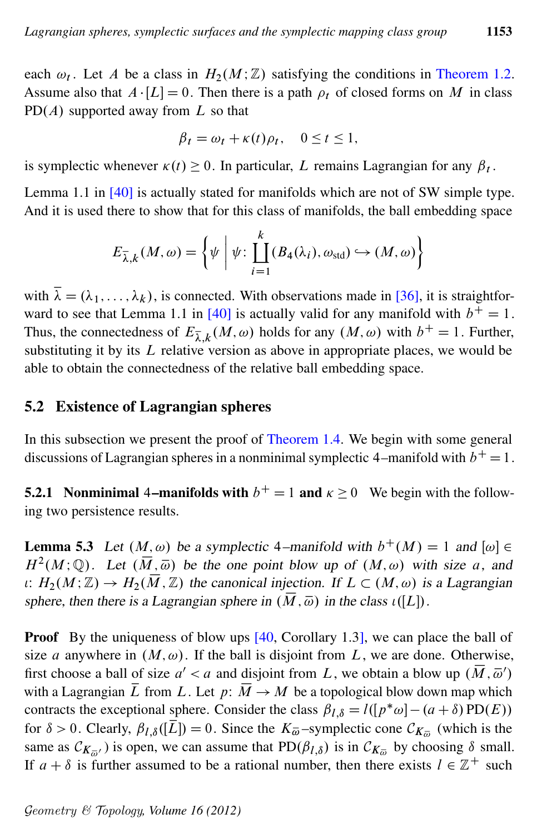each  $\omega_t$ . Let A be a class in  $H_2(M;\mathbb{Z})$  satisfying the conditions in [Theorem 1.2.](#page-1-0) Assume also that  $A \cdot [L] = 0$ . Then there is a path  $\rho_t$  of closed forms on M in class PD $(A)$  supported away from L so that

$$
\beta_t = \omega_t + \kappa(t)\rho_t, \quad 0 \le t \le 1,
$$

is symplectic whenever  $\kappa(t) \ge 0$ . In particular, L remains Lagrangian for any  $\beta_t$ .

Lemma 1.1 in [\[40\]](#page-47-5) is actually stated for manifolds which are not of SW simple type. And it is used there to show that for this class of manifolds, the ball embedding space

$$
E_{\overline{\lambda},k}(M,\omega) = \left\{ \psi \mid \psi : \coprod_{i=1}^{k} (B_4(\lambda_i), \omega_{\text{std}}) \hookrightarrow (M,\omega) \right\}
$$

with  $\bar{\lambda} = (\lambda_1, \dots, \lambda_k)$ , is connected. With observations made in [\[36\]](#page-47-4), it is straightfor-ward to see that Lemma 1.1 in [\[40\]](#page-47-5) is actually valid for any manifold with  $b^+ = 1$ . Thus, the connectedness of  $E_{\overline{\lambda},k}(M,\omega)$  holds for any  $(M,\omega)$  with  $b^+=1$ . Further, substituting it by its  $L$  relative version as above in appropriate places, we would be able to obtain the connectedness of the relative ball embedding space.

### <span id="page-32-0"></span>5.2 Existence of Lagrangian spheres

In this subsection we present the proof of [Theorem 1.4.](#page-2-1) We begin with some general discussions of Lagrangian spheres in a nonminimal symplectic 4–manifold with  $b^+ = 1$ .

**5.2.1** Nonminimal 4–manifolds with  $b^+=1$  and  $\kappa \ge 0$  We begin with the following two persistence results.

<span id="page-32-1"></span>**Lemma 5.3** Let  $(M, \omega)$  be a symplectic 4–manifold with  $b^+(M) = 1$  and  $[\omega] \in$  $H^2(M; \mathbb{Q})$ . Let  $(\overline{M}, \overline{\omega})$  be the one point blow up of  $(M, \omega)$  with size a, and  $u: H_2(M; \mathbb{Z}) \to H_2(\overline{M}, \mathbb{Z})$  the canonical injection. If  $L \subset (M, \omega)$  is a Lagrangian sphere, then there is a Lagrangian sphere in  $(\overline{M}, \overline{\omega})$  in the class  $\iota([L])$ .

**Proof** By the uniqueness of blow ups [\[40,](#page-47-5) Corollary 1.3], we can place the ball of size a anywhere in  $(M, \omega)$ . If the ball is disjoint from L, we are done. Otherwise, first choose a ball of size  $a' < a$  and disjoint from L, we obtain a blow up  $(\overline{M}, \overline{\omega}')$ with a Lagrangian  $\overline{L}$  from L. Let  $p: \overline{M} \to M$  be a topological blow down map which contracts the exceptional sphere. Consider the class  $\beta_{l,\delta} = l([p^*\omega] - (a+\delta) \text{PD}(E))$ for  $\delta > 0$ . Clearly,  $\beta_{l,\delta}([\overline{L}]) = 0$ . Since the  $K_{\overline{\omega}}$ -symplectic cone  $\mathcal{C}_{K_{\overline{\omega}}}$  (which is the same as  $C_{K_{\overline{\omega}}'}$ ) is open, we can assume that  $PD(\beta_{l,\delta})$  is in  $C_{K_{\overline{\omega}}}$  by choosing  $\delta$  small. If  $a + \delta$  is further assumed to be a rational number, then there exists  $l \in \mathbb{Z}^+$  such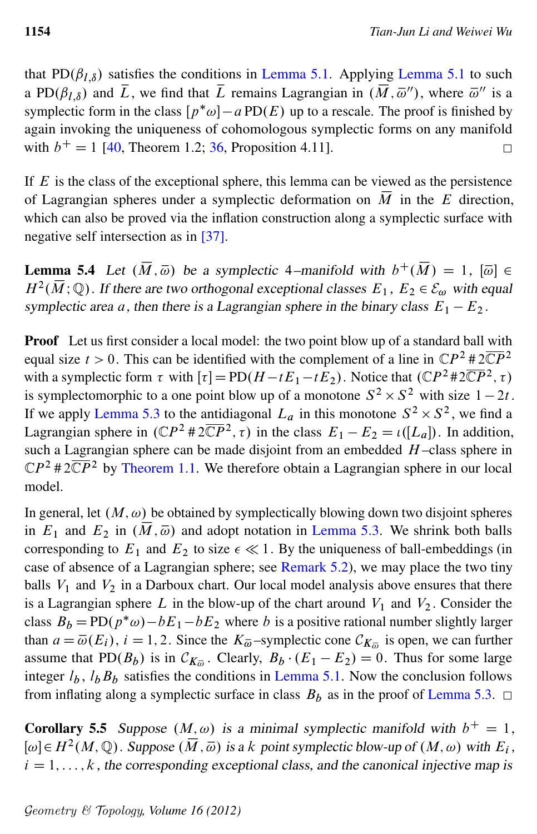that PD $(\beta_{l,\delta})$  satisfies the conditions in [Lemma 5.1.](#page-31-1) Applying [Lemma 5.1](#page-31-1) to such a PD $(\beta_{l,\delta})$  and  $\overline{L}$ , we find that  $\overline{L}$  remains Lagrangian in  $(\overline{M}, \overline{\omega}'')$ , where  $\overline{\omega}''$  is a symplectic form in the class  $[p^*\omega] - a \text{PD}(E)$  up to a rescale. The proof is finished by again invoking the uniqueness of cohomologous symplectic forms on any manifold with  $b^+ = 1$  [\[40,](#page-47-5) Theorem 1.2; [36,](#page-47-4) Proposition 4.11].  $\Box$ 

If  $E$  is the class of the exceptional sphere, this lemma can be viewed as the persistence of Lagrangian spheres under a symplectic deformation on  $\overline{M}$  in the E direction, which can also be proved via the inflation construction along a symplectic surface with negative self intersection as in [\[37\]](#page-47-12).

<span id="page-33-0"></span>**Lemma 5.4** Let  $(\overline{M}, \overline{\omega})$  be a symplectic 4–manifold with  $b^+(\overline{M}) = 1$ ,  $[\overline{\omega}] \in$  $H^2(\overline{M};\mathbb{Q})$ . If there are two orthogonal exceptional classes  $E_1, E_2 \in \mathcal{E}_{\omega}$  with equal symplectic area a, then there is a Lagrangian sphere in the binary class  $E_1 - E_2$ .

**Proof** Let us first consider a local model: the two point blow up of a standard ball with equal size  $t > 0$ . This can be identified with the complement of a line in  $\mathbb{C}P^2 \# 2\overline{\mathbb{C}P}^2$ with a symplectic form  $\tau$  with  $[\tau] = \text{PD}(H - tE_1 - tE_2)$ . Notice that  $(\mathbb{C}P^2 \# 2\overline{\mathbb{C}P}^2, \tau)$ is symplectomorphic to a one point blow up of a monotone  $S^2 \times S^2$  with size  $1 - 2t$ . If we apply [Lemma 5.3](#page-32-1) to the antidiagonal  $L_a$  in this monotone  $S^2 \times S^2$ , we find a Lagrangian sphere in  $(\mathbb{C}P^2 \# 2\overline{\mathbb{C}P}^2, \tau)$  in the class  $E_1 - E_2 = \iota([L_a])$ . In addition, such a Lagrangian sphere can be made disjoint from an embedded  $H$ -class sphere in  $\mathbb{C}P^2 \# 2\overline{\mathbb{C}P}^2$  by [Theorem 1.1.](#page-1-1) We therefore obtain a Lagrangian sphere in our local model.

In general, let  $(M, \omega)$  be obtained by symplectically blowing down two disjoint spheres in  $E_1$  and  $E_2$  in  $(\overline{M}, \overline{\omega})$  and adopt notation in [Lemma 5.3.](#page-32-1) We shrink both balls corresponding to  $E_1$  and  $E_2$  to size  $\epsilon \ll 1$ . By the uniqueness of ball-embeddings (in case of absence of a Lagrangian sphere; see [Remark 5.2\)](#page-31-0), we may place the two tiny balls  $V_1$  and  $V_2$  in a Darboux chart. Our local model analysis above ensures that there is a Lagrangian sphere L in the blow-up of the chart around  $V_1$  and  $V_2$ . Consider the class  $B_b = \text{PD}(p^*\omega) - bE_1 - bE_2$  where b is a positive rational number slightly larger than  $a = \overline{\omega}(E_i)$ ,  $i = 1, 2$ . Since the  $K_{\overline{\omega}}$ -symplectic cone  $\mathcal{C}_{K_{\overline{\omega}}}$  is open, we can further assume that PD $(B_b)$  is in  $\mathcal{C}_{K_{\overline{\omega}}}$ . Clearly,  $B_b \cdot (E_1 - E_2) = 0$ . Thus for some large integer  $l_b$ ,  $l_bB_b$  satisfies the conditions in [Lemma 5.1.](#page-31-1) Now the conclusion follows from inflating along a symplectic surface in class  $B_b$  as in the proof of [Lemma 5.3.](#page-32-1)  $\Box$ 

<span id="page-33-1"></span>**Corollary 5.5** Suppose  $(M, \omega)$  is a minimal symplectic manifold with  $b^+ = 1$ ,  $[\omega] \in H^2(M, \mathbb{Q})$ . Suppose  $(\overline{M}, \overline{\omega})$  is a k point symplectic blow-up of  $(M, \omega)$  with  $E_i$ ,  $i = 1, \ldots, k$ , the corresponding exceptional class, and the canonical injective map is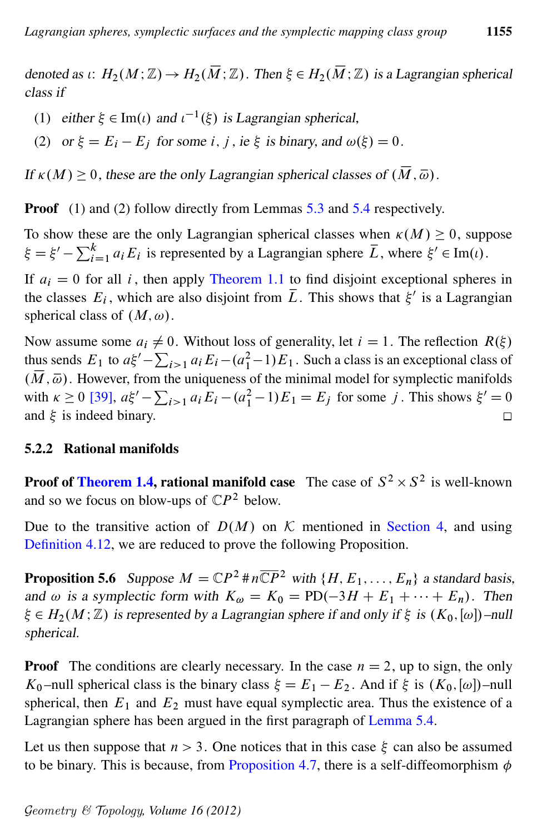denoted as  $\iota: H_2(M; \mathbb{Z}) \to H_2(\overline{M}; \mathbb{Z})$ . Then  $\xi \in H_2(\overline{M}; \mathbb{Z})$  is a Lagrangian spherical class if

- (1) either  $\xi \in \text{Im}(t)$  and  $t^{-1}(\xi)$  is Lagrangian spherical,
- (2) or  $\xi = E_i E_j$  for some i, j, ie  $\xi$  is binary, and  $\omega(\xi) = 0$ .

If  $\kappa(M) \geq 0$ , these are the only Lagrangian spherical classes of  $(\overline{M}, \overline{\omega})$ .

**Proof** (1) and (2) follow directly from Lemmas [5.3](#page-32-1) and [5.4](#page-33-0) respectively.

To show these are the only Lagrangian spherical classes when  $\kappa(M) \geq 0$ , suppose  $\xi = \xi' - \sum_{i=1}^{k} a_i E_i$  is represented by a Lagrangian sphere  $\overline{L}$ , where  $\xi' \in \text{Im}(t)$ .

If  $a_i = 0$  for all i, then apply [Theorem 1.1](#page-1-1) to find disjoint exceptional spheres in the classes  $E_i$ , which are also disjoint from  $\overline{L}$ . This shows that  $\xi'$  is a Lagrangian spherical class of  $(M, \omega)$ .

Now assume some  $a_i \neq 0$ . Without loss of generality, let  $i = 1$ . The reflection  $R(\xi)$ thus sends  $E_1$  to  $a\xi' - \sum_{i>1} a_i E_i - (a_1^2 - 1)E_1$ . Such a class is an exceptional class of  $(\overline{M}, \overline{\omega})$ . However, from the uniqueness of the minimal model for symplectic manifolds with  $\kappa \ge 0$  [\[39\]](#page-47-13),  $a\xi' - \sum_{i>1} a_i E_i - (a_1^2 - 1)E_1 = E_j$  for some j. This shows  $\xi' = 0$ and  $\xi$  is indeed binary.  $\Box$ 

#### 5.2.2 Rational manifolds

**Proof of [Theorem 1.4,](#page-2-1) rational manifold case** The case of  $S^2 \times S^2$  is well-known and so we focus on blow-ups of  $\mathbb{C}P^2$  below.

Due to the transitive action of  $D(M)$  on K mentioned in [Section 4,](#page-23-0) and using [Definition 4.12,](#page-28-2) we are reduced to prove the following Proposition.

**Proposition 5.6** Suppose  $M = \mathbb{C}P^2 \# n \overline{\mathbb{C}P}^2$  with  $\{H, E_1, \ldots, E_n\}$  a standard basis, and  $\omega$  is a symplectic form with  $K_{\omega} = K_0 = \text{PD}(-3H + E_1 + \cdots + E_n)$ . Then  $\xi \in H_2(M; \mathbb{Z})$  is represented by a Lagrangian sphere if and only if  $\xi$  is  $(K_0, [\omega])$ –null spherical.

**Proof** The conditions are clearly necessary. In the case  $n = 2$ , up to sign, the only  $K_0$ -null spherical class is the binary class  $\xi = E_1 - E_2$ . And if  $\xi$  is  $(K_0, [\omega])$ -null spherical, then  $E_1$  and  $E_2$  must have equal symplectic area. Thus the existence of a Lagrangian sphere has been argued in the first paragraph of [Lemma 5.4.](#page-33-0)

Let us then suppose that  $n > 3$ . One notices that in this case  $\xi$  can also be assumed to be binary. This is because, from [Proposition 4.7,](#page-26-2) there is a self-diffeomorphism  $\phi$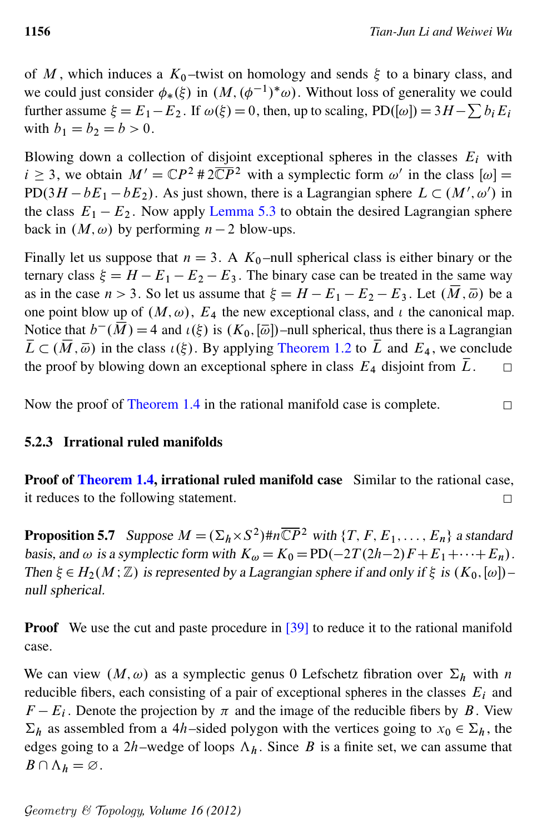of M, which induces a  $K_0$ -twist on homology and sends  $\xi$  to a binary class, and we could just consider  $\phi_*(\xi)$  in  $(M, (\phi^{-1})^*\omega)$ . Without loss of generality we could further assume  $\xi = E_1 - E_2$ . If  $\omega(\xi) = 0$ , then, up to scaling, PD([ $\omega$ ]) = 3H -  $\sum b_i E_i$ with  $b_1 = b_2 = b > 0$ .

Blowing down a collection of disjoint exceptional spheres in the classes  $E_i$  with  $i \geq 3$ , we obtain  $M' = \mathbb{C}P^2 \# 2\overline{\mathbb{C}P}^2$  with a symplectic form  $\omega'$  in the class  $[\omega] =$ PD $(3H - bE_1 - bE_2)$ . As just shown, there is a Lagrangian sphere  $L \subset (M', \omega')$  in the class  $E_1 - E_2$ . Now apply [Lemma 5.3](#page-32-1) to obtain the desired Lagrangian sphere back in  $(M, \omega)$  by performing  $n - 2$  blow-ups.

Finally let us suppose that  $n = 3$ . A  $K_0$ -null spherical class is either binary or the ternary class  $\xi = H - E_1 - E_2 - E_3$ . The binary case can be treated in the same way as in the case  $n > 3$ . So let us assume that  $\xi = H - E_1 - E_2 - E_3$ . Let  $(\overline{M}, \overline{\omega})$  be a one point blow up of  $(M, \omega)$ ,  $E_4$  the new exceptional class, and  $\iota$  the canonical map. Notice that  $b^-(\overline{M}) = 4$  and  $\iota(\xi)$  is  $(K_0, [\overline{\omega}])$ -null spherical, thus there is a Lagrangian  $\overline{L} \subset (\overline{M}, \overline{\omega})$  in the class  $\iota(\xi)$ . By applying [Theorem 1.2](#page-1-0) to  $\overline{L}$  and  $E_4$ , we conclude the proof by blowing down an exceptional sphere in class  $E_4$  disjoint from  $\overline{L}$ .  $\Box$ 

Now the proof of [Theorem 1.4](#page-2-1) in the rational manifold case is complete.  $\Box$ 

#### 5.2.3 Irrational ruled manifolds

Proof of [Theorem 1.4,](#page-2-1) irrational ruled manifold case Similar to the rational case, it reduces to the following statement.  $\Box$ 

**Proposition 5.7** Suppose  $M = (\Sigma_h \times S^2) \# n \overline{\mathbb{C}P}^2$  with  $\{T, F, E_1, \ldots, E_n\}$  a standard basis, and  $\omega$  is a symplectic form with  $K_{\omega} = K_0 = \text{PD}(-2T(2h-2)F + E_1 + \cdots + E_n)$ . Then  $\xi \in H_2(M;\mathbb{Z})$  is represented by a Lagrangian sphere if and only if  $\xi$  is  $(K_0, [\omega])$ – null spherical.

**Proof** We use the cut and paste procedure in [\[39\]](#page-47-13) to reduce it to the rational manifold case.

We can view  $(M, \omega)$  as a symplectic genus 0 Lefschetz fibration over  $\Sigma_h$  with n reducible fibers, each consisting of a pair of exceptional spheres in the classes  $E_i$  and  $F - E_i$ . Denote the projection by  $\pi$  and the image of the reducible fibers by B. View  $\Sigma_h$  as assembled from a 4h–sided polygon with the vertices going to  $x_0 \in \Sigma_h$ , the edges going to a 2h–wedge of loops  $\Lambda_h$ . Since B is a finite set, we can assume that  $B \cap \Lambda_h = \varnothing$ .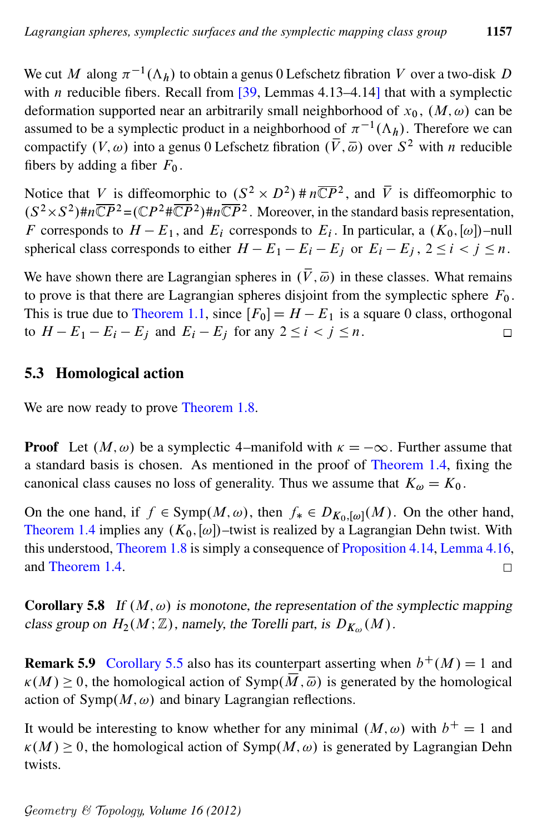We cut M along  $\pi^{-1}(\Lambda_h)$  to obtain a genus 0 Lefschetz fibration V over a two-disk D with *n* reducible fibers. Recall from  $\left[39,$  $\left[39,$  Lemmas 4.13–4.14] that with a symplectic deformation supported near an arbitrarily small neighborhood of  $x_0$ ,  $(M, \omega)$  can be assumed to be a symplectic product in a neighborhood of  $\pi^{-1}(\Lambda_h)$ . Therefore we can compactify  $(V, \omega)$  into a genus 0 Lefschetz fibration  $(\overline{V}, \overline{\omega})$  over  $S^2$  with *n* reducible fibers by adding a fiber  $F_0$ .

Notice that V is diffeomorphic to  $(S^2 \times D^2)$  #  $n\overline{CP}^2$ , and  $\overline{V}$  is diffeomorphic to  $(S^2 \times S^2)$ # $n\overline{\mathbb{C}P}^2 = (\mathbb{C}P^2 \# \overline{\mathbb{C}P}^2)$ # $n\overline{\mathbb{C}P}^2$ . Moreover, in the standard basis representation, F corresponds to  $H - E_1$ , and  $E_i$  corresponds to  $E_i$ . In particular, a  $(K_0, [\omega])$ -null spherical class corresponds to either  $H - E_1 - E_i - E_j$  or  $E_i - E_j$ ,  $2 \le i < j \le n$ .

We have shown there are Lagrangian spheres in  $(\bar{V}, \bar{\omega})$  in these classes. What remains to prove is that there are Lagrangian spheres disjoint from the symplectic sphere  $F_0$ . This is true due to [Theorem 1.1,](#page-1-1) since  $[F_0] = H - E_1$  is a square 0 class, orthogonal to  $H - E_1 - E_i - E_j$  and  $E_i - E_j$  for any  $2 \le i < j \le n$ .  $\Box$ 

## <span id="page-36-0"></span>5.3 Homological action

We are now ready to prove [Theorem 1.8.](#page-3-0)

**Proof** Let  $(M, \omega)$  be a symplectic 4–manifold with  $\kappa = -\infty$ . Further assume that a standard basis is chosen. As mentioned in the proof of [Theorem 1.4,](#page-2-1) fixing the canonical class causes no loss of generality. Thus we assume that  $K_{\omega} = K_0$ .

On the one hand, if  $f \in \text{Symp}(M, \omega)$ , then  $f_* \in D_{K_0, [\omega]}(M)$ . On the other hand, [Theorem 1.4](#page-2-1) implies any  $(K_0, [\omega])$ –twist is realized by a Lagrangian Dehn twist. With this understood, [Theorem 1.8](#page-3-0) is simply a consequence of [Proposition 4.14,](#page-28-3) [Lemma 4.16,](#page-30-1) and [Theorem 1.4.](#page-2-1)  $\Box$ 

**Corollary 5.8** If  $(M, \omega)$  is monotone, the representation of the symplectic mapping class group on  $H_2(M; \mathbb{Z})$ , namely, the Torelli part, is  $D_{K_{\omega}}(M)$ .

**Remark 5.9** [Corollary 5.5](#page-33-1) also has its counterpart asserting when  $b^{+}(M) = 1$  and  $\kappa(M) \geq 0$ , the homological action of Symp $(\overline{M}, \overline{\omega})$  is generated by the homological action of  $Symp(M, \omega)$  and binary Lagrangian reflections.

It would be interesting to know whether for any minimal  $(M, \omega)$  with  $b^+ = 1$  and  $\kappa(M) \geq 0$ , the homological action of Symp $(M, \omega)$  is generated by Lagrangian Dehn twists.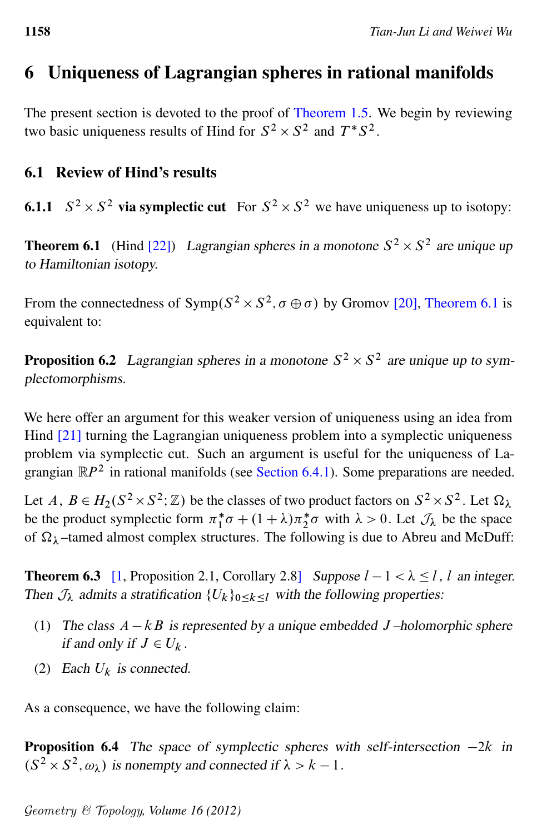# <span id="page-37-0"></span>6 Uniqueness of Lagrangian spheres in rational manifolds

The present section is devoted to the proof of [Theorem 1.5.](#page-2-0) We begin by reviewing two basic uniqueness results of Hind for  $S^2 \times S^2$  and  $T^*S^2$ .

## 6.1 Review of Hind's results

<span id="page-37-5"></span><span id="page-37-1"></span>**6.1.1**  $S^2 \times S^2$  via symplectic cut For  $S^2 \times S^2$  we have uniqueness up to isotopy:

**Theorem 6.1** (Hind [\[22\]](#page-46-0)) Lagrangian spheres in a monotone  $S^2 \times S^2$  are unique up to Hamiltonian isotopy.

From the connectedness of  $Symp(S^2 \times S^2, \sigma \oplus \sigma)$  by Gromov [\[20\]](#page-46-12), [Theorem 6.1](#page-37-1) is equivalent to:

<span id="page-37-3"></span>**Proposition 6.2** Lagrangian spheres in a monotone  $S^2 \times S^2$  are unique up to symplectomorphisms.

We here offer an argument for this weaker version of uniqueness using an idea from Hind [\[21\]](#page-46-13) turning the Lagrangian uniqueness problem into a symplectic uniqueness problem via symplectic cut. Such an argument is useful for the uniqueness of Lagrangian  $\mathbb{R}P^2$  in rational manifolds (see [Section 6.4.1\)](#page-44-1). Some preparations are needed.

Let  $A, B \in H_2(S^2 \times S^2; \mathbb{Z})$  be the classes of two product factors on  $S^2 \times S^2$ . Let  $\Omega_{\lambda}$ be the product symplectic form  $\pi_1^*$  $\int_{1}^{*} \sigma + (1 + \lambda) \pi_{2}^{*} \sigma$  with  $\lambda > 0$ . Let  $\mathcal{J}_{\lambda}$  be the space of  $\Omega_{\lambda}$  –tamed almost complex structures. The following is due to Abreu and McDuff:

<span id="page-37-2"></span>**Theorem 6.3** [\[1,](#page-45-8) Proposition 2.1, Corollary 2.8] Suppose  $l - 1 < \lambda \le l$ , l an integer. Then  $\mathcal{J}_\lambda$  admits a stratification  $\{U_k\}_{0\leq k\leq l}$  with the following properties:

- (1) The class  $A kB$  is represented by a unique embedded J-holomorphic sphere if and only if  $J \in U_k$ .
- (2) Each  $U_k$  is connected.

<span id="page-37-4"></span>As a consequence, we have the following claim:

**Proposition 6.4** The space of symplectic spheres with self-intersection  $-2k$  in  $(S^2 \times S^2, \omega_\lambda)$  is nonempty and connected if  $\lambda > k - 1$ .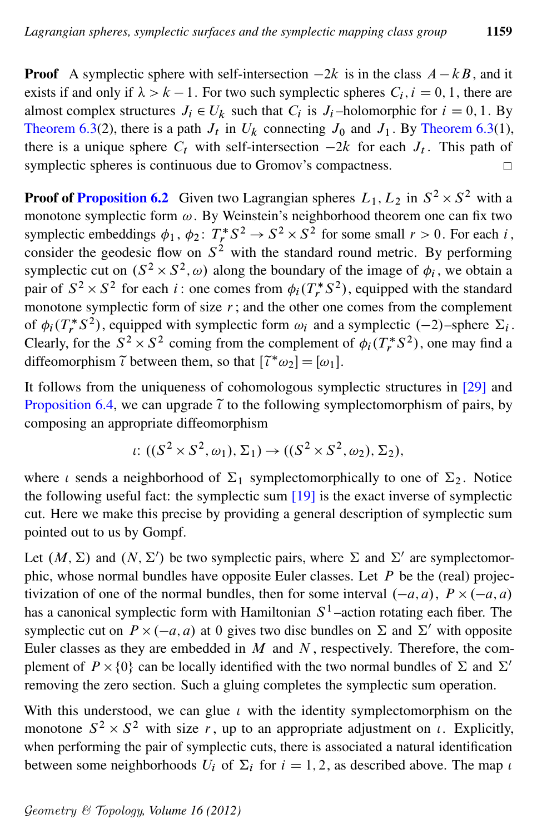**Proof** A symplectic sphere with self-intersection  $-2k$  is in the class  $A - kB$ , and it exists if and only if  $\lambda > k - 1$ . For two such symplectic spheres  $C_i$ ,  $i = 0, 1$ , there are almost complex structures  $J_i \in U_k$  such that  $C_i$  is  $J_i$ -holomorphic for  $i = 0, 1$ . By [Theorem 6.3\(](#page-37-2)2), there is a path  $J_t$  in  $U_k$  connecting  $J_0$  and  $J_1$ . By Theorem 6.3(1), there is a unique sphere  $C_t$  with self-intersection  $-2k$  for each  $J_t$ . This path of symplectic spheres is continuous due to Gromov's compactness.

**Proof of [Proposition 6.2](#page-37-3)** Given two Lagrangian spheres  $L_1, L_2$  in  $S^2 \times S^2$  with a monotone symplectic form  $\omega$ . By Weinstein's neighborhood theorem one can fix two symplectic embeddings  $\phi_1$ ,  $\phi_2$ :  $T_r^* S^2 \to S^2 \times S^2$  for some small  $r > 0$ . For each i, consider the geodesic flow on  $S^2$  with the standard round metric. By performing symplectic cut on  $(S^2 \times S^2, \omega)$  along the boundary of the image of  $\phi_i$ , we obtain a pair of  $S^2 \times S^2$  for each *i*: one comes from  $\phi_i(T_r^*S^2)$ , equipped with the standard monotone symplectic form of size  $r$ ; and the other one comes from the complement of  $\phi_i(T_r^*S^2)$ , equipped with symplectic form  $\omega_i$  and a symplectic  $(-2)$ –sphere  $\Sigma_i$ . Clearly, for the  $S^2 \times S^2$  coming from the complement of  $\phi_i(T_r^*S^2)$ , one may find a diffeomorphism  $\tilde{\iota}$  between them, so that  $[\tilde{\iota}^* \omega_2] = [\omega_1]$ .

It follows from the uniqueness of cohomologous symplectic structures in [\[29\]](#page-47-11) and [Proposition 6.4,](#page-37-4) we can upgrade  $\tilde{\iota}$  to the following symplectomorphism of pairs, by composing an appropriate diffeomorphism

$$
\iota\colon ((S^2 \times S^2, \omega_1), \Sigma_1) \to ((S^2 \times S^2, \omega_2), \Sigma_2),
$$

where  $\iota$  sends a neighborhood of  $\Sigma_1$  symplectomorphically to one of  $\Sigma_2$ . Notice the following useful fact: the symplectic sum [\[19\]](#page-46-14) is the exact inverse of symplectic cut. Here we make this precise by providing a general description of symplectic sum pointed out to us by Gompf.

Let  $(M, \Sigma)$  and  $(N, \Sigma')$  be two symplectic pairs, where  $\Sigma$  and  $\Sigma'$  are symplectomorphic, whose normal bundles have opposite Euler classes. Let  $P$  be the (real) projectivization of one of the normal bundles, then for some interval  $(-a, a)$ ,  $P \times (-a, a)$ has a canonical symplectic form with Hamiltonian  $S<sup>1</sup>$ -action rotating each fiber. The symplectic cut on  $\overrightarrow{P} \times (-a, a)$  at 0 gives two disc bundles on  $\Sigma$  and  $\Sigma'$  with opposite Euler classes as they are embedded in  $M$  and  $N$ , respectively. Therefore, the complement of  $P \times \{0\}$  can be locally identified with the two normal bundles of  $\Sigma$  and  $\Sigma'$ removing the zero section. Such a gluing completes the symplectic sum operation.

With this understood, we can glue  $\iota$  with the identity symplectomorphism on the monotone  $S^2 \times S^2$  with size r, up to an appropriate adjustment on  $\iota$ . Explicitly, when performing the pair of symplectic cuts, there is associated a natural identification between some neighborhoods  $U_i$  of  $\Sigma_i$  for  $i = 1, 2$ , as described above. The map  $\iota$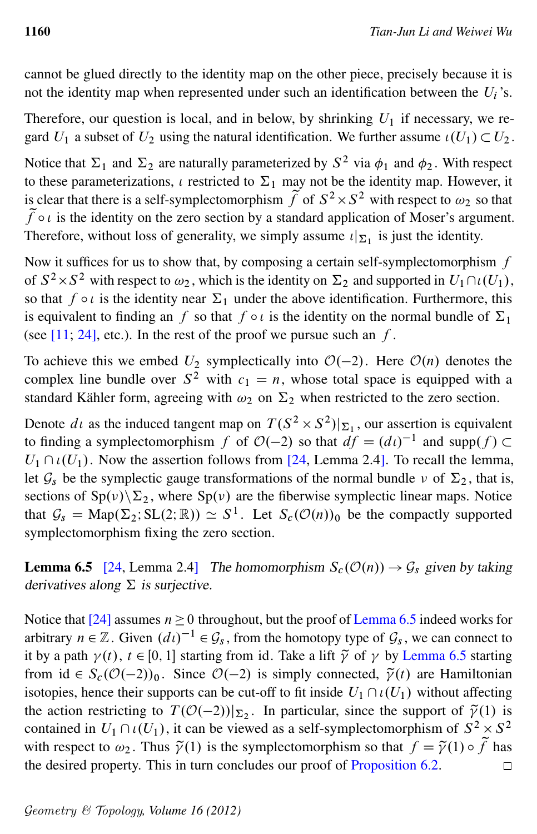cannot be glued directly to the identity map on the other piece, precisely because it is not the identity map when represented under such an identification between the  $U_i$ 's.

Therefore, our question is local, and in below, by shrinking  $U_1$  if necessary, we regard  $U_1$  a subset of  $U_2$  using the natural identification. We further assume  $\iota(U_1) \subset U_2$ .

Notice that  $\Sigma_1$  and  $\Sigma_2$  are naturally parameterized by  $S^2$  via  $\phi_1$  and  $\phi_2$ . With respect to these parameterizations,  $\iota$  restricted to  $\Sigma_1$  may not be the identity map. However, it is clear that there is a self-symplectomorphism  $\tilde{f}$  of  $S^2 \times S^2$  with respect to  $\omega_2$  so that  $\tilde{f} \circ \iota$  is the identity on the zero section by a standard application of Moser's argument. Therefore, without loss of generality, we simply assume  $\iota|_{\Sigma_1}$  is just the identity.

Now it suffices for us to show that, by composing a certain self-symplectomorphism  $f$ of  $S^2 \times S^2$  with respect to  $\omega_2$ , which is the identity on  $\Sigma_2$  and supported in  $U_1 \cap \iota(U_1)$ , so that  $f \circ \iota$  is the identity near  $\Sigma_1$  under the above identification. Furthermore, this is equivalent to finding an f so that  $f \circ i$  is the identity on the normal bundle of  $\Sigma_1$ (see  $[11; 24]$  $[11; 24]$  $[11; 24]$ , etc.). In the rest of the proof we pursue such an f.

To achieve this we embed  $U_2$  symplectically into  $\mathcal{O}(-2)$ . Here  $\mathcal{O}(n)$  denotes the complex line bundle over  $S^2$  with  $c_1 = n$ , whose total space is equipped with a standard Kähler form, agreeing with  $\omega_2$  on  $\Sigma_2$  when restricted to the zero section.

Denote  $d\iota$  as the induced tangent map on  $T(S^2 \times S^2)|_{\Sigma_1}$ , our assertion is equivalent to finding a symplectomorphism f of  $O(-2)$  so that  $df = (dt)^{-1}$  and supp $(f)$  $U_1 \cap \iota(U_1)$ . Now the assertion follows from [\[24,](#page-46-15) Lemma 2.4]. To recall the lemma, let  $\mathcal{G}_s$  be the symplectic gauge transformations of the normal bundle  $\nu$  of  $\Sigma_2$ , that is, sections of  $Sp(v)\Sigma_2$ , where  $Sp(v)$  are the fiberwise symplectic linear maps. Notice that  $\mathcal{G}_s = \text{Map}(\Sigma_2; SL(2;\mathbb{R})) \simeq S^1$ . Let  $S_c(\mathcal{O}(n))_0$  be the compactly supported symplectomorphism fixing the zero section.

<span id="page-39-0"></span>**Lemma 6.5** [\[24,](#page-46-15) Lemma 2.4] The homomorphism  $S_c(\mathcal{O}(n)) \to \mathcal{G}_s$  given by taking derivatives along  $\Sigma$  is surjective.

Notice that [\[24\]](#page-46-15) assumes  $n \geq 0$  throughout, but the proof of [Lemma 6.5](#page-39-0) indeed works for arbitrary  $n \in \mathbb{Z}$ . Given  $(d\iota)^{-1} \in \mathcal{G}_s$ , from the homotopy type of  $\mathcal{G}_s$ , we can connect to it by a path  $\gamma(t)$ ,  $t \in [0, 1]$  starting from id. Take a lift  $\tilde{\gamma}$  of  $\gamma$  by [Lemma 6.5](#page-39-0) starting from id  $\in S_c(\mathcal{O}(-2))_0$ . Since  $\mathcal{O}(-2)$  is simply connected,  $\tilde{\gamma}(t)$  are Hamiltonian isotopies, hence their supports can be cut-off to fit inside  $U_1 \cap \iota(U_1)$  without affecting the action restricting to  $T(\mathcal{O}(-2))|_{\Sigma_2}$ . In particular, since the support of  $\tilde{\gamma}(1)$  is contained in  $U_1 \cap \iota(U_1)$ , it can be viewed as a self-symplectomorphism of  $S^2 \times S^2$ with respect to  $\omega_2$ . Thus  $\tilde{\gamma}(1)$  is the symplectomorphism so that  $f = \tilde{\gamma}(1) \circ \tilde{f}$  has the desired property. This in turn concludes our proof of [Proposition 6.2.](#page-37-3)  $\Box$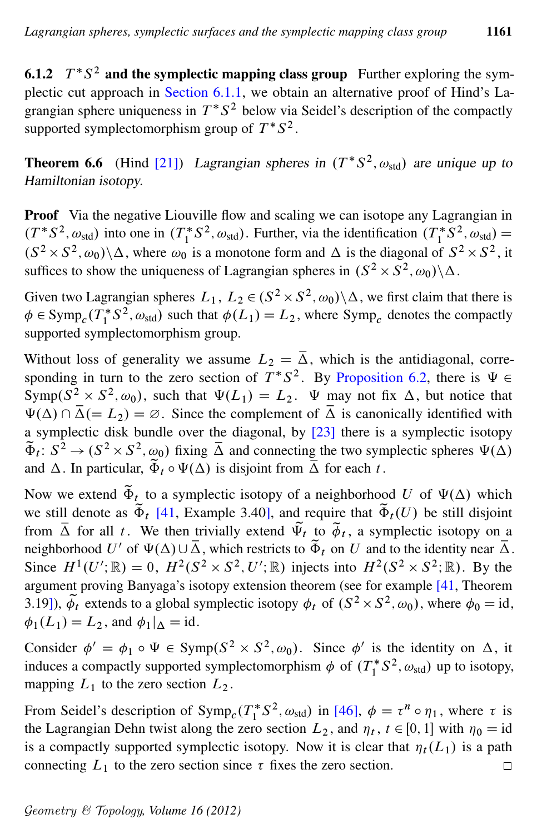6.1.2  $T^*S^2$  and the symplectic mapping class group Further exploring the symplectic cut approach in [Section 6.1.1,](#page-37-5) we obtain an alternative proof of Hind's Lagrangian sphere uniqueness in  $T^*S^2$  below via Seidel's description of the compactly supported symplectomorphism group of  $T^*S^2$ .

<span id="page-40-0"></span>**Theorem 6.6** (Hind [\[21\]](#page-46-13)) Lagrangian spheres in  $(T^*S^2, \omega_{std})$  are unique up to Hamiltonian isotopy.

Proof Via the negative Liouville flow and scaling we can isotope any Lagrangian in  $(T^*S^2, \omega_{std})$  into one in  $(T_1^*)$ <sup>\*</sup><sub>1</sub><sup>\*</sup>S<sup>2</sup>,  $\omega_{\text{std}}$ ). Further, via the identification  $(T_1^*)$  $i_1^* S^2, \omega_{\text{std}}$  =  $(S^2 \times S^2, \omega_0) \backslash \Delta$ , where  $\omega_0$  is a monotone form and  $\Delta$  is the diagonal of  $S^2 \times S^2$ , it suffices to show the uniqueness of Lagrangian spheres in  $(S^2 \times S^2, \omega_0) \backslash \Delta$ .

Given two Lagrangian spheres  $L_1, L_2 \in (S^2 \times S^2, \omega_0) \backslash \Delta$ , we first claim that there is  $\phi \in \mathrm{Symp}_c(\overline{T_1^*})$  $i_1^* S^2$ ,  $\omega_{std}$ ) such that  $\phi(L_1) = L_2$ , where Symp<sub>c</sub> denotes the compactly supported symplectomorphism group.

Without loss of generality we assume  $L_2 = \overline{\Delta}$ , which is the antidiagonal, corresponding in turn to the zero section of  $T^*S^2$ . By [Proposition 6.2,](#page-37-3) there is  $\Psi \in$ Symp $(S^2 \times S^2, \omega_0)$ , such that  $\Psi(L_1) = L_2$ .  $\Psi$  may not fix  $\Delta$ , but notice that  $\Psi(\Delta) \cap \overline{\Delta} (= L_2) = \emptyset$ . Since the complement of  $\overline{\Delta}$  is canonically identified with a symplectic disk bundle over the diagonal, by [\[23\]](#page-46-16) there is a symplectic isotopy  $\tilde{\Phi}_t$ :  $S^2 \to (S^2 \times S^2, \omega_0)$  fixing  $\overline{\Delta}$  and connecting the two symplectic spheres  $\Psi(\Delta)$ and  $\Delta$ . In particular,  $\tilde{\Phi}_t \circ \Psi(\Delta)$  is disjoint from  $\overline{\Delta}$  for each t.

Now we extend  $\tilde{\Phi}_t$  to a symplectic isotopy of a neighborhood U of  $\Psi(\Delta)$  which we still denote as  $\tilde{\Phi}_t$  [\[41,](#page-47-7) Example 3.40], and require that  $\tilde{\Phi}_t(U)$  be still disjoint from  $\overline{\Delta}$  for all t. We then trivially extend  $\overline{\Psi}_t$  to  $\overline{\phi}_t$ , a symplectic isotopy on a neighborhood U' of  $\Psi(\Delta) \cup \overline{\Delta}$ , which restricts to  $\widetilde{\Phi}_t$  on U and to the identity near  $\overline{\Delta}$ . Since  $H^1(U'; \mathbb{R}) = 0$ ,  $H^2(S^2 \times S^2, U'; \mathbb{R})$  injects into  $H^2(S^2 \times S^2; \mathbb{R})$ . By the argument proving Banyaga's isotopy extension theorem (see for example [\[41,](#page-47-7) Theorem 3.19]),  $\phi_t$  extends to a global symplectic isotopy  $\phi_t$  of  $(S^2 \times S^2, \omega_0)$ , where  $\phi_0 = id$ ,  $\phi_1(L_1) = L_2$ , and  $\phi_1|_{\Lambda} = id$ .

Consider  $\phi' = \phi_1 \circ \Psi \in \text{Symp}(S^2 \times S^2, \omega_0)$ . Since  $\phi'$  is the identity on  $\Delta$ , it induces a compactly supported symplectomorphism  $\phi$  of  $(T_1^*)$  $j_1^*$   $S^2$ ,  $\omega_{std}$ ) up to isotopy, mapping  $L_1$  to the zero section  $L_2$ .

From Seidel's description of  $\text{Symp}_c(T_1^*)$  $t_1^*$  S<sup>2</sup>,  $\omega_{\text{std}}$ ) in [\[46\]](#page-48-4),  $\phi = \tau^n \circ \eta_1$ , where  $\tau$  is the Lagrangian Dehn twist along the zero section  $L_2$ , and  $\eta_t$ ,  $t \in [0, 1]$  with  $\eta_0 = id$ is a compactly supported symplectic isotopy. Now it is clear that  $\eta_t(L_1)$  is a path connecting  $L_1$  to the zero section since  $\tau$  fixes the zero section.  $\Box$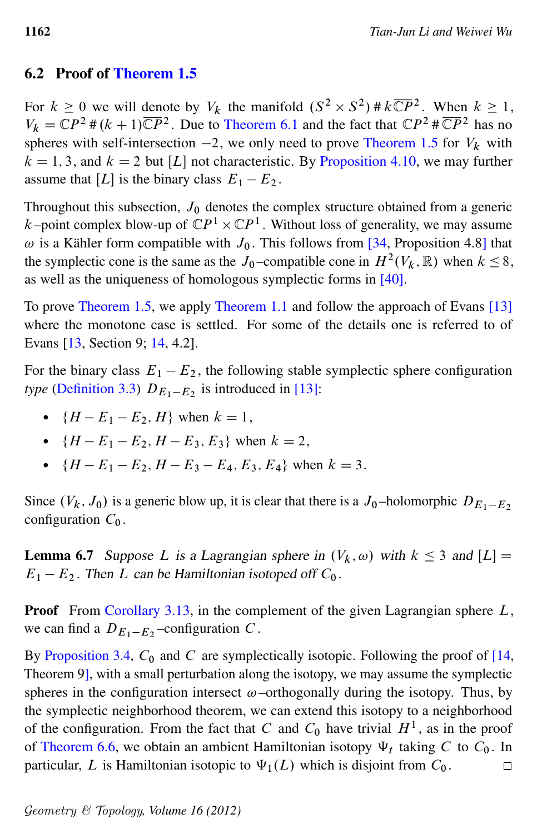## 6.2 Proof of [Theorem 1.5](#page-2-0)

For  $k \ge 0$  we will denote by  $V_k$  the manifold  $(S^2 \times S^2) \# k \overline{\mathbb{C}P}^2$ . When  $k \ge 1$ ,  $V_k = \mathbb{C}P^2 \# (k+1)\overline{\mathbb{C}P}^2$ . Due to [Theorem 6.1](#page-37-1) and the fact that  $\mathbb{C}P^2 \# \overline{\mathbb{C}P}^2$  has no spheres with self-intersection  $-2$ , we only need to prove [Theorem 1.5](#page-2-0) for  $V_k$  with  $k = 1, 3$ , and  $k = 2$  but [L] not characteristic. By [Proposition 4.10,](#page-27-1) we may further assume that [L] is the binary class  $E_1 - E_2$ .

Throughout this subsection,  $J_0$  denotes the complex structure obtained from a generic k–point complex blow-up of  $\mathbb{C}P^1 \times \mathbb{C}P^1$ . Without loss of generality, we may assume  $\omega$  is a Kähler form compatible with  $J_0$ . This follows from [\[34,](#page-47-14) Proposition 4.8] that the symplectic cone is the same as the  $J_0$ -compatible cone in  $H^2(V_k, \mathbb{R})$  when  $k \leq 8$ , as well as the uniqueness of homologous symplectic forms in [\[40\]](#page-47-5).

To prove [Theorem 1.5,](#page-2-0) we apply [Theorem 1.1](#page-1-1) and follow the approach of Evans [\[13\]](#page-46-1) where the monotone case is settled. For some of the details one is referred to of Evans [\[13,](#page-46-1) Section 9; [14,](#page-46-2) 4.2].

For the binary class  $E_1 - E_2$ , the following stable symplectic sphere configuration *type* [\(Definition 3.3\)](#page-15-1)  $D_{E_1-E_2}$  is introduced in [\[13\]](#page-46-1):

- ${H E_1 E_2, H}$  when  $k = 1$ ,
- ${H E_1 E_2, H E_3, E_3}$  when  $k = 2$ ,
- ${H E_1 E_2, H E_3 E_4, E_3, E_4}$  when  $k = 3$ .

Since  $(V_k, J_0)$  is a generic blow up, it is clear that there is a  $J_0$ -holomorphic  $D_{E_1-E_2}$ configuration  $C_0$ .

<span id="page-41-0"></span>**Lemma 6.7** Suppose L is a Lagrangian sphere in  $(V_k, \omega)$  with  $k \leq 3$  and  $[L]$  =  $E_1 - E_2$ . Then L can be Hamiltonian isotoped off  $C_0$ .

**Proof** From [Corollary 3.13,](#page-22-0) in the complement of the given Lagrangian sphere  $L$ , we can find a  $D_{E_1-E_2}$ -configuration C.

By [Proposition 3.4,](#page-15-0)  $C_0$  and C are symplectically isotopic. Following the proof of [\[14,](#page-46-2) Theorem 9], with a small perturbation along the isotopy, we may assume the symplectic spheres in the configuration intersect  $\omega$ –orthogonally during the isotopy. Thus, by the symplectic neighborhood theorem, we can extend this isotopy to a neighborhood of the configuration. From the fact that C and  $C_0$  have trivial  $H<sup>1</sup>$ , as in the proof of [Theorem 6.6,](#page-40-0) we obtain an ambient Hamiltonian isotopy  $\Psi_t$  taking C to  $C_0$ . In particular, L is Hamiltonian isotopic to  $\Psi_1(L)$  which is disjoint from  $C_0$ .  $\Box$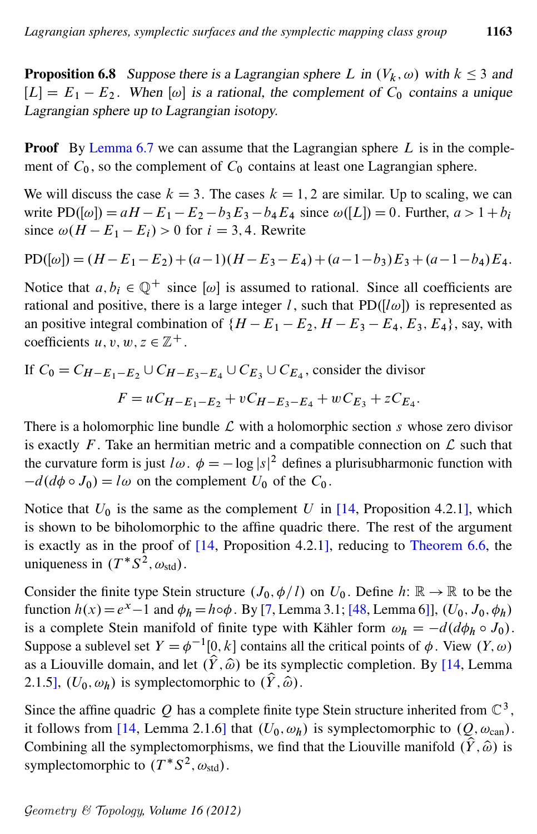<span id="page-42-0"></span>**Proposition 6.8** Suppose there is a Lagrangian sphere L in  $(V_k, \omega)$  with  $k \leq 3$  and  $[L] = E_1 - E_2$ . When  $[\omega]$  is a rational, the complement of  $C_0$  contains a unique Lagrangian sphere up to Lagrangian isotopy.

**Proof** By [Lemma 6.7](#page-41-0) we can assume that the Lagrangian sphere  $L$  is in the complement of  $C_0$ , so the complement of  $C_0$  contains at least one Lagrangian sphere.

We will discuss the case  $k = 3$ . The cases  $k = 1, 2$  are similar. Up to scaling, we can write  $PD([\omega]) = aH - E_1 - E_2 - b_3E_3 - b_4E_4$  since  $\omega([L]) = 0$ . Further,  $a > 1 + b_i$ since  $\omega(H - E_1 - E_i) > 0$  for  $i = 3, 4$ . Rewrite

$$
PD([\omega]) = (H - E_1 - E_2) + (a - 1)(H - E_3 - E_4) + (a - 1 - b_3)E_3 + (a - 1 - b_4)E_4.
$$

Notice that  $a, b_i \in \mathbb{Q}^+$  since  $[\omega]$  is assumed to rational. Since all coefficients are rational and positive, there is a large integer l, such that  $PD(|l\omega|)$  is represented as an positive integral combination of  $\{H - E_1 - E_2, H - E_3 - E_4, E_3, E_4\}$ , say, with coefficients  $u, v, w, z \in \mathbb{Z}^+$ .

If 
$$
C_0 = C_{H-E_1-E_2} \cup C_{H-E_3-E_4} \cup C_{E_3} \cup C_{E_4}
$$
, consider the divisor  

$$
F = uC_{H-E_1-E_2} + vC_{H-E_3-E_4} + wC_{E_3} + zC_{E_4}.
$$

There is a holomorphic line bundle  $\mathcal L$  with a holomorphic section s whose zero divisor is exactly F. Take an hermitian metric and a compatible connection on  $\mathcal L$  such that the curvature form is just  $l\omega$ .  $\phi = -\log |s|^2$  defines a plurisubharmonic function with  $-d(d\phi \circ J_0) = l\omega$  on the complement  $U_0$  of the  $C_0$ .

Notice that  $U_0$  is the same as the complement U in [\[14,](#page-46-2) Proposition 4.2.1], which is shown to be biholomorphic to the affine quadric there. The rest of the argument is exactly as in the proof of [\[14,](#page-46-2) Proposition 4.2.1], reducing to [Theorem 6.6,](#page-40-0) the uniqueness in  $(T^*S^2, \omega_{std})$ .

Consider the finite type Stein structure  $(J_0, \phi/l)$  on  $U_0$ . Define  $h: \mathbb{R} \to \mathbb{R}$  to be the function  $h(x) = e^x - 1$  and  $\phi_h = h \circ \phi$ . By [\[7,](#page-45-10) Lemma 3.1; [\[48,](#page-48-11) Lemma 6]],  $(U_0, J_0, \phi_h)$ is a complete Stein manifold of finite type with Kähler form  $\omega_h = -d(d\phi_h \circ J_0)$ . Suppose a sublevel set  $Y = \phi^{-1}[0, k]$  contains all the critical points of  $\phi$ . View  $(Y, \omega)$ as a Liouville domain, and let  $(\hat{Y}, \hat{\omega})$  be its symplectic completion. By [\[14,](#page-46-2) Lemma 2.1.5],  $(U_0, \omega_h)$  is symplectomorphic to  $(\hat{Y}, \hat{\omega})$ .

Since the affine quadric Q has a complete finite type Stein structure inherited from  $\mathbb{C}^3$ , it follows from [\[14,](#page-46-2) Lemma 2.1.6] that  $(U_0, \omega_h)$  is symplectomorphic to  $(0, \omega_{\text{can}})$ . Combining all the symplectomorphisms, we find that the Liouville manifold  $(\hat{Y}, \hat{\omega})$  is symplectomorphic to  $(T^*S^2, \omega_{\text{std}})$ .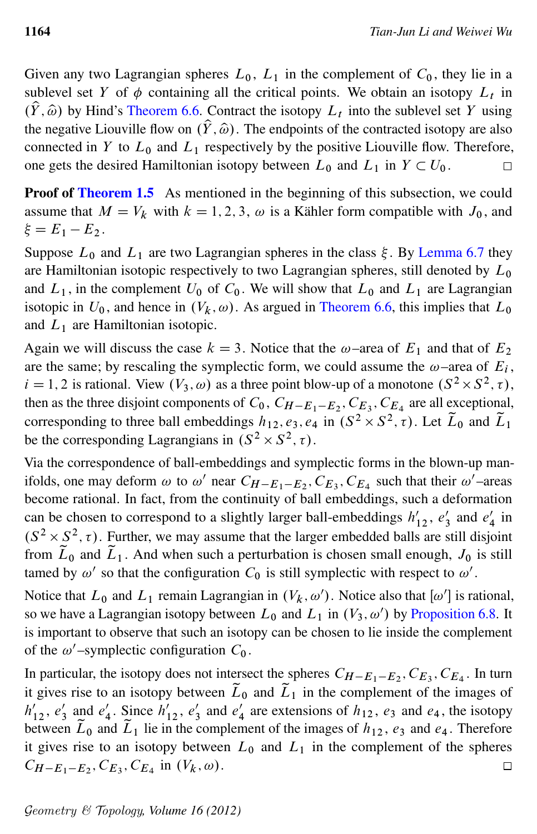Given any two Lagrangian spheres  $L_0$ ,  $L_1$  in the complement of  $C_0$ , they lie in a sublevel set Y of  $\phi$  containing all the critical points. We obtain an isotopy  $L_t$  in  $(\hat{Y}, \hat{\omega})$  by Hind's [Theorem 6.6.](#page-40-0) Contract the isotopy  $L_t$  into the sublevel set Y using the negative Liouville flow on  $(\hat{Y}, \hat{\omega})$ . The endpoints of the contracted isotopy are also connected in Y to  $L_0$  and  $L_1$  respectively by the positive Liouville flow. Therefore, one gets the desired Hamiltonian isotopy between  $L_0$  and  $L_1$  in  $Y \subset U_0$ .

**Proof of [Theorem 1.5](#page-2-0)** As mentioned in the beginning of this subsection, we could assume that  $M = V_k$  with  $k = 1, 2, 3, \omega$  is a Kähler form compatible with  $J_0$ , and  $\xi = E_1 - E_2$ .

Suppose  $L_0$  and  $L_1$  are two Lagrangian spheres in the class  $\xi$ . By [Lemma 6.7](#page-41-0) they are Hamiltonian isotopic respectively to two Lagrangian spheres, still denoted by  $L_0$ and  $L_1$ , in the complement  $U_0$  of  $C_0$ . We will show that  $L_0$  and  $L_1$  are Lagrangian isotopic in  $U_0$ , and hence in  $(V_k, \omega)$ . As argued in [Theorem 6.6,](#page-40-0) this implies that  $L_0$ and  $L_1$  are Hamiltonian isotopic.

Again we will discuss the case  $k = 3$ . Notice that the  $\omega$ –area of  $E_1$  and that of  $E_2$ are the same; by rescaling the symplectic form, we could assume the  $\omega$ -area of  $E_i$ ,  $i = 1, 2$  is rational. View  $(V_3, \omega)$  as a three point blow-up of a monotone  $(S^2 \times S^2, \tau)$ , then as the three disjoint components of  $C_0$ ,  $C_{H-E_1-E_2}$ ,  $C_{E_3}$ ,  $C_{E_4}$  are all exceptional, corresponding to three ball embeddings  $h_{12}$ ,  $e_3$ ,  $e_4$  in  $(S^2 \times S^2, \tau)$ . Let  $\tilde{L}_0$  and  $\tilde{L}_1$ be the corresponding Lagrangians in  $(S^2 \times S^2, \tau)$ .

Via the correspondence of ball-embeddings and symplectic forms in the blown-up manifolds, one may deform  $\omega$  to  $\omega'$  near  $C_{H-E_1-E_2}$ ,  $C_{E_3}$ ,  $C_{E_4}$  such that their  $\omega'$ -areas become rational. In fact, from the continuity of ball embeddings, such a deformation can be chosen to correspond to a slightly larger ball-embeddings  $h'_{12}$ ,  $e'_3$  $\frac{1}{3}$  and  $e_2'$  $\frac{7}{4}$  in  $(S^2 \times S^2, \tau)$ . Further, we may assume that the larger embedded balls are still disjoint from  $\tilde{L}_0$  and  $\tilde{L}_1$ . And when such a perturbation is chosen small enough,  $J_0$  is still tamed by  $\omega'$  so that the configuration  $C_0$  is still symplectic with respect to  $\omega'$ .

Notice that  $L_0$  and  $L_1$  remain Lagrangian in  $(V_k, \omega')$ . Notice also that  $[\omega']$  is rational, so we have a Lagrangian isotopy between  $L_0$  and  $L_1$  in  $(V_3, \omega')$  by [Proposition 6.8.](#page-42-0) It is important to observe that such an isotopy can be chosen to lie inside the complement of the  $\omega'$ -symplectic configuration  $C_0$ .

In particular, the isotopy does not intersect the spheres  $C_{H-E_1-E_2}, C_{E_3}, C_{E_4}$ . In turn it gives rise to an isotopy between  $\tilde{L}_0$  and  $\tilde{L}_1$  in the complement of the images of  $h'_{12}, e'_{3}$  $\frac{1}{3}$  and  $e_4'$  $\frac{1}{4}$ . Since  $h'_{12}$ ,  $e'_{3}$  $\frac{1}{3}$  and  $e_2'$  $\frac{1}{4}$  are extensions of  $h_{12}$ ,  $e_3$  and  $e_4$ , the isotopy between  $\tilde{L}_0$  and  $\tilde{L}_1$  lie in the complement of the images of  $h_{12}$ ,  $e_3$  and  $e_4$ . Therefore it gives rise to an isotopy between  $L_0$  and  $L_1$  in the complement of the spheres  $C_{H-E_1-E_2}, C_{E_3}, C_{E_4}$  in  $(V_k, \omega)$ .  $\Box$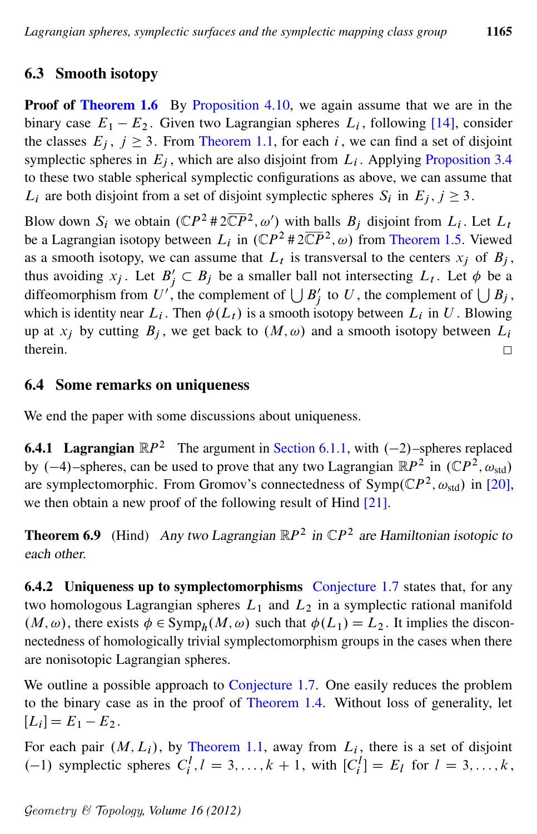# 6.3 Smooth isotopy

Proof of [Theorem 1.6](#page-2-2) By [Proposition 4.10,](#page-27-1) we again assume that we are in the binary case  $E_1 - E_2$ . Given two Lagrangian spheres  $L_i$ , following [\[14\]](#page-46-2), consider the classes  $E_j$ ,  $j \ge 3$ . From [Theorem 1.1,](#page-1-1) for each i, we can find a set of disjoint symplectic spheres in  $E_j$ , which are also disjoint from  $L_i$ . Applying [Proposition 3.4](#page-15-0) to these two stable spherical symplectic configurations as above, we can assume that  $L_i$  are both disjoint from a set of disjoint symplectic spheres  $S_i$  in  $E_j$ ,  $j \geq 3$ .

Blow down  $S_i$  we obtain  $(\mathbb{C}P^2 \# 2\overline{\mathbb{C}P}^2, \omega')$  with balls  $B_j$  disjoint from  $L_i$ . Let  $L_i$ be a Lagrangian isotopy between  $L_i$  in  $(\mathbb{C}P^2 \# 2\overline{\mathbb{C}P}^2, \omega)$  from [Theorem 1.5.](#page-2-0) Viewed as a smooth isotopy, we can assume that  $L_t$  is transversal to the centers  $x_j$  of  $B_j$ , thus avoiding  $x_j$ . Let  $B'_j \subset B_j$  be a smaller ball not intersecting  $L_t$ . Let  $\phi$  be a diffeomorphism from U', the complement of  $\bigcup B'_j$  to U, the complement of  $\bigcup B_j$ , which is identity near  $L_i$ . Then  $\phi(L_i)$  is a smooth isotopy between  $L_i$  in U. Blowing up at  $x_j$  by cutting  $B_j$ , we get back to  $(M, \omega)$  and a smooth isotopy between  $L_i$ therein.  $\Box$ 

## 6.4 Some remarks on uniqueness

We end the paper with some discussions about uniqueness.

<span id="page-44-1"></span>**6.4.1 Lagrangian**  $\mathbb{R}P^2$  The argument in [Section 6.1.1,](#page-37-5) with  $(-2)$ –spheres replaced by  $(-4)$ -spheres, can be used to prove that any two Lagrangian  $\mathbb{R}P^2$  in  $(\mathbb{C}P^2, \omega_{std})$ are symplectomorphic. From Gromov's connectedness of  $Symp(\mathbb{C}P^2, \omega_{std})$  in [\[20\]](#page-46-12), we then obtain a new proof of the following result of Hind [\[21\]](#page-46-13).

**Theorem 6.9** (Hind) Any two Lagrangian  $\mathbb{R}P^2$  in  $\mathbb{C}P^2$  are Hamiltonian isotopic to each other.

<span id="page-44-0"></span>6.4.2 Uniqueness up to symplectomorphisms [Conjecture 1.7](#page-3-1) states that, for any two homologous Lagrangian spheres  $L_1$  and  $L_2$  in a symplectic rational manifold  $(M, \omega)$ , there exists  $\phi \in \text{Symp}_h(M, \omega)$  such that  $\phi(L_1) = L_2$ . It implies the disconnectedness of homologically trivial symplectomorphism groups in the cases when there are nonisotopic Lagrangian spheres.

We outline a possible approach to [Conjecture 1.7.](#page-3-1) One easily reduces the problem to the binary case as in the proof of [Theorem 1.4.](#page-2-1) Without loss of generality, let  $[L_i] = E_1 - E_2.$ 

For each pair  $(M, L_i)$ , by [Theorem 1.1,](#page-1-1) away from  $L_i$ , there is a set of disjoint (-1) symplectic spheres  $C_i^l, l = 3, ..., k + 1$ , with  $[C_i^l] = E_l$  for  $l = 3, ..., k$ ,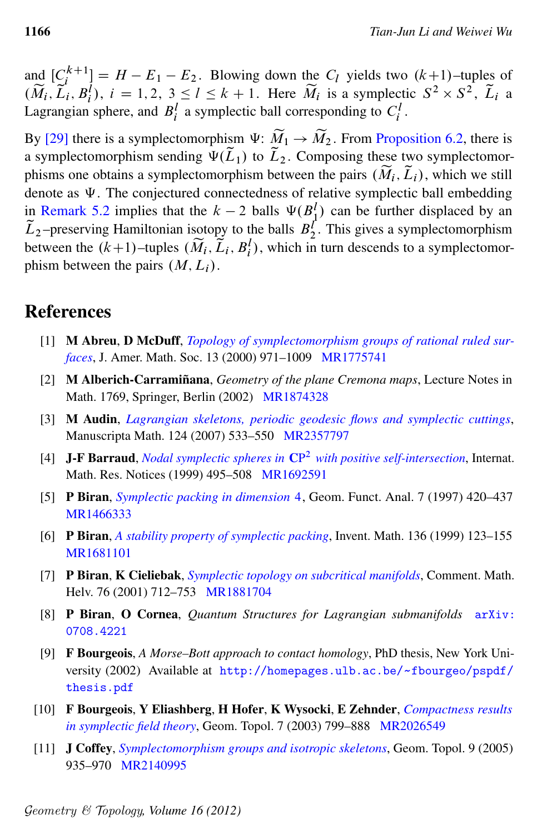and  $[C_i^{k+1}]$  $\binom{k+1}{i} = H - E_1 - E_2$ . Blowing down the  $C_l$  yields two  $(k+1)$ –tuples of  $(\widetilde{M}_i, \widetilde{L}_i, B_i^j), i = 1, 2, 3 \leq l \leq k+1$ . Here  $\widetilde{M}_i$  is a symplectic  $S^2 \times S^2$ ,  $\widetilde{L}_i$  a Lagrangian sphere, and  $B_i^l$  a symplectic ball corresponding to  $C_i^l$ .

By [\[29\]](#page-47-11) there is a symplectomorphism  $\Psi: \widetilde{M}_1 \to \widetilde{M}_2$ . From [Proposition 6.2,](#page-37-3) there is a symplectomorphism sending  $\Psi(\tilde{L}_1)$  to  $\tilde{L}_2$ . Composing these two symplectomorphisms one obtains a symplectomorphism between the pairs  $(\widetilde{M}_i, \widetilde{L}_i)$ , which we still denote as  $\Psi$ . The conjectured connectedness of relative symplectic ball embedding in [Remark 5.2](#page-31-0) implies that the  $k-2$  balls  $\Psi(B_1^l)$  can be further displaced by an  $\tilde{L}_2$ -preserving Hamiltonian isotopy to the balls  $B_2^{\prime}$ . This gives a symplectomorphism between the  $(k+1)$ –tuples  $(\widetilde{M}_i, \widetilde{L}_i, B_i^l)$ , which in turn descends to a symplectomorphism between the pairs  $(M, L<sub>i</sub>)$ .

# References

- <span id="page-45-8"></span>[1] M Abreu, D McDuff, *[Topology of symplectomorphism groups of rational ruled sur](http://dx.doi.org/10.1090/S0894-0347-00-00344-1)[faces](http://dx.doi.org/10.1090/S0894-0347-00-00344-1)*, J. Amer. Math. Soc. 13 (2000) 971–1009 [MR1775741](http://www.ams.org/mathscinet-getitem?mr=1775741)
- <span id="page-45-0"></span>[2] M Alberich-Carramiñana, *Geometry of the plane Cremona maps*, Lecture Notes in Math. 1769, Springer, Berlin (2002) [MR1874328](http://www.ams.org/mathscinet-getitem?mr=1874328)
- <span id="page-45-1"></span>[3] M Audin, *[Lagrangian skeletons, periodic geodesic flows and symplectic cuttings](http://dx.doi.org/10.1007/s00229-007-0134-y)*, Manuscripta Math. 124 (2007) 533–550 [MR2357797](http://www.ams.org/mathscinet-getitem?mr=2357797)
- <span id="page-45-4"></span>[4] J-F Barraud, *Nodal symplectic spheres in* CP <sup>2</sup> *[with positive self-intersection](http://dx.doi.org/10.1155/S1073792899000252)*, Internat. Math. Res. Notices (1999) 495–508 [MR1692591](http://www.ams.org/mathscinet-getitem?mr=1692591)
- <span id="page-45-5"></span>[5] P Biran, *[Symplectic packing in dimension](http://dx.doi.org/10.1007/s000390050014)* 4, Geom. Funct. Anal. 7 (1997) 420–437 [MR1466333](http://www.ams.org/mathscinet-getitem?mr=1466333)
- <span id="page-45-7"></span>[6] P Biran, *[A stability property of symplectic packing](http://dx.doi.org/10.1007/s002220050306)*, Invent. Math. 136 (1999) 123–155 [MR1681101](http://www.ams.org/mathscinet-getitem?mr=1681101)
- <span id="page-45-10"></span>[7] P Biran, K Cieliebak, *[Symplectic topology on subcritical manifolds](http://dx.doi.org/10.1007/s00014-001-8326-7)*, Comment. Math. Helv. 76 (2001) 712–753 [MR1881704](http://www.ams.org/mathscinet-getitem?mr=1881704)
- <span id="page-45-6"></span>[8] P Biran, O Cornea, *Quantum Structures for Lagrangian submanifolds* [arXiv:](http://arxiv.org/abs/0708.4221) [0708.4221](http://arxiv.org/abs/0708.4221)
- <span id="page-45-2"></span>[9] F Bourgeois, *A Morse–Bott approach to contact homology*, PhD thesis, New York University (2002) Available at [http://homepages.ulb.ac.be/](http://homepages.ulb.ac.be/~fbourgeo/pspdf/thesis.pdf)~fbourgeo/pspdf/ [thesis.pdf](http://homepages.ulb.ac.be/~fbourgeo/pspdf/thesis.pdf)
- <span id="page-45-3"></span>[10] F Bourgeois, Y Eliashberg, H Hofer, K Wysocki, E Zehnder, *[Compactness results](http://dx.doi.org/10.2140/gt.2003.7.799) [in symplectic field theory](http://dx.doi.org/10.2140/gt.2003.7.799)*, Geom. Topol. 7 (2003) 799–888 [MR2026549](http://www.ams.org/mathscinet-getitem?mr=2026549)
- <span id="page-45-9"></span>[11] J Coffey, *[Symplectomorphism groups and isotropic skeletons](http://dx.doi.org/10.2140/gt.2005.9.935)*, Geom. Topol. 9 (2005) 935–970 [MR2140995](http://www.ams.org/mathscinet-getitem?mr=2140995)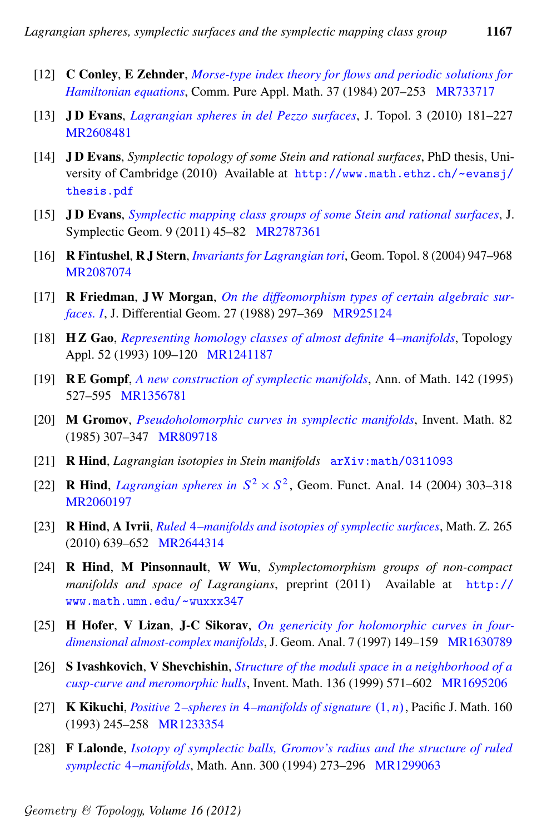- <span id="page-46-5"></span>[12] C Conley, E Zehnder, *[Morse-type index theory for flows and periodic solutions for](http://dx.doi.org/10.1002/cpa.3160370204) [Hamiltonian equations](http://dx.doi.org/10.1002/cpa.3160370204)*, Comm. Pure Appl. Math. 37 (1984) 207–253 [MR733717](http://www.ams.org/mathscinet-getitem?mr=733717)
- <span id="page-46-1"></span>[13] J D Evans, *[Lagrangian spheres in del Pezzo surfaces](http://dx.doi.org/10.1112/jtopol/jtq004)*, J. Topol. 3 (2010) 181–227 [MR2608481](http://www.ams.org/mathscinet-getitem?mr=2608481)
- <span id="page-46-2"></span>[14] J D Evans, *Symplectic topology of some Stein and rational surfaces*, PhD thesis, University of Cambridge (2010) Available at [http://www.math.ethz.ch/](http://www.math.ethz.ch/~evansj/thesis.pdf)~evansj/ [thesis.pdf](http://www.math.ethz.ch/~evansj/thesis.pdf)
- <span id="page-46-4"></span>[15] J D Evans, *[Symplectic mapping class groups of some Stein and rational surfaces](http://projecteuclid.org/euclid.jsg/1309545969)*, J. Symplectic Geom. 9 (2011) 45–82 [MR2787361](http://www.ams.org/mathscinet-getitem?mr=2787361)
- <span id="page-46-3"></span>[16] R Fintushel, R J Stern, *[Invariants for Lagrangian tori](http://dx.doi.org/10.2140/gt.2004.8.947)*, Geom. Topol. 8 (2004) 947–968 [MR2087074](http://www.ams.org/mathscinet-getitem?mr=2087074)
- <span id="page-46-8"></span>[17] R Friedman, J W Morgan, *[On the diffeomorphism types of certain algebraic sur](http://projecteuclid.org/euclid.jdg/1214441784)[faces. I](http://projecteuclid.org/euclid.jdg/1214441784)*, J. Differential Geom. 27 (1988) 297–369 [MR925124](http://www.ams.org/mathscinet-getitem?mr=925124)
- <span id="page-46-9"></span>[18] H Z Gao, *[Representing homology classes of almost definite](http://dx.doi.org/10.1016/0166-8641(93)90030-H)* 4*–manifolds*, Topology Appl. 52 (1993) 109–120 [MR1241187](http://www.ams.org/mathscinet-getitem?mr=1241187)
- <span id="page-46-14"></span>[19] R E Gompf, *[A new construction of symplectic manifolds](http://dx.doi.org/10.2307/2118554)*, Ann. of Math. 142 (1995) 527–595 [MR1356781](http://www.ams.org/mathscinet-getitem?mr=1356781)
- <span id="page-46-12"></span>[20] M Gromov, *[Pseudoholomorphic curves in symplectic manifolds](http://dx.doi.org/10.1007/BF01388806)*, Invent. Math. 82 (1985) 307–347 [MR809718](http://www.ams.org/mathscinet-getitem?mr=809718)
- <span id="page-46-13"></span>[21] R Hind, *Lagrangian isotopies in Stein manifolds* [arXiv:math/0311093](http://arxiv.org/abs/math/0311093)
- <span id="page-46-0"></span>[22] **R Hind**, *[Lagrangian spheres in](http://dx.doi.org/10.1007/s00039-004-0459-6)*  $S^2 \times S^2$ , Geom. Funct. Anal. 14 (2004) 303-318 [MR2060197](http://www.ams.org/mathscinet-getitem?mr=2060197)
- <span id="page-46-16"></span>[23] R Hind, A Ivrii, *Ruled* 4*[–manifolds and isotopies of symplectic surfaces](http://dx.doi.org/10.1007/s00209-009-0534-7)*, Math. Z. 265 (2010) 639–652 [MR2644314](http://www.ams.org/mathscinet-getitem?mr=2644314)
- <span id="page-46-15"></span>[24] R Hind, M Pinsonnault, W Wu, *Symplectomorphism groups of non-compact manifolds and space of Lagrangians*, preprint (2011) Available at [http://](http://www.math.umn.edu/~wuxxx347) [www.math.umn.edu/](http://www.math.umn.edu/~wuxxx347)~wuxxx347
- <span id="page-46-6"></span>[25] H Hofer, V Lizan, J-C Sikorav, *[On genericity for holomorphic curves in four](http://dx.doi.org/10.1007/BF02921708)[dimensional almost-complex manifolds](http://dx.doi.org/10.1007/BF02921708)*, J. Geom. Anal. 7 (1997) 149–159 [MR1630789](http://www.ams.org/mathscinet-getitem?mr=1630789)
- <span id="page-46-7"></span>[26] S Ivashkovich, V Shevchishin, *[Structure of the moduli space in a neighborhood of a](http://dx.doi.org/10.1007/s002220050319) [cusp-curve and meromorphic hulls](http://dx.doi.org/10.1007/s002220050319)*, Invent. Math. 136 (1999) 571–602 [MR1695206](http://www.ams.org/mathscinet-getitem?mr=1695206)
- <span id="page-46-10"></span>[27] **K Kikuchi**, *Positive* 2–*spheres in* 4–*manifolds of signature*  $(1, n)$ , Pacific J. Math. 160 (1993) 245–258 [MR1233354](http://www.ams.org/mathscinet-getitem?mr=1233354)
- <span id="page-46-11"></span>[28] F Lalonde, *[Isotopy of symplectic balls, Gromov's radius and the structure of ruled](http://dx.doi.org/10.1007/BF01450487) symplectic* 4*[–manifolds](http://dx.doi.org/10.1007/BF01450487)*, Math. Ann. 300 (1994) 273–296 [MR1299063](http://www.ams.org/mathscinet-getitem?mr=1299063)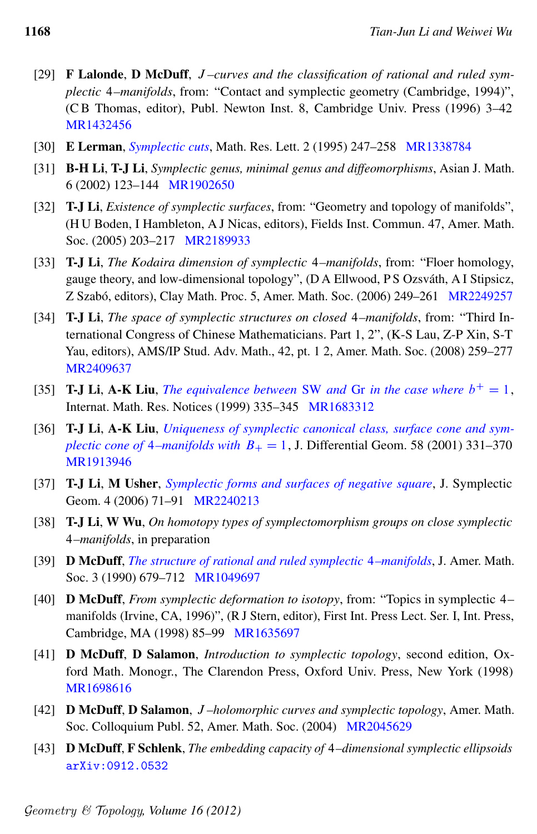- <span id="page-47-11"></span>[29] F Lalonde, D McDuff, J *–curves and the classification of rational and ruled symplectic* 4*–manifolds*, from: "Contact and symplectic geometry (Cambridge, 1994)", (C B Thomas, editor), Publ. Newton Inst. 8, Cambridge Univ. Press (1996) 3–42 [MR1432456](http://www.ams.org/mathscinet-getitem?mr=1432456)
- <span id="page-47-2"></span>[30] E Lerman, *[Symplectic cuts](http://www.mathjournals.org/mrl/1995-002-003/1995-002-003-002.html)*, Math. Res. Lett. 2 (1995) 247–258 [MR1338784](http://www.ams.org/mathscinet-getitem?mr=1338784)
- <span id="page-47-9"></span>[31] B-H Li, T-J Li, *Symplectic genus, minimal genus and diffeomorphisms*, Asian J. Math. 6 (2002) 123–144 [MR1902650](http://www.ams.org/mathscinet-getitem?mr=1902650)
- <span id="page-47-6"></span>[32] T-J Li, *Existence of symplectic surfaces*, from: "Geometry and topology of manifolds", (H U Boden, I Hambleton, A J Nicas, editors), Fields Inst. Commun. 47, Amer. Math. Soc. (2005) 203–217 [MR2189933](http://www.ams.org/mathscinet-getitem?mr=2189933)
- <span id="page-47-0"></span>[33] T-J Li, *The Kodaira dimension of symplectic* 4*–manifolds*, from: "Floer homology, gauge theory, and low-dimensional topology", (D A Ellwood, P S Ozsváth, A I Stipsicz, Z Szabó, editors), Clay Math. Proc. 5, Amer. Math. Soc. (2006) 249–261 [MR2249257](http://www.ams.org/mathscinet-getitem?mr=2249257)
- <span id="page-47-14"></span>[34] T-J Li, *The space of symplectic structures on closed* 4*–manifolds*, from: "Third International Congress of Chinese Mathematicians. Part 1, 2", (K-S Lau, Z-P Xin, S-T Yau, editors), AMS/IP Stud. Adv. Math., 42, pt. 1 2, Amer. Math. Soc. (2008) 259–277 [MR2409637](http://www.ams.org/mathscinet-getitem?mr=2409637)
- <span id="page-47-8"></span>[35] **T-J Li, A-K Liu,** *[The equivalence between](http://dx.doi.org/10.1155/S1073792899000173)* SW *and* Gr *in the case where*  $b^+ = 1$ , Internat. Math. Res. Notices (1999) 335–345 [MR1683312](http://www.ams.org/mathscinet-getitem?mr=1683312)
- <span id="page-47-4"></span>[36] T-J Li, A-K Liu, *[Uniqueness of symplectic canonical class, surface cone and sym](http://projecteuclid.org/euclid.jdg/1090348329)plectic cone of* 4*[–manifolds with](http://projecteuclid.org/euclid.jdg/1090348329)*  $B_+ = 1$ , J. Differential Geom. 58 (2001) 331–370 [MR1913946](http://www.ams.org/mathscinet-getitem?mr=1913946)
- <span id="page-47-12"></span>[37] T-J Li, M Usher, *[Symplectic forms and surfaces of negative square](http://projecteuclid.org/euclid.jsg/1154549059)*, J. Symplectic Geom. 4 (2006) 71–91 [MR2240213](http://www.ams.org/mathscinet-getitem?mr=2240213)
- <span id="page-47-1"></span>[38] T-J Li, W Wu, *On homotopy types of symplectomorphism groups on close symplectic* 4*–manifolds*, in preparation
- <span id="page-47-13"></span>[39] D McDuff, *[The structure of rational and ruled symplectic](http://dx.doi.org/10.2307/1990934)* 4*–manifolds*, J. Amer. Math. Soc. 3 (1990) 679–712 [MR1049697](http://www.ams.org/mathscinet-getitem?mr=1049697)
- <span id="page-47-5"></span>[40] D McDuff, *From symplectic deformation to isotopy*, from: "Topics in symplectic 4– manifolds (Irvine, CA, 1996)", (R J Stern, editor), First Int. Press Lect. Ser. I, Int. Press, Cambridge, MA (1998) 85–99 [MR1635697](http://www.ams.org/mathscinet-getitem?mr=1635697)
- <span id="page-47-7"></span>[41] D McDuff, D Salamon, *Introduction to symplectic topology*, second edition, Oxford Math. Monogr., The Clarendon Press, Oxford Univ. Press, New York (1998) [MR1698616](http://www.ams.org/mathscinet-getitem?mr=1698616)
- <span id="page-47-3"></span>[42] D McDuff, D Salamon, J *–holomorphic curves and symplectic topology*, Amer. Math. Soc. Colloquium Publ. 52, Amer. Math. Soc. (2004) [MR2045629](http://www.ams.org/mathscinet-getitem?mr=2045629)
- <span id="page-47-10"></span>[43] D McDuff, F Schlenk, *The embedding capacity of* 4*–dimensional symplectic ellipsoids* [arXiv:0912.0532](http://arxiv.org/abs/0912.0532)